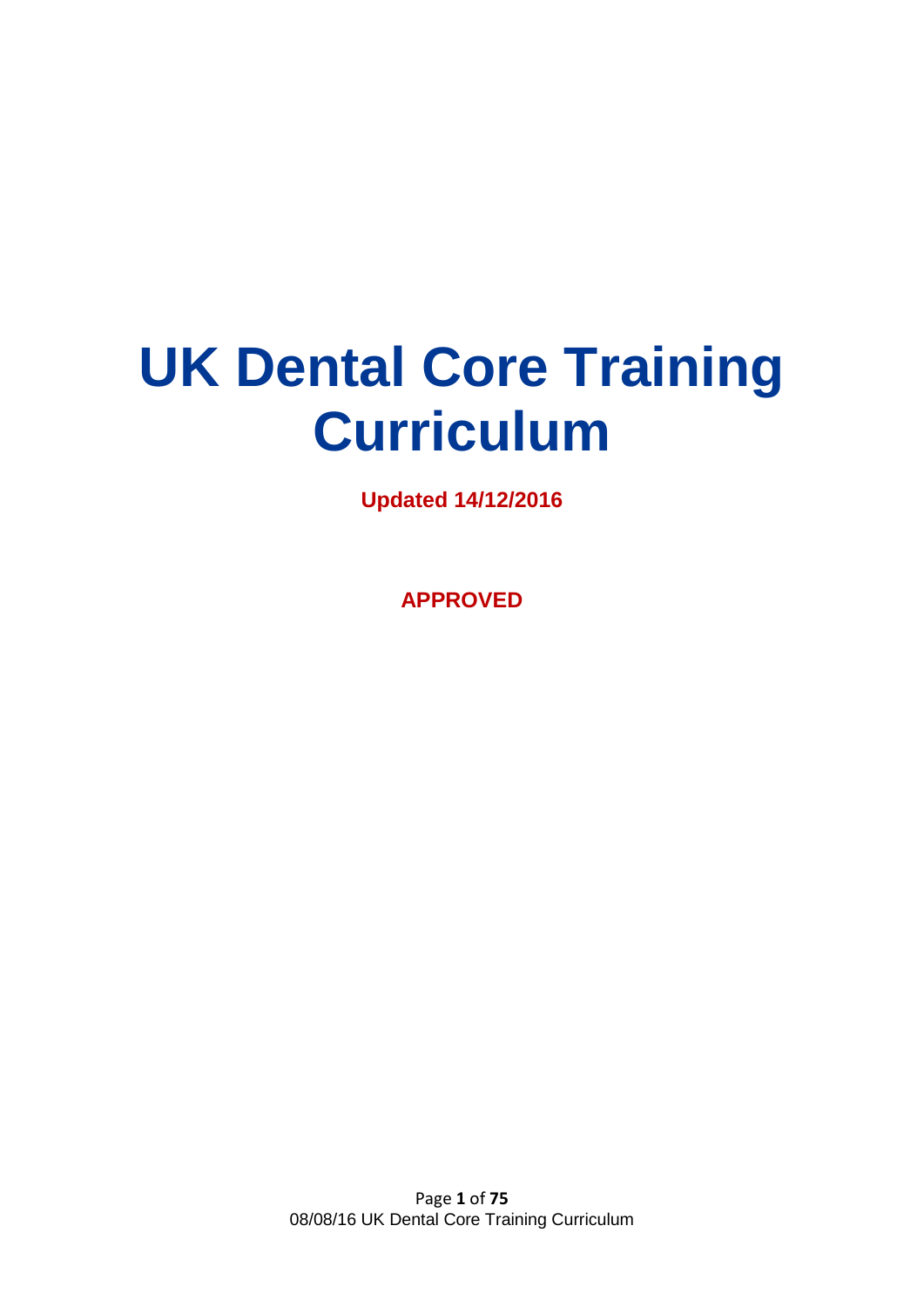# **UK Dental Core Training Curriculum**

**Updated 14/12/2016**

**APPROVED**

Page **1** of **75** 08/08/16 UK Dental Core Training Curriculum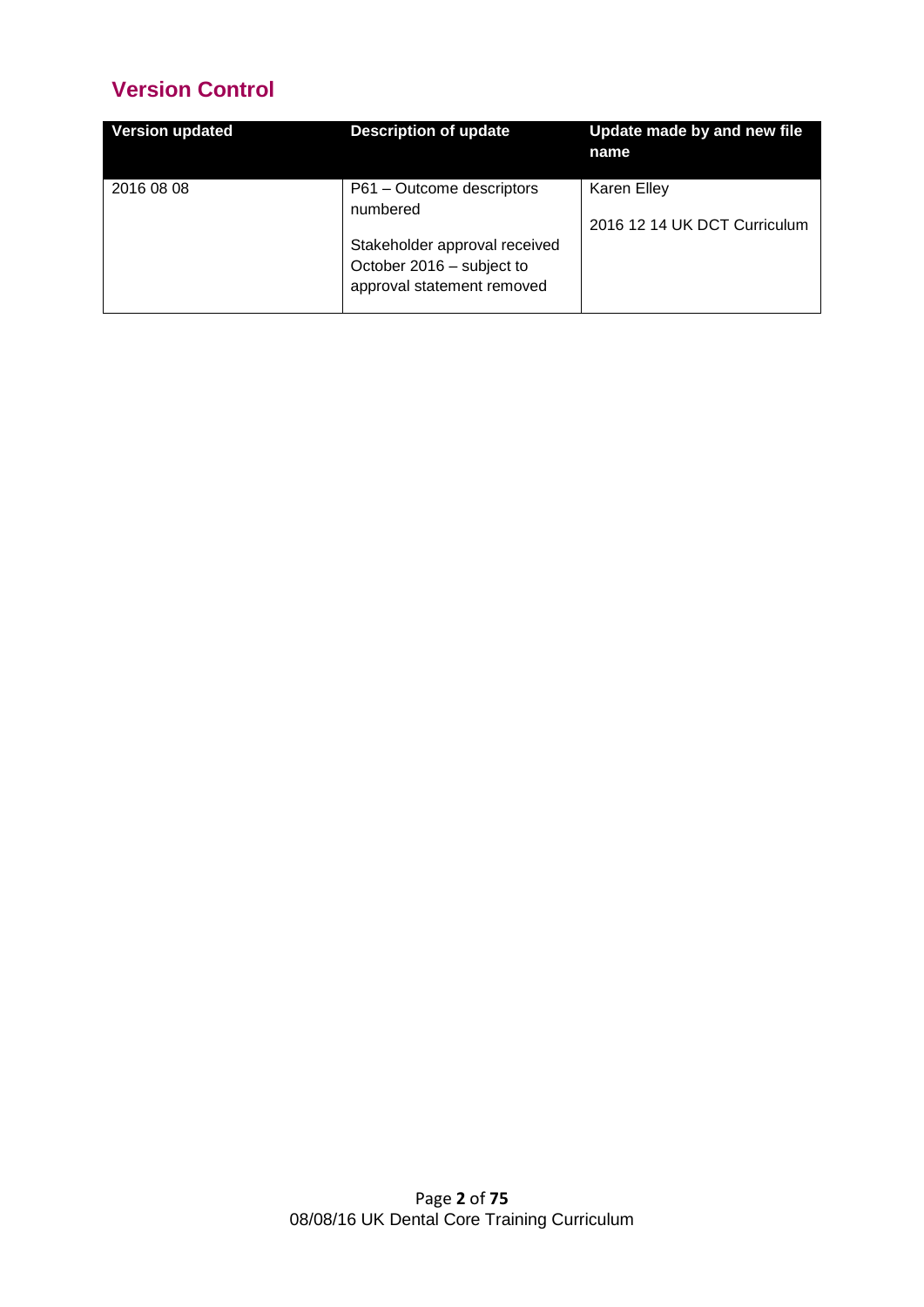# **Version Control**

| <b>Version updated</b> | <b>Description of update</b>                                                                                                      | Update made by and new file<br>name         |
|------------------------|-----------------------------------------------------------------------------------------------------------------------------------|---------------------------------------------|
| 2016 08 08             | P61 - Outcome descriptors<br>numbered<br>Stakeholder approval received<br>October 2016 - subject to<br>approval statement removed | Karen Elley<br>2016 12 14 UK DCT Curriculum |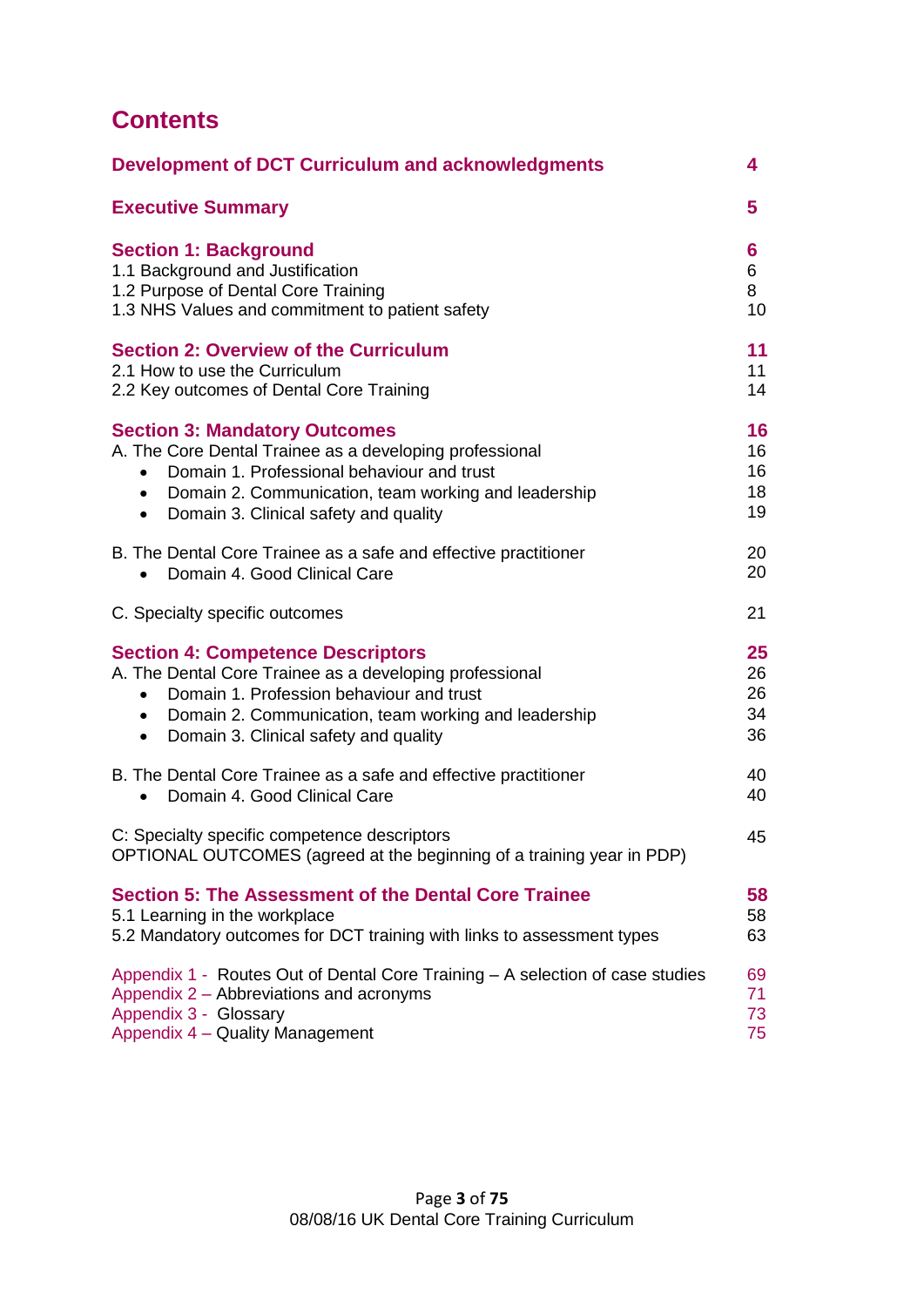# **Contents**

| <b>Development of DCT Curriculum and acknowledgments</b>                                                                                                                                                                                                          | 4                          |
|-------------------------------------------------------------------------------------------------------------------------------------------------------------------------------------------------------------------------------------------------------------------|----------------------------|
| <b>Executive Summary</b>                                                                                                                                                                                                                                          | 5                          |
| <b>Section 1: Background</b><br>1.1 Background and Justification<br>1.2 Purpose of Dental Core Training<br>1.3 NHS Values and commitment to patient safety                                                                                                        | 6<br>6<br>8<br>10          |
| <b>Section 2: Overview of the Curriculum</b><br>2.1 How to use the Curriculum<br>2.2 Key outcomes of Dental Core Training                                                                                                                                         | 11<br>11<br>14             |
| <b>Section 3: Mandatory Outcomes</b><br>A. The Core Dental Trainee as a developing professional<br>Domain 1. Professional behaviour and trust<br>$\bullet$<br>• Domain 2. Communication, team working and leadership<br>• Domain 3. Clinical safety and quality   | 16<br>16<br>16<br>18<br>19 |
| B. The Dental Core Trainee as a safe and effective practitioner<br>Domain 4, Good Clinical Care<br>$\bullet$                                                                                                                                                      | 20<br>20                   |
| C. Specialty specific outcomes                                                                                                                                                                                                                                    | 21                         |
| <b>Section 4: Competence Descriptors</b><br>A. The Dental Core Trainee as a developing professional<br>Domain 1. Profession behaviour and trust<br>$\bullet$<br>• Domain 2. Communication, team working and leadership<br>• Domain 3. Clinical safety and quality | 25<br>26<br>26<br>34<br>36 |
| B. The Dental Core Trainee as a safe and effective practitioner<br>Domain 4, Good Clinical Care<br>$\bullet$                                                                                                                                                      | 40<br>40                   |
| C: Specialty specific competence descriptors<br>OPTIONAL OUTCOMES (agreed at the beginning of a training year in PDP)                                                                                                                                             | 45                         |
| <b>Section 5: The Assessment of the Dental Core Trainee</b><br>5.1 Learning in the workplace<br>5.2 Mandatory outcomes for DCT training with links to assessment types                                                                                            | 58<br>58<br>63             |
| Appendix 1 - Routes Out of Dental Core Training – A selection of case studies<br>Appendix 2 – Abbreviations and acronyms<br>Appendix 3 - Glossary<br>Appendix 4 - Quality Management                                                                              | 69<br>71<br>73<br>75       |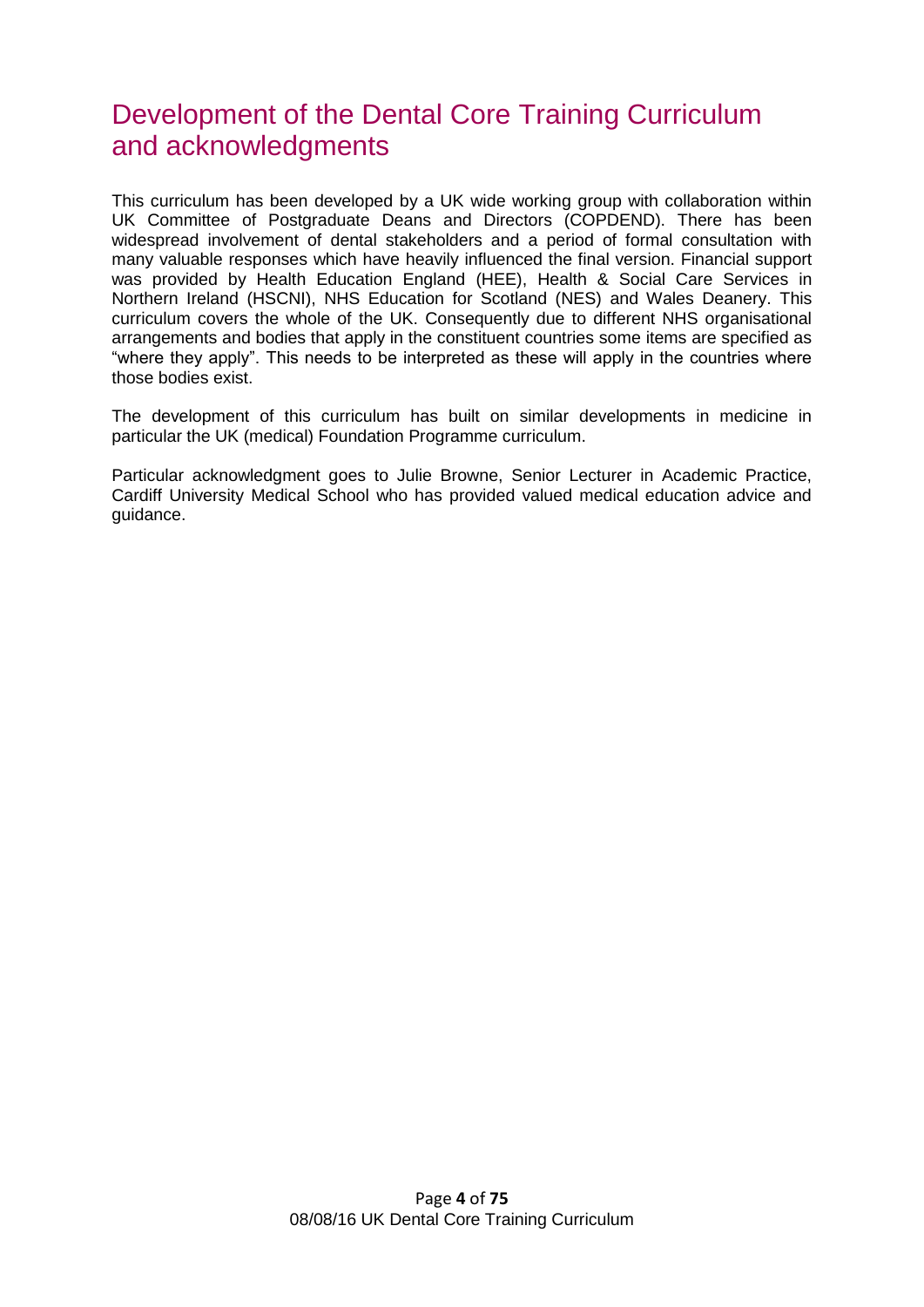# Development of the Dental Core Training Curriculum and acknowledgments

This curriculum has been developed by a UK wide working group with collaboration within UK Committee of Postgraduate Deans and Directors (COPDEND). There has been widespread involvement of dental stakeholders and a period of formal consultation with many valuable responses which have heavily influenced the final version. Financial support was provided by Health Education England (HEE), Health & Social Care Services in Northern Ireland (HSCNI), NHS Education for Scotland (NES) and Wales Deanery. This curriculum covers the whole of the UK. Consequently due to different NHS organisational arrangements and bodies that apply in the constituent countries some items are specified as "where they apply". This needs to be interpreted as these will apply in the countries where those bodies exist.

The development of this curriculum has built on similar developments in medicine in particular the UK (medical) Foundation Programme curriculum.

Particular acknowledgment goes to Julie Browne, Senior Lecturer in Academic Practice, Cardiff University Medical School who has provided valued medical education advice and guidance.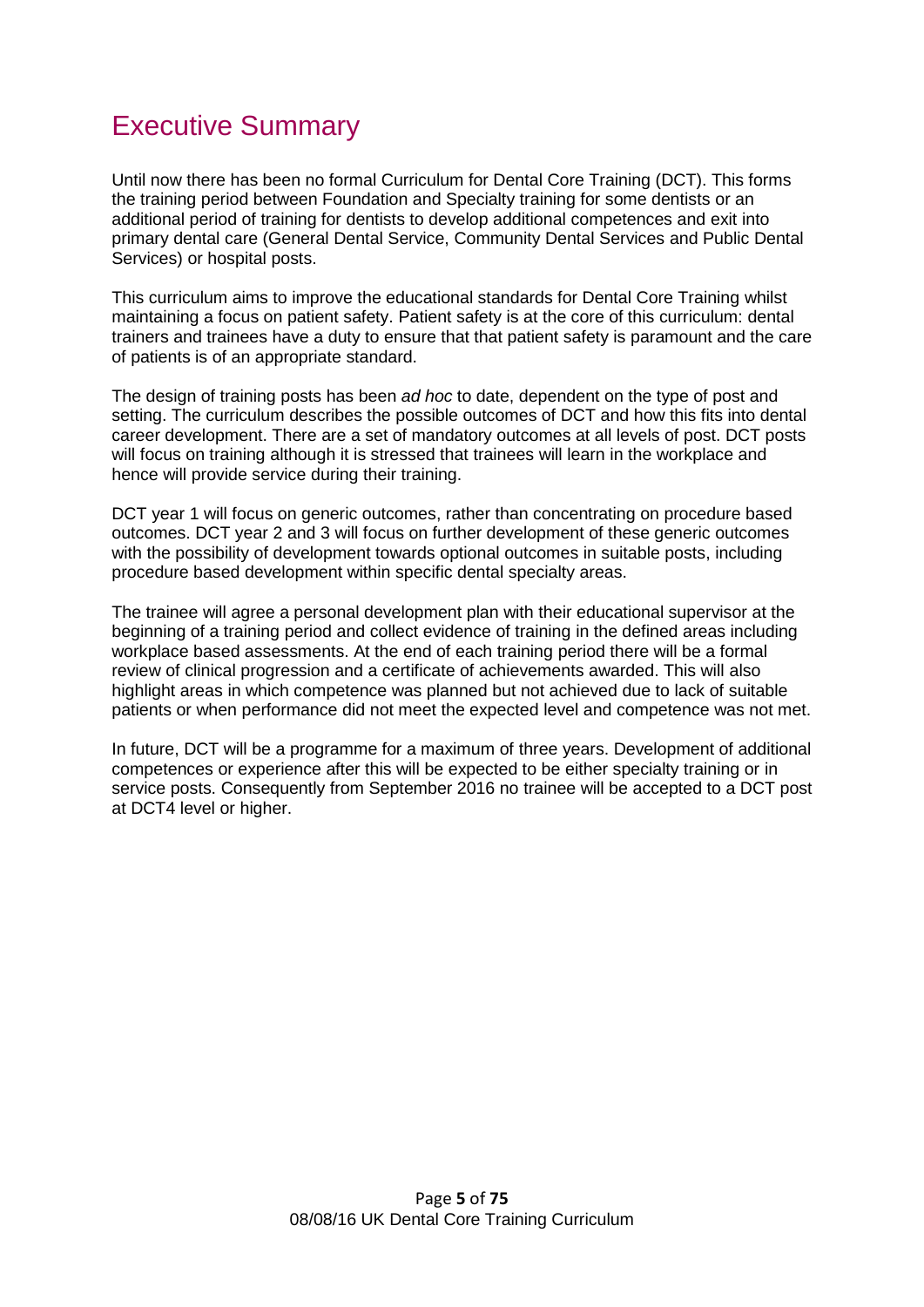# Executive Summary

Until now there has been no formal Curriculum for Dental Core Training (DCT). This forms the training period between Foundation and Specialty training for some dentists or an additional period of training for dentists to develop additional competences and exit into primary dental care (General Dental Service, Community Dental Services and Public Dental Services) or hospital posts.

This curriculum aims to improve the educational standards for Dental Core Training whilst maintaining a focus on patient safety. Patient safety is at the core of this curriculum: dental trainers and trainees have a duty to ensure that that patient safety is paramount and the care of patients is of an appropriate standard.

The design of training posts has been *ad hoc* to date, dependent on the type of post and setting. The curriculum describes the possible outcomes of DCT and how this fits into dental career development. There are a set of mandatory outcomes at all levels of post. DCT posts will focus on training although it is stressed that trainees will learn in the workplace and hence will provide service during their training.

DCT year 1 will focus on generic outcomes, rather than concentrating on procedure based outcomes. DCT year 2 and 3 will focus on further development of these generic outcomes with the possibility of development towards optional outcomes in suitable posts, including procedure based development within specific dental specialty areas.

The trainee will agree a personal development plan with their educational supervisor at the beginning of a training period and collect evidence of training in the defined areas including workplace based assessments. At the end of each training period there will be a formal review of clinical progression and a certificate of achievements awarded. This will also highlight areas in which competence was planned but not achieved due to lack of suitable patients or when performance did not meet the expected level and competence was not met.

In future, DCT will be a programme for a maximum of three years. Development of additional competences or experience after this will be expected to be either specialty training or in service posts. Consequently from September 2016 no trainee will be accepted to a DCT post at DCT4 level or higher.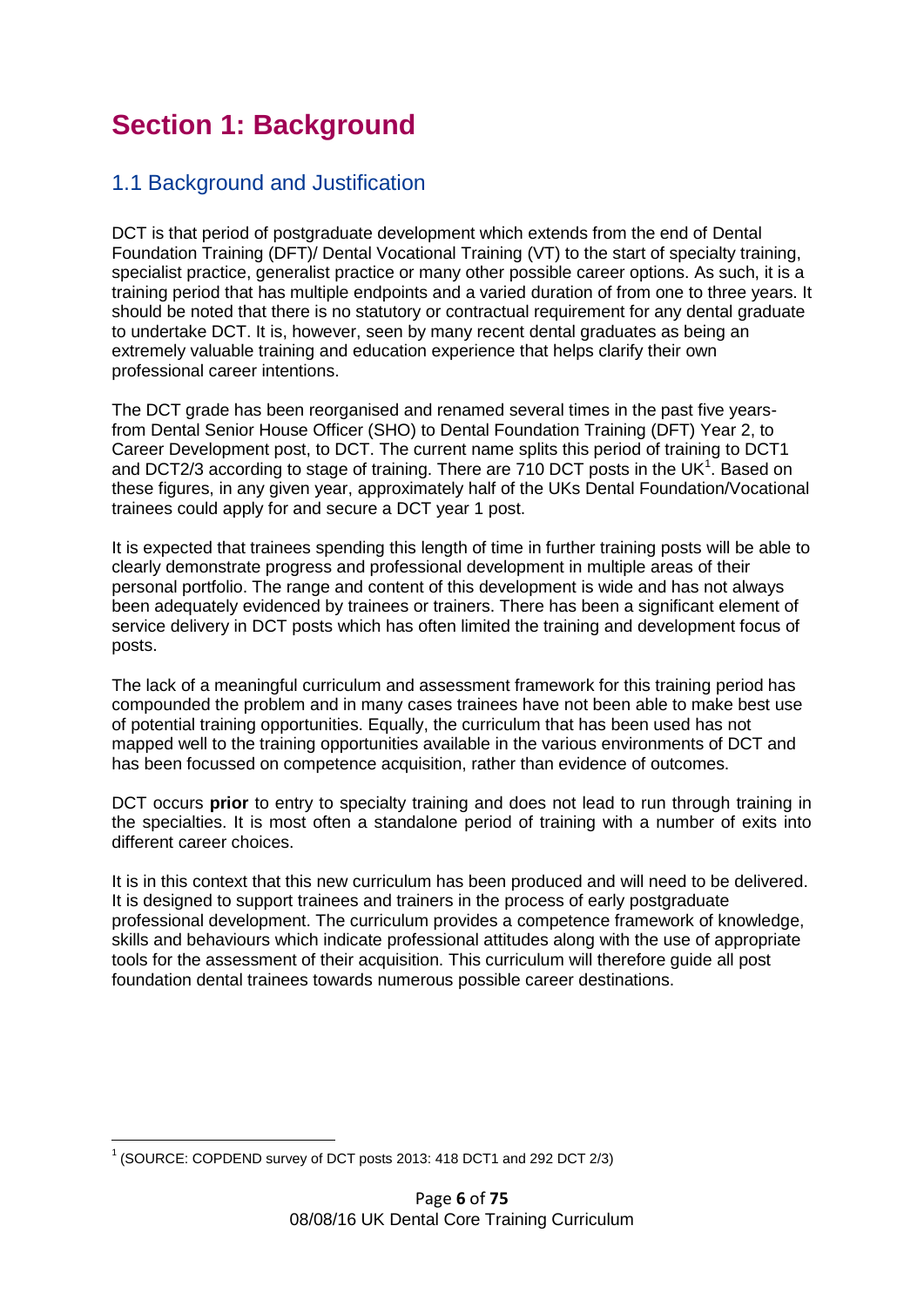# **Section 1: Background**

### 1.1 Background and Justification

DCT is that period of postgraduate development which extends from the end of Dental Foundation Training (DFT)/ Dental Vocational Training (VT) to the start of specialty training, specialist practice, generalist practice or many other possible career options. As such, it is a training period that has multiple endpoints and a varied duration of from one to three years. It should be noted that there is no statutory or contractual requirement for any dental graduate to undertake DCT. It is, however, seen by many recent dental graduates as being an extremely valuable training and education experience that helps clarify their own professional career intentions.

The DCT grade has been reorganised and renamed several times in the past five yearsfrom Dental Senior House Officer (SHO) to Dental Foundation Training (DFT) Year 2, to Career Development post, to DCT. The current name splits this period of training to DCT1 and DCT2/3 according to stage of training. There are 710 DCT posts in the UK $1$ . Based on these figures, in any given year, approximately half of the UKs Dental Foundation/Vocational trainees could apply for and secure a DCT year 1 post.

It is expected that trainees spending this length of time in further training posts will be able to clearly demonstrate progress and professional development in multiple areas of their personal portfolio. The range and content of this development is wide and has not always been adequately evidenced by trainees or trainers. There has been a significant element of service delivery in DCT posts which has often limited the training and development focus of posts.

The lack of a meaningful curriculum and assessment framework for this training period has compounded the problem and in many cases trainees have not been able to make best use of potential training opportunities. Equally, the curriculum that has been used has not mapped well to the training opportunities available in the various environments of DCT and has been focussed on competence acquisition, rather than evidence of outcomes.

DCT occurs **prior** to entry to specialty training and does not lead to run through training in the specialties. It is most often a standalone period of training with a number of exits into different career choices.

It is in this context that this new curriculum has been produced and will need to be delivered. It is designed to support trainees and trainers in the process of early postgraduate professional development. The curriculum provides a competence framework of knowledge, skills and behaviours which indicate professional attitudes along with the use of appropriate tools for the assessment of their acquisition. This curriculum will therefore guide all post foundation dental trainees towards numerous possible career destinations.

<sup>&</sup>lt;u>.</u>  $1$  (SOURCE: COPDEND survey of DCT posts 2013: 418 DCT1 and 292 DCT 2/3)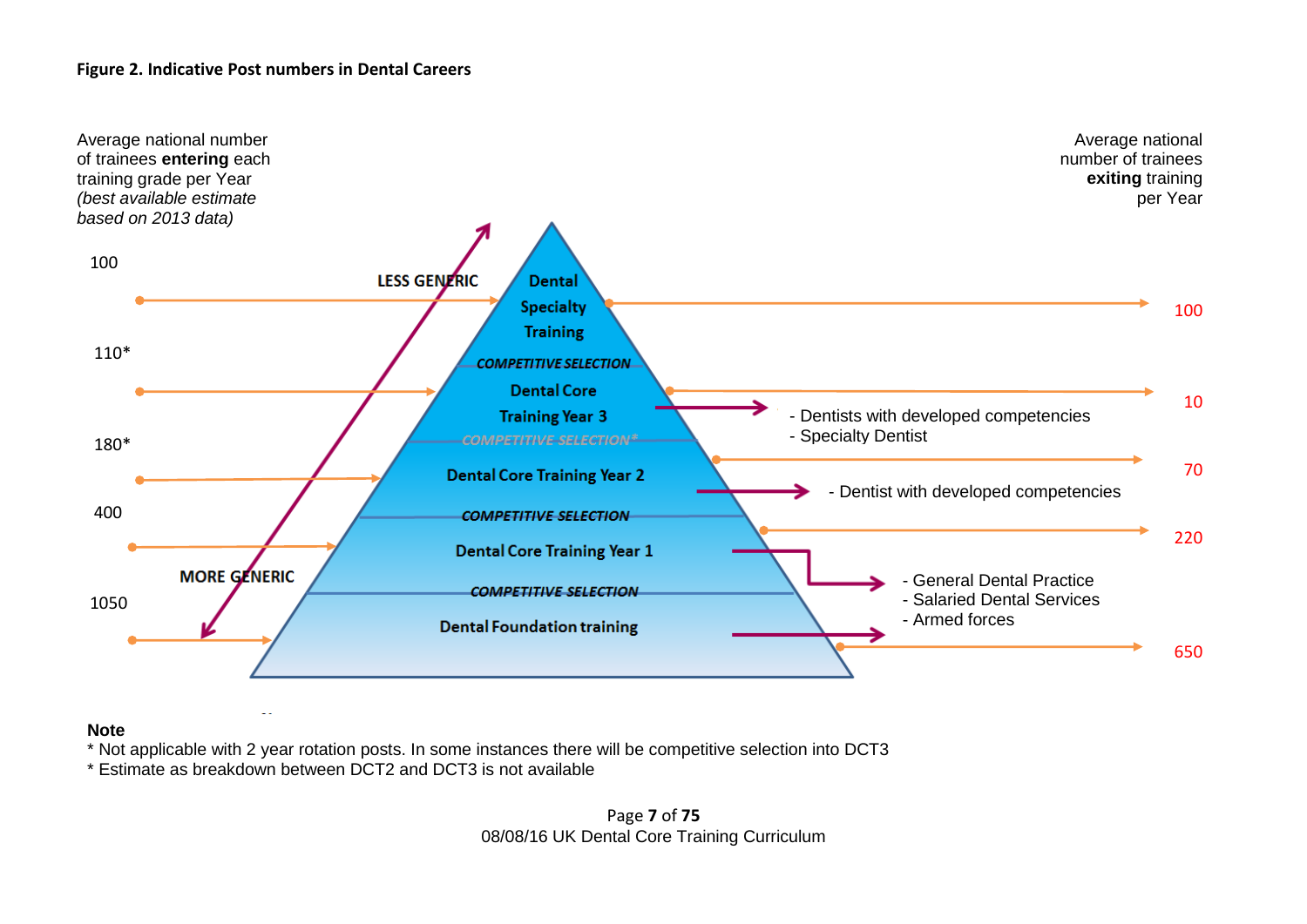#### **Figure 2. Indicative Post numbers in Dental Careers**



**Note**

\* Not applicable with 2 year rotation posts. In some instances there will be competitive selection into DCT3

\* Estimate as breakdown between DCT2 and DCT3 is not available

#### Page **7** of **75** 08/08/16 UK Dental Core Training Curriculum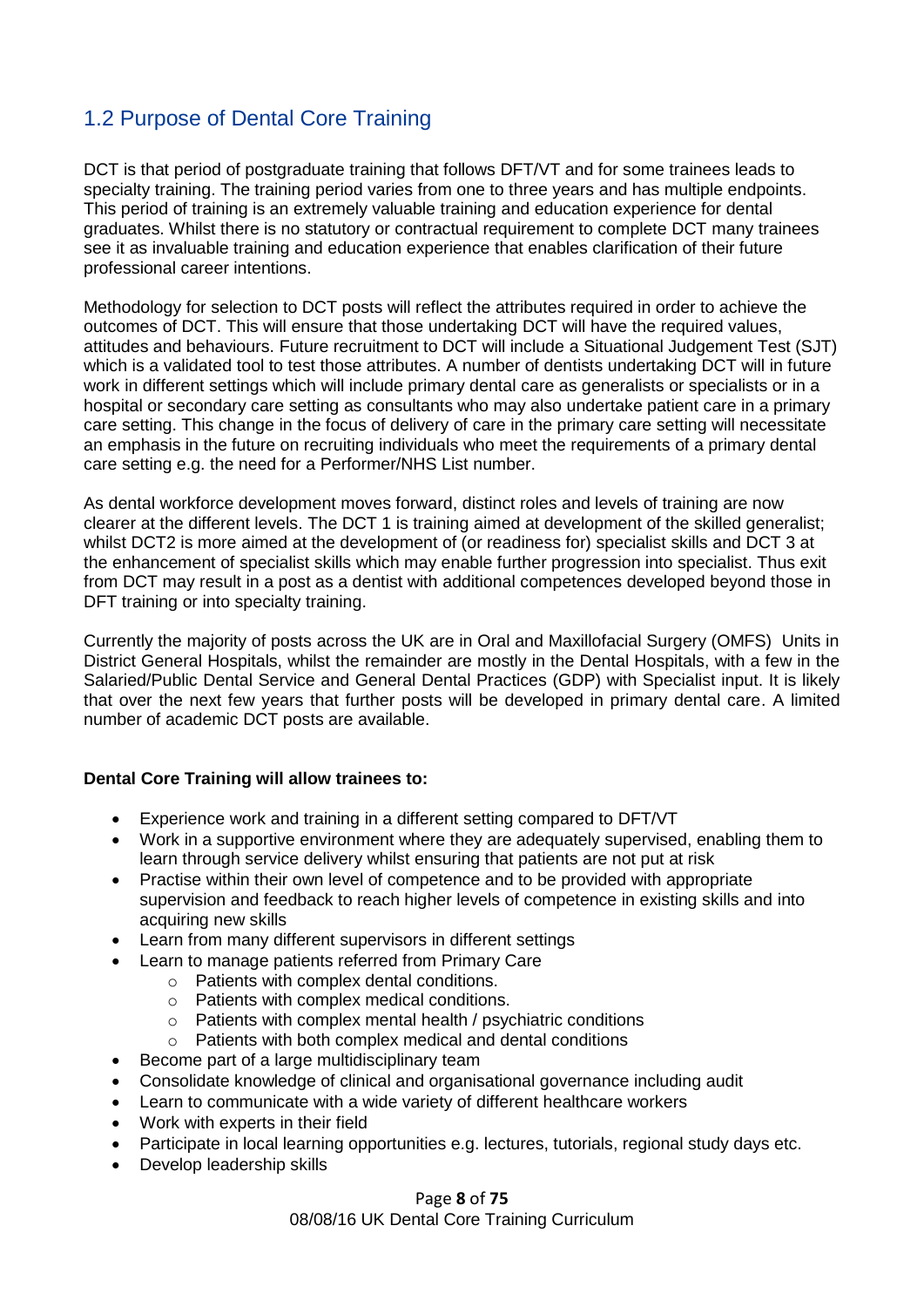### 1.2 Purpose of Dental Core Training

DCT is that period of postgraduate training that follows DFT/VT and for some trainees leads to specialty training. The training period varies from one to three years and has multiple endpoints. This period of training is an extremely valuable training and education experience for dental graduates. Whilst there is no statutory or contractual requirement to complete DCT many trainees see it as invaluable training and education experience that enables clarification of their future professional career intentions.

Methodology for selection to DCT posts will reflect the attributes required in order to achieve the outcomes of DCT. This will ensure that those undertaking DCT will have the required values, attitudes and behaviours. Future recruitment to DCT will include a Situational Judgement Test (SJT) which is a validated tool to test those attributes. A number of dentists undertaking DCT will in future work in different settings which will include primary dental care as generalists or specialists or in a hospital or secondary care setting as consultants who may also undertake patient care in a primary care setting. This change in the focus of delivery of care in the primary care setting will necessitate an emphasis in the future on recruiting individuals who meet the requirements of a primary dental care setting e.g. the need for a Performer/NHS List number.

As dental workforce development moves forward, distinct roles and levels of training are now clearer at the different levels. The DCT 1 is training aimed at development of the skilled generalist; whilst DCT2 is more aimed at the development of (or readiness for) specialist skills and DCT 3 at the enhancement of specialist skills which may enable further progression into specialist. Thus exit from DCT may result in a post as a dentist with additional competences developed beyond those in DFT training or into specialty training.

Currently the majority of posts across the UK are in Oral and Maxillofacial Surgery (OMFS) Units in District General Hospitals, whilst the remainder are mostly in the Dental Hospitals, with a few in the Salaried/Public Dental Service and General Dental Practices (GDP) with Specialist input. It is likely that over the next few years that further posts will be developed in primary dental care. A limited number of academic DCT posts are available.

#### **Dental Core Training will allow trainees to:**

- Experience work and training in a different setting compared to DFT/VT
- Work in a supportive environment where they are adequately supervised, enabling them to learn through service delivery whilst ensuring that patients are not put at risk
- Practise within their own level of competence and to be provided with appropriate supervision and feedback to reach higher levels of competence in existing skills and into acquiring new skills
- Learn from many different supervisors in different settings
- Learn to manage patients referred from Primary Care
	- o Patients with complex dental conditions.
	- o Patients with complex medical conditions.
	- o Patients with complex mental health / psychiatric conditions
	- o Patients with both complex medical and dental conditions
- Become part of a large multidisciplinary team
- Consolidate knowledge of clinical and organisational governance including audit
- Learn to communicate with a wide variety of different healthcare workers
- Work with experts in their field
- Participate in local learning opportunities e.g. lectures, tutorials, regional study days etc.
- Develop leadership skills

#### Page **8** of **75** 08/08/16 UK Dental Core Training Curriculum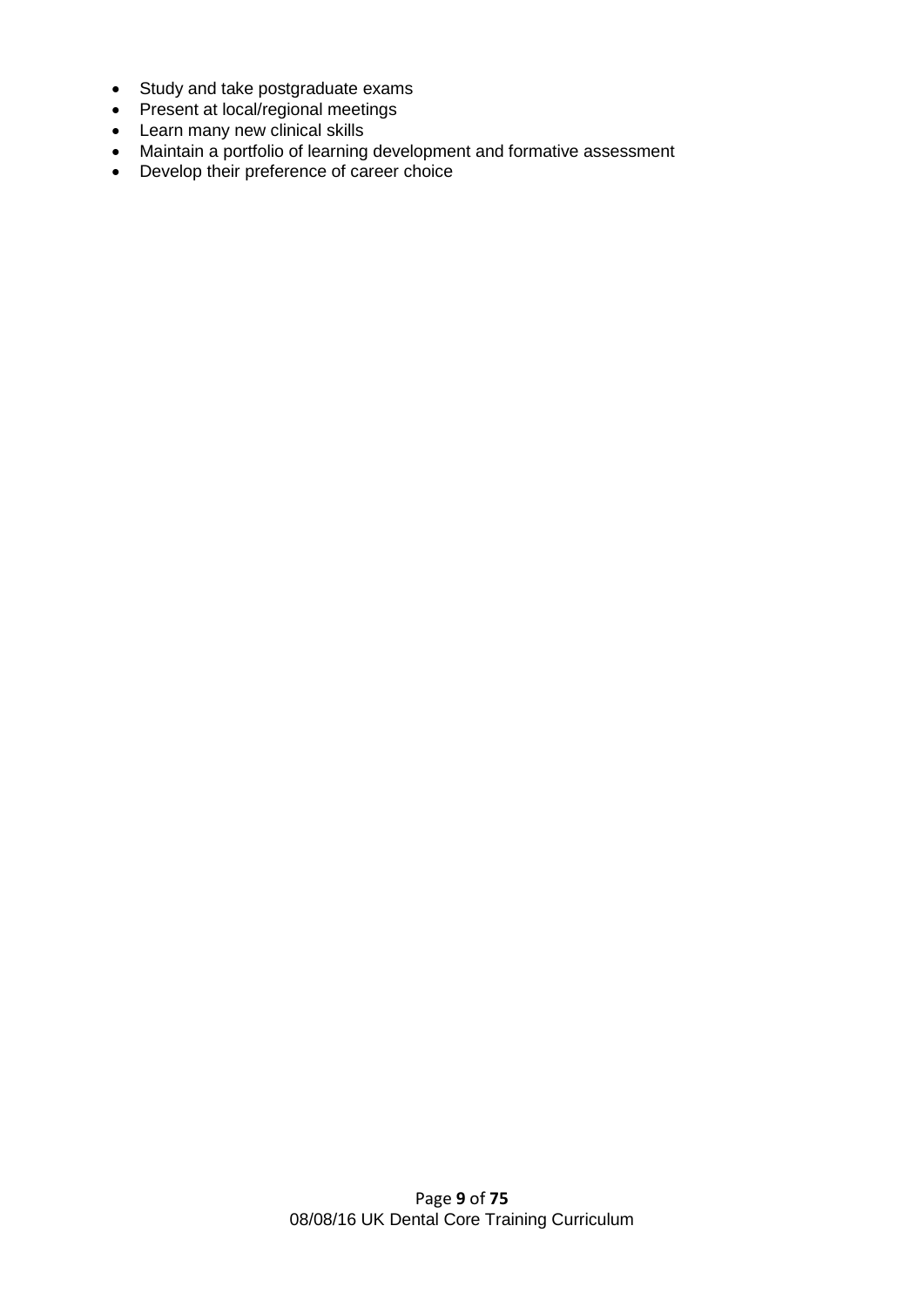- Study and take postgraduate exams
- Present at local/regional meetings
- Learn many new clinical skills
- Maintain a portfolio of learning development and formative assessment
- Develop their preference of career choice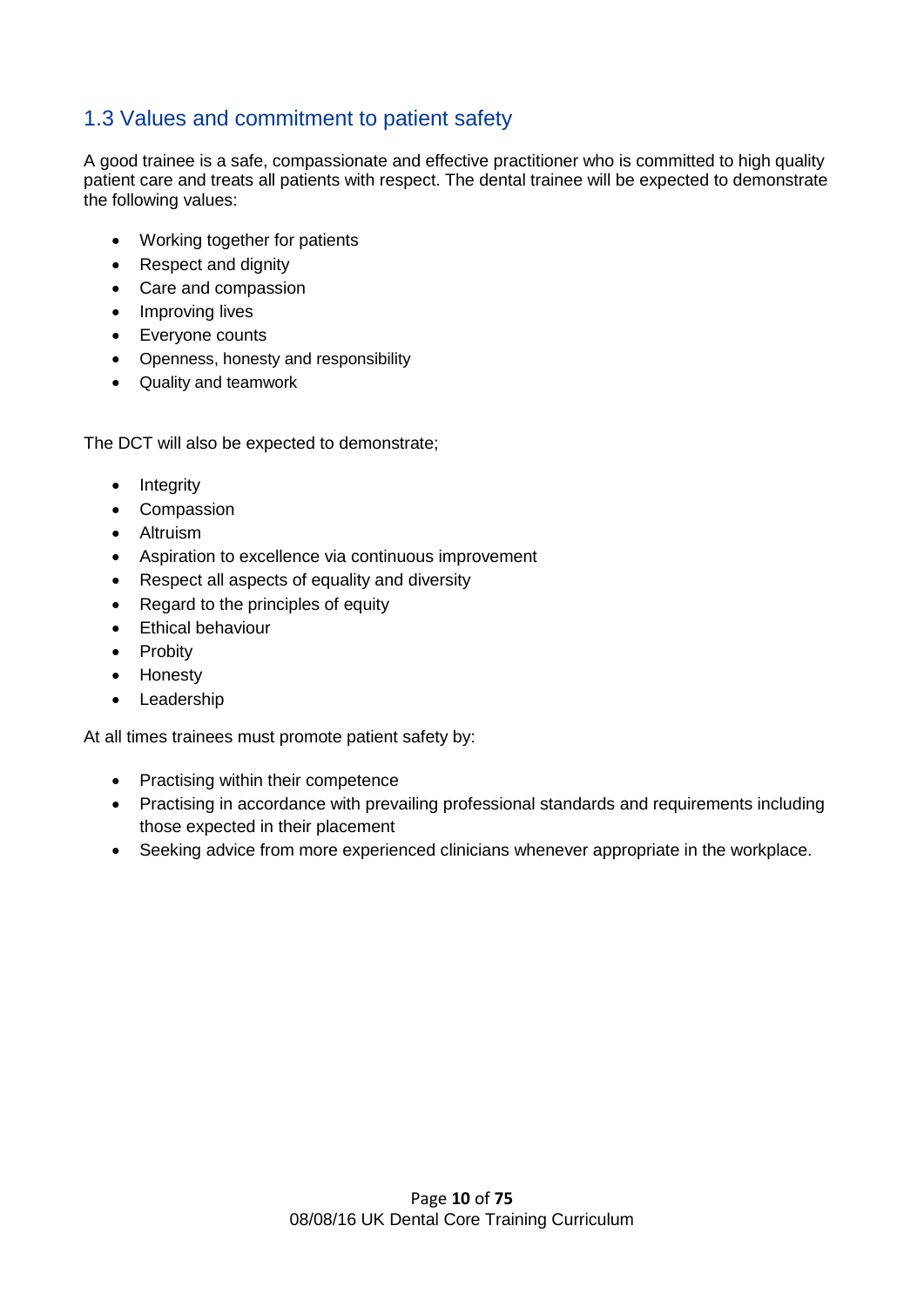### 1.3 Values and commitment to patient safety

A good trainee is a safe, compassionate and effective practitioner who is committed to high quality patient care and treats all patients with respect. The dental trainee will be expected to demonstrate the following values:

- Working together for patients
- Respect and dignity
- Care and compassion
- Improving lives
- Everyone counts
- Openness, honesty and responsibility
- Quality and teamwork

The DCT will also be expected to demonstrate;

- Integrity
- Compassion
- Altruism
- Aspiration to excellence via continuous improvement
- Respect all aspects of equality and diversity
- Regard to the principles of equity
- **Ethical behaviour**
- Probity
- Honesty
- Leadership

At all times trainees must promote patient safety by:

- Practising within their competence
- Practising in accordance with prevailing professional standards and requirements including those expected in their placement
- Seeking advice from more experienced clinicians whenever appropriate in the workplace.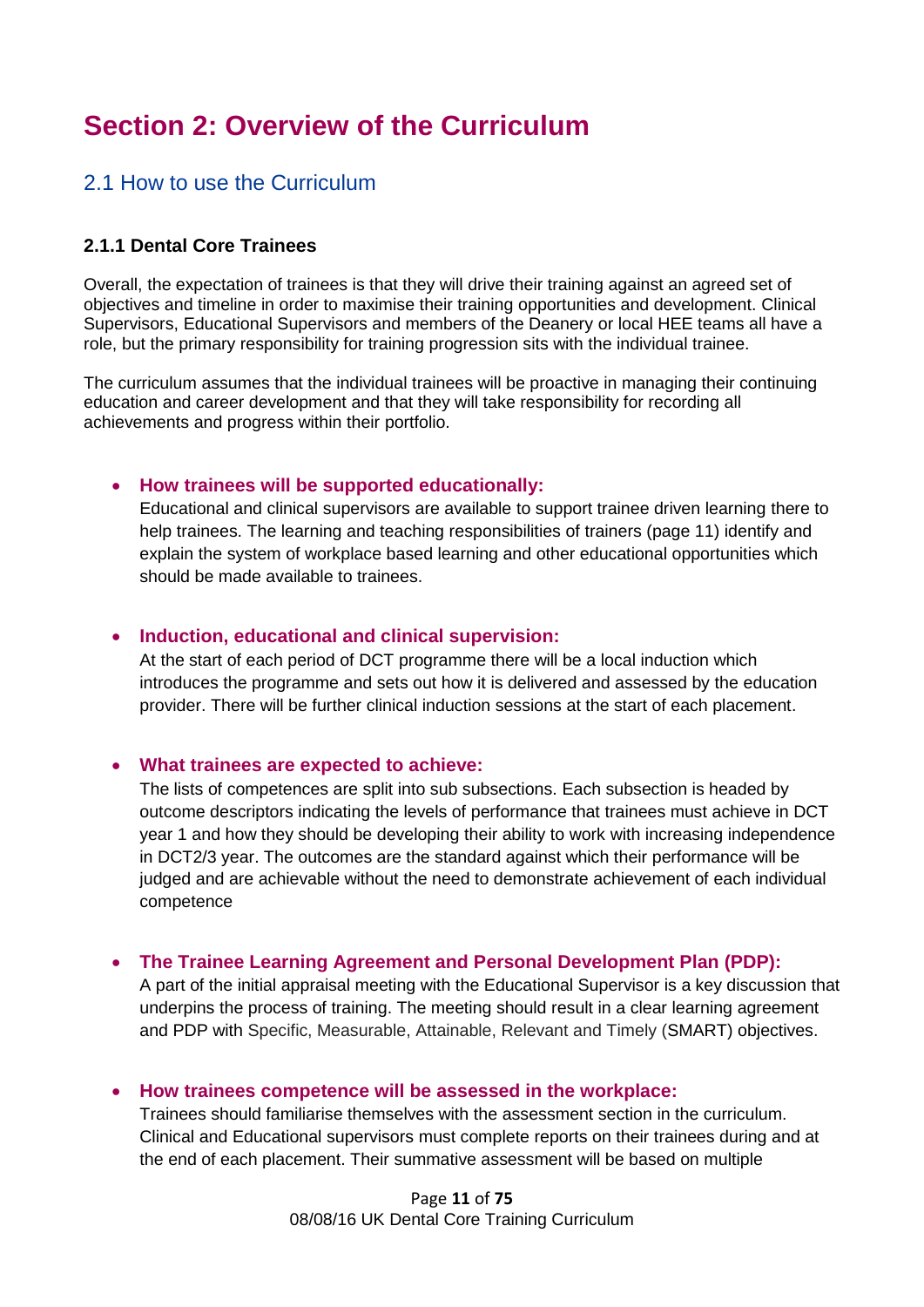# **Section 2: Overview of the Curriculum**

#### 2.1 How to use the Curriculum

#### **2.1.1 Dental Core Trainees**

Overall, the expectation of trainees is that they will drive their training against an agreed set of objectives and timeline in order to maximise their training opportunities and development. Clinical Supervisors, Educational Supervisors and members of the Deanery or local HEE teams all have a role, but the primary responsibility for training progression sits with the individual trainee.

The curriculum assumes that the individual trainees will be proactive in managing their continuing education and career development and that they will take responsibility for recording all achievements and progress within their portfolio.

#### **How trainees will be supported educationally:**

Educational and clinical supervisors are available to support trainee driven learning there to help trainees. The learning and teaching responsibilities of trainers (page 11) identify and explain the system of workplace based learning and other educational opportunities which should be made available to trainees.

#### **Induction, educational and clinical supervision:**

At the start of each period of DCT programme there will be a local induction which introduces the programme and sets out how it is delivered and assessed by the education provider. There will be further clinical induction sessions at the start of each placement.

#### **What trainees are expected to achieve:**

The lists of competences are split into sub subsections. Each subsection is headed by outcome descriptors indicating the levels of performance that trainees must achieve in DCT year 1 and how they should be developing their ability to work with increasing independence in DCT2/3 year. The outcomes are the standard against which their performance will be judged and are achievable without the need to demonstrate achievement of each individual competence

#### **The Trainee Learning Agreement and Personal Development Plan (PDP):**

A part of the initial appraisal meeting with the Educational Supervisor is a key discussion that underpins the process of training. The meeting should result in a clear learning agreement and PDP with Specific, Measurable, Attainable, Relevant and Timely (SMART) objectives.

#### **How trainees competence will be assessed in the workplace:**

Trainees should familiarise themselves with the assessment section in the curriculum. Clinical and Educational supervisors must complete reports on their trainees during and at the end of each placement. Their summative assessment will be based on multiple

> Page **11** of **75** 08/08/16 UK Dental Core Training Curriculum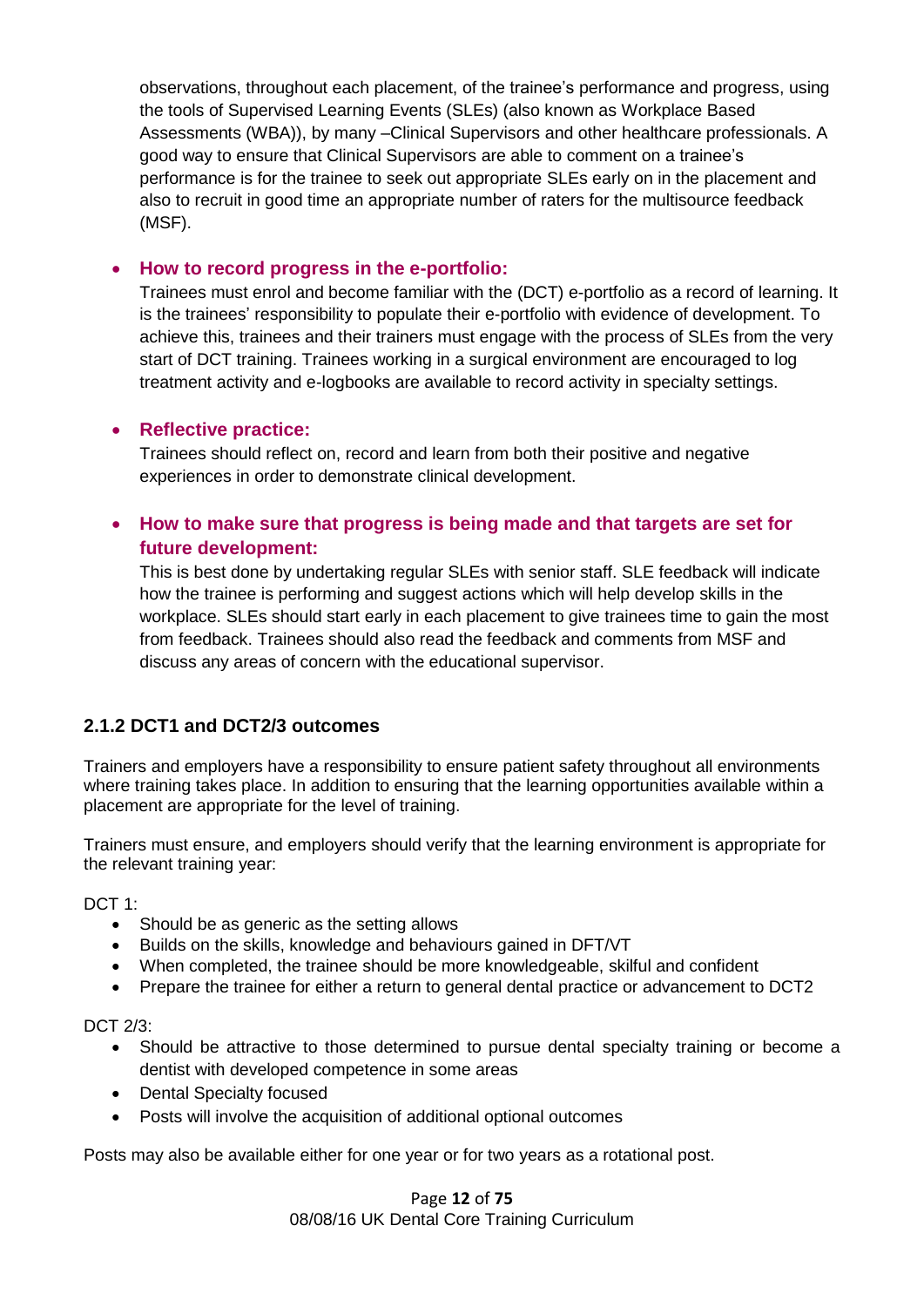observations, throughout each placement, of the trainee's performance and progress, using the tools of Supervised Learning Events (SLEs) (also known as Workplace Based Assessments (WBA)), by many –Clinical Supervisors and other healthcare professionals. A good way to ensure that Clinical Supervisors are able to comment on a trainee's performance is for the trainee to seek out appropriate SLEs early on in the placement and also to recruit in good time an appropriate number of raters for the multisource feedback (MSF).

#### **How to record progress in the e-portfolio:**

Trainees must enrol and become familiar with the (DCT) e-portfolio as a record of learning. It is the trainees' responsibility to populate their e-portfolio with evidence of development. To achieve this, trainees and their trainers must engage with the process of SLEs from the very start of DCT training. Trainees working in a surgical environment are encouraged to log treatment activity and e-logbooks are available to record activity in specialty settings.

#### **Reflective practice:**

Trainees should reflect on, record and learn from both their positive and negative experiences in order to demonstrate clinical development.

#### **How to make sure that progress is being made and that targets are set for future development:**

This is best done by undertaking regular SLEs with senior staff. SLE feedback will indicate how the trainee is performing and suggest actions which will help develop skills in the workplace. SLEs should start early in each placement to give trainees time to gain the most from feedback. Trainees should also read the feedback and comments from MSF and discuss any areas of concern with the educational supervisor.

#### **2.1.2 DCT1 and DCT2/3 outcomes**

Trainers and employers have a responsibility to ensure patient safety throughout all environments where training takes place. In addition to ensuring that the learning opportunities available within a placement are appropriate for the level of training.

Trainers must ensure, and employers should verify that the learning environment is appropriate for the relevant training year:

DCT 1:

- Should be as generic as the setting allows
- Builds on the skills, knowledge and behaviours gained in DFT/VT
- When completed, the trainee should be more knowledgeable, skilful and confident
- Prepare the trainee for either a return to general dental practice or advancement to DCT2

DCT 2/3:

- Should be attractive to those determined to pursue dental specialty training or become a dentist with developed competence in some areas
- Dental Specialty focused
- Posts will involve the acquisition of additional optional outcomes

Posts may also be available either for one year or for two years as a rotational post.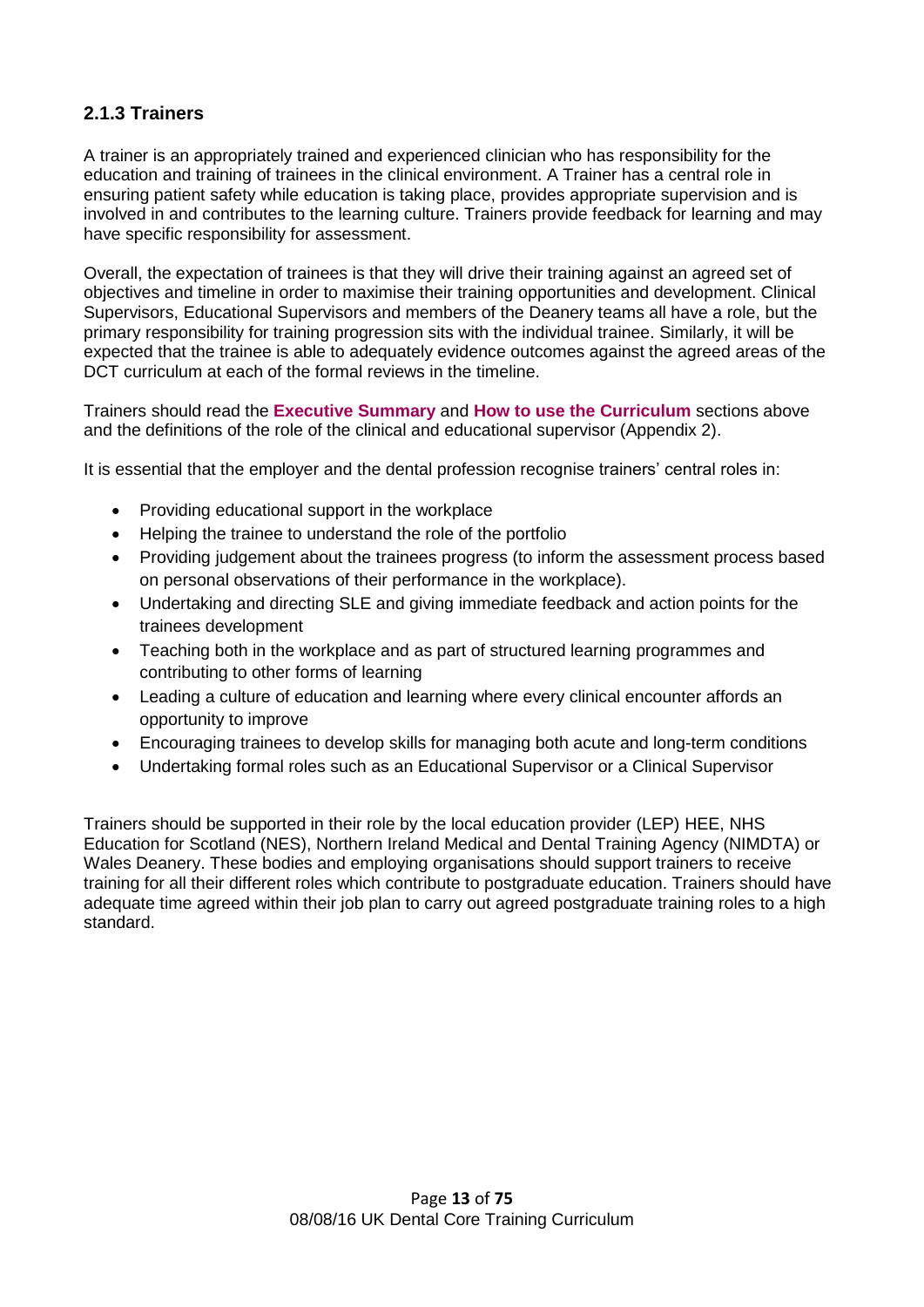#### **2.1.3 Trainers**

A trainer is an appropriately trained and experienced clinician who has responsibility for the education and training of trainees in the clinical environment. A Trainer has a central role in ensuring patient safety while education is taking place, provides appropriate supervision and is involved in and contributes to the learning culture. Trainers provide feedback for learning and may have specific responsibility for assessment.

Overall, the expectation of trainees is that they will drive their training against an agreed set of objectives and timeline in order to maximise their training opportunities and development. Clinical Supervisors, Educational Supervisors and members of the Deanery teams all have a role, but the primary responsibility for training progression sits with the individual trainee. Similarly, it will be expected that the trainee is able to adequately evidence outcomes against the agreed areas of the DCT curriculum at each of the formal reviews in the timeline.

Trainers should read the **Executive Summary** and **How to use the Curriculum** sections above and the definitions of the role of the clinical and educational supervisor (Appendix 2).

It is essential that the employer and the dental profession recognise trainers' central roles in:

- Providing educational support in the workplace
- Helping the trainee to understand the role of the portfolio
- Providing judgement about the trainees progress (to inform the assessment process based on personal observations of their performance in the workplace).
- Undertaking and directing SLE and giving immediate feedback and action points for the trainees development
- Teaching both in the workplace and as part of structured learning programmes and contributing to other forms of learning
- Leading a culture of education and learning where every clinical encounter affords an opportunity to improve
- Encouraging trainees to develop skills for managing both acute and long-term conditions
- Undertaking formal roles such as an Educational Supervisor or a Clinical Supervisor

Trainers should be supported in their role by the local education provider (LEP) HEE, NHS Education for Scotland (NES), Northern Ireland Medical and Dental Training Agency (NIMDTA) or Wales Deanery. These bodies and employing organisations should support trainers to receive training for all their different roles which contribute to postgraduate education. Trainers should have adequate time agreed within their job plan to carry out agreed postgraduate training roles to a high standard.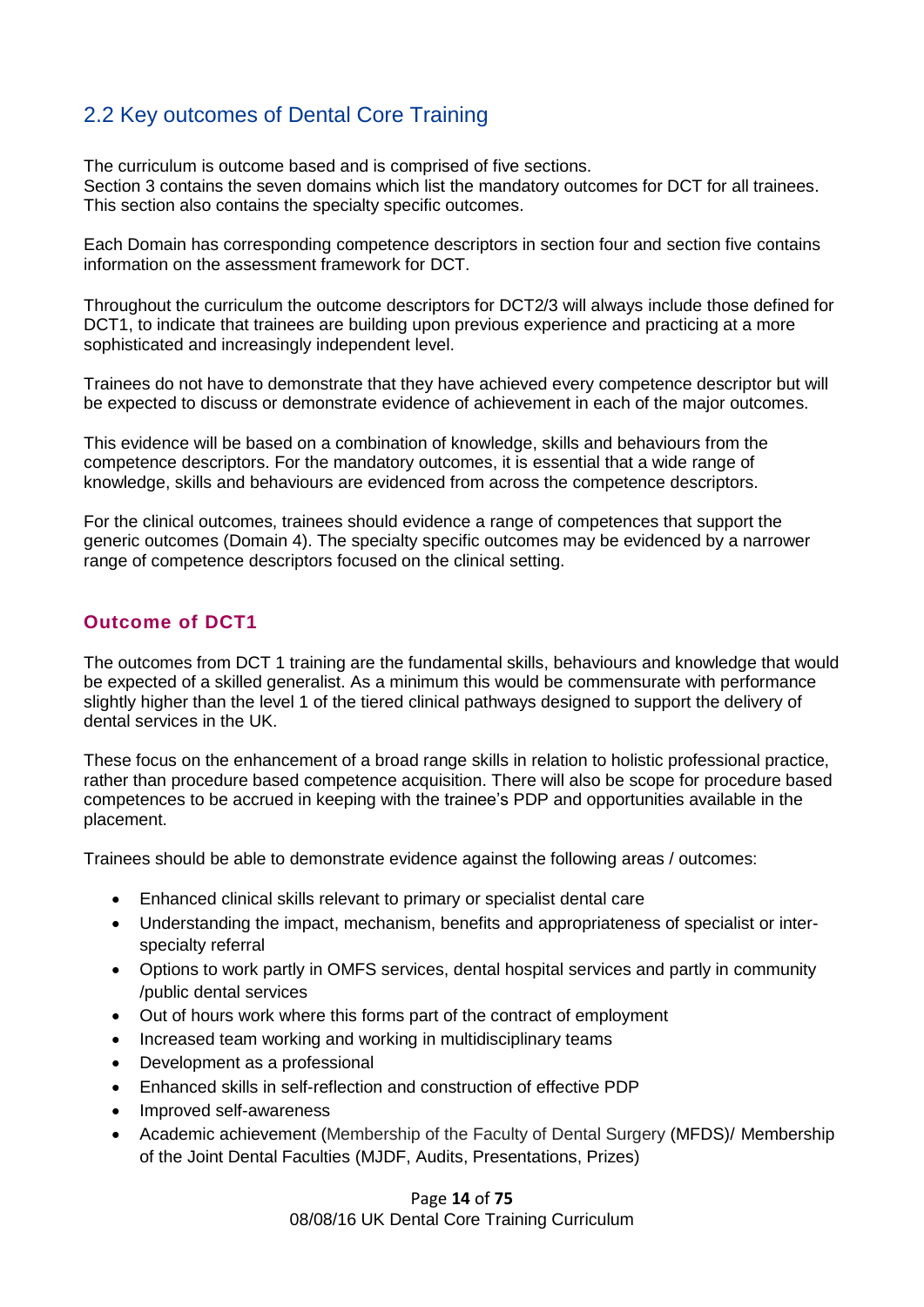# 2.2 Key outcomes of Dental Core Training

The curriculum is outcome based and is comprised of five sections. Section 3 contains the seven domains which list the mandatory outcomes for DCT for all trainees. This section also contains the specialty specific outcomes.

Each Domain has corresponding competence descriptors in section four and section five contains information on the assessment framework for DCT.

Throughout the curriculum the outcome descriptors for DCT2/3 will always include those defined for DCT1, to indicate that trainees are building upon previous experience and practicing at a more sophisticated and increasingly independent level.

Trainees do not have to demonstrate that they have achieved every competence descriptor but will be expected to discuss or demonstrate evidence of achievement in each of the major outcomes.

This evidence will be based on a combination of knowledge, skills and behaviours from the competence descriptors. For the mandatory outcomes, it is essential that a wide range of knowledge, skills and behaviours are evidenced from across the competence descriptors.

For the clinical outcomes, trainees should evidence a range of competences that support the generic outcomes (Domain 4). The specialty specific outcomes may be evidenced by a narrower range of competence descriptors focused on the clinical setting.

#### **Outcome of DCT1**

The outcomes from DCT 1 training are the fundamental skills, behaviours and knowledge that would be expected of a skilled generalist. As a minimum this would be commensurate with performance slightly higher than the level 1 of the tiered clinical pathways designed to support the delivery of dental services in the UK.

These focus on the enhancement of a broad range skills in relation to holistic professional practice, rather than procedure based competence acquisition. There will also be scope for procedure based competences to be accrued in keeping with the trainee's PDP and opportunities available in the placement.

Trainees should be able to demonstrate evidence against the following areas / outcomes:

- Enhanced clinical skills relevant to primary or specialist dental care
- Understanding the impact, mechanism, benefits and appropriateness of specialist or interspecialty referral
- Options to work partly in OMFS services, dental hospital services and partly in community /public dental services
- Out of hours work where this forms part of the contract of employment
- Increased team working and working in multidisciplinary teams
- Development as a professional
- Enhanced skills in self-reflection and construction of effective PDP
- Improved self-awareness
- Academic achievement (Membership of the Faculty of Dental Surgery (MFDS)/ Membership of the Joint Dental Faculties (MJDF, Audits, Presentations, Prizes)

Page **14** of **75** 08/08/16 UK Dental Core Training Curriculum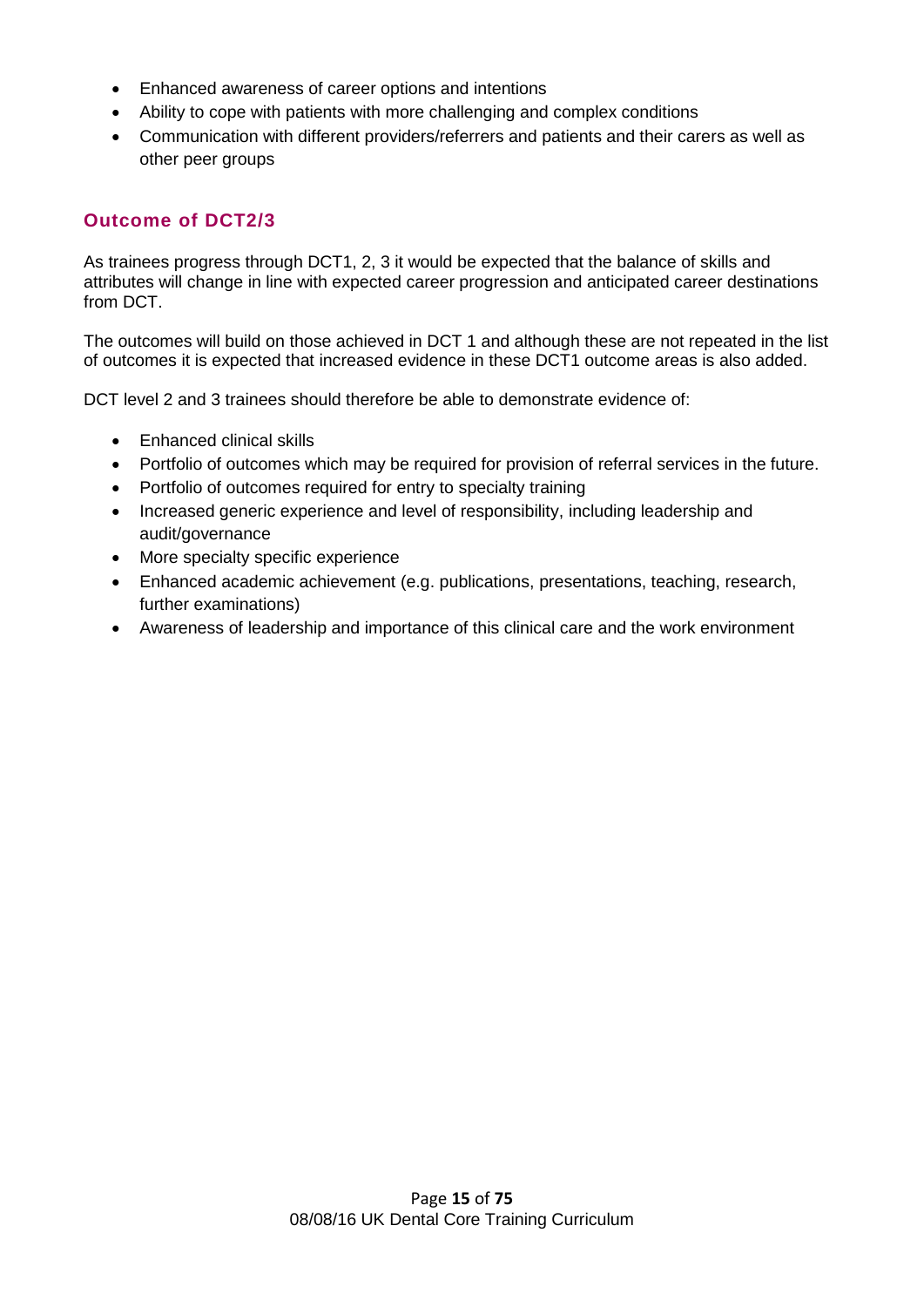- Enhanced awareness of career options and intentions
- Ability to cope with patients with more challenging and complex conditions
- Communication with different providers/referrers and patients and their carers as well as other peer groups

#### **Outcome of DCT2/3**

As trainees progress through DCT1, 2, 3 it would be expected that the balance of skills and attributes will change in line with expected career progression and anticipated career destinations from DCT.

The outcomes will build on those achieved in DCT 1 and although these are not repeated in the list of outcomes it is expected that increased evidence in these DCT1 outcome areas is also added.

DCT level 2 and 3 trainees should therefore be able to demonstrate evidence of:

- Enhanced clinical skills
- Portfolio of outcomes which may be required for provision of referral services in the future.
- Portfolio of outcomes required for entry to specialty training
- Increased generic experience and level of responsibility, including leadership and audit/governance
- More specialty specific experience
- Enhanced academic achievement (e.g. publications, presentations, teaching, research, further examinations)
- Awareness of leadership and importance of this clinical care and the work environment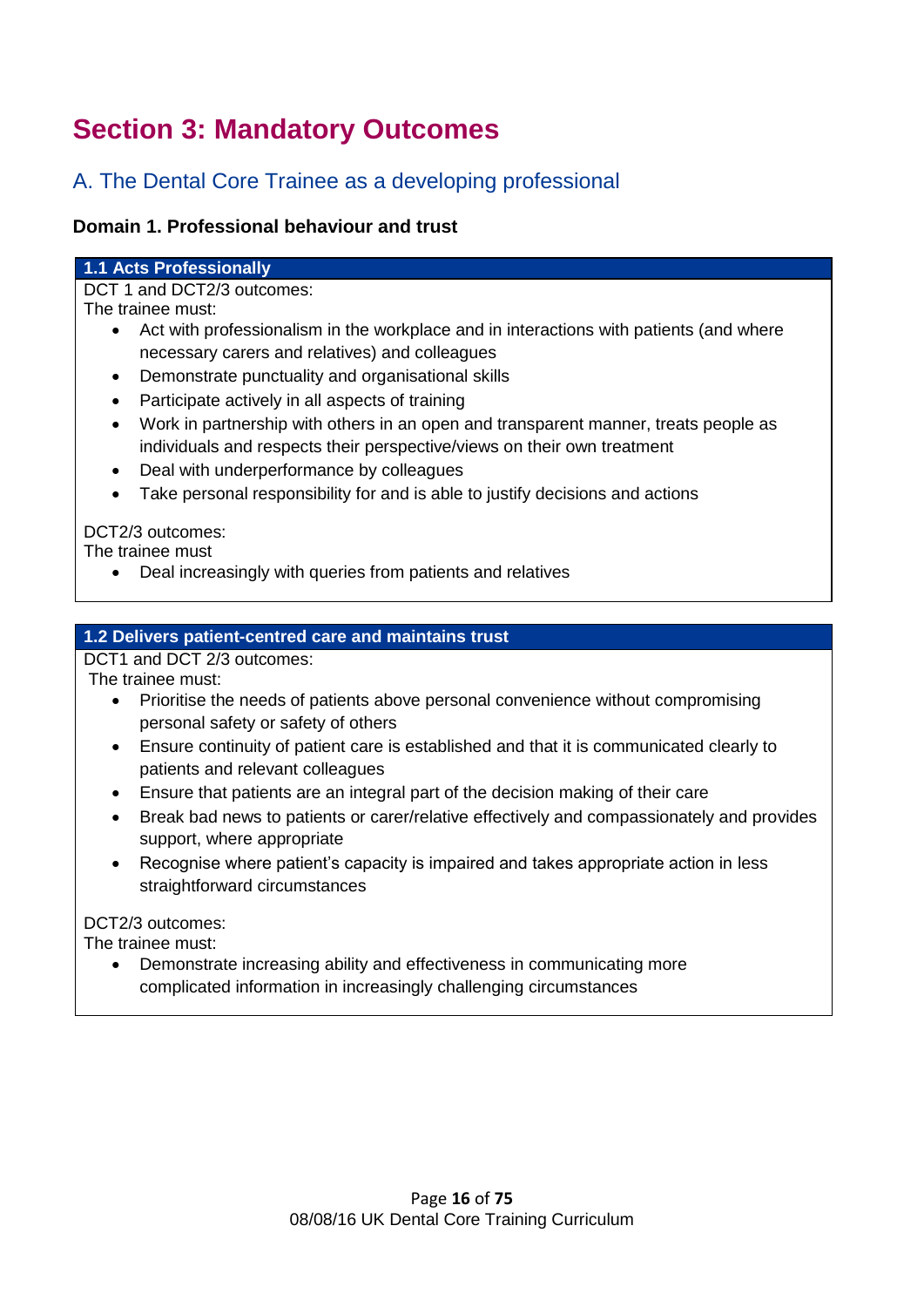# **Section 3: Mandatory Outcomes**

# A. The Dental Core Trainee as a developing professional

#### **Domain 1. Professional behaviour and trust**

#### **1.1 Acts Professionally**

DCT 1 and DCT2/3 outcomes:

The trainee must:

- Act with professionalism in the workplace and in interactions with patients (and where necessary carers and relatives) and colleagues
- Demonstrate punctuality and organisational skills
- Participate actively in all aspects of training
- Work in partnership with others in an open and transparent manner, treats people as individuals and respects their perspective/views on their own treatment
- Deal with underperformance by colleagues
- Take personal responsibility for and is able to justify decisions and actions

#### DCT2/3 outcomes:

The trainee must

Deal increasingly with queries from patients and relatives

#### **1.2 Delivers patient-centred care and maintains trust**

DCT1 and DCT 2/3 outcomes:

The trainee must:

- Prioritise the needs of patients above personal convenience without compromising personal safety or safety of others
- Ensure continuity of patient care is established and that it is communicated clearly to patients and relevant colleagues
- Ensure that patients are an integral part of the decision making of their care
- Break bad news to patients or carer/relative effectively and compassionately and provides support, where appropriate
- Recognise where patient's capacity is impaired and takes appropriate action in less straightforward circumstances

#### DCT2/3 outcomes:

The trainee must:

 Demonstrate increasing ability and effectiveness in communicating more complicated information in increasingly challenging circumstances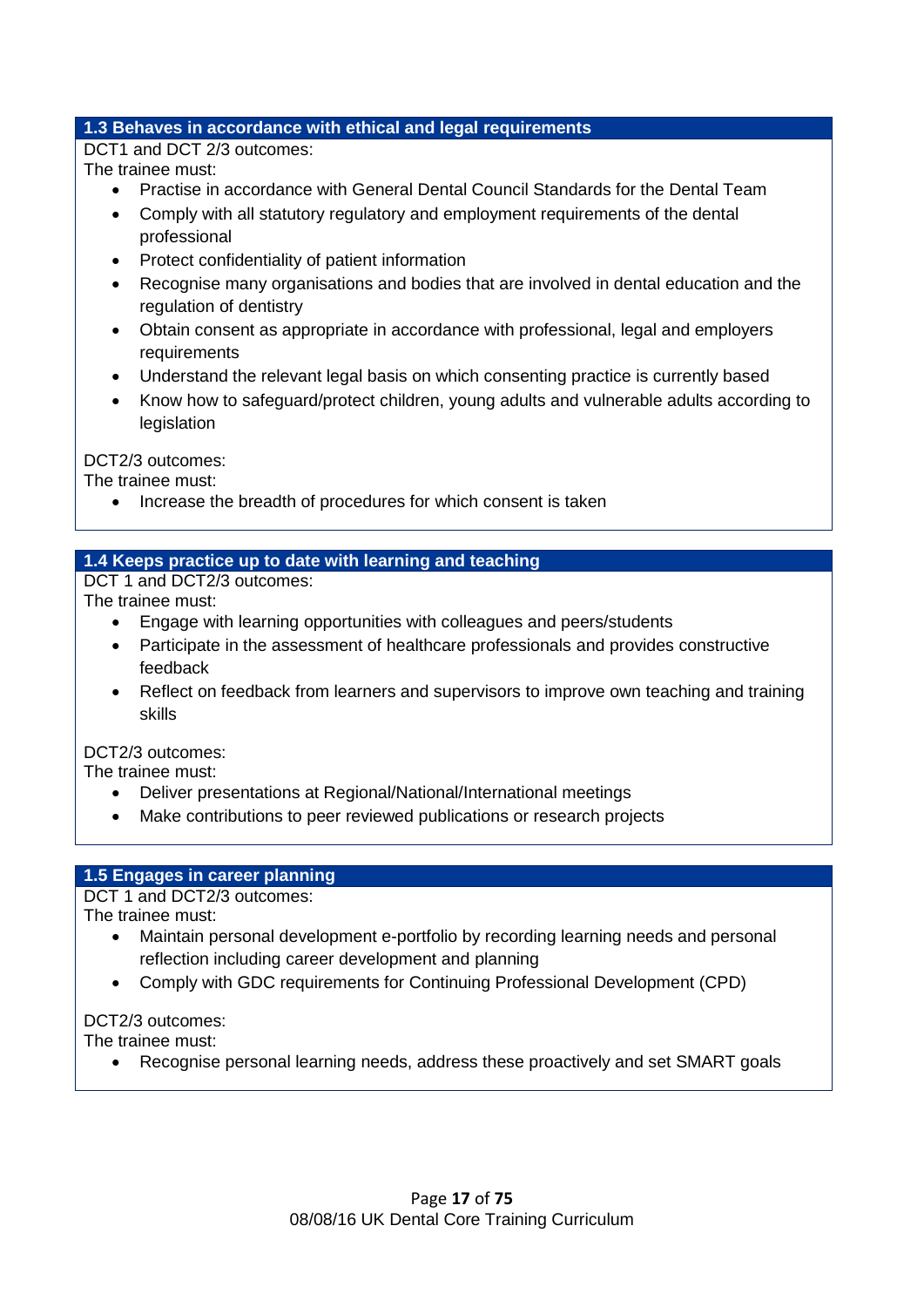#### **1.3 Behaves in accordance with ethical and legal requirements**

DCT1 and DCT 2/3 outcomes:

The trainee must:

- Practise in accordance with General Dental Council Standards for the Dental Team
- Comply with all statutory regulatory and employment requirements of the dental professional
- Protect confidentiality of patient information
- Recognise many organisations and bodies that are involved in dental education and the regulation of dentistry
- Obtain consent as appropriate in accordance with professional, legal and employers requirements
- Understand the relevant legal basis on which consenting practice is currently based
- Know how to safeguard/protect children, young adults and vulnerable adults according to legislation

DCT2/3 outcomes:

The trainee must:

• Increase the breadth of procedures for which consent is taken

#### **1.4 Keeps practice up to date with learning and teaching**

DCT 1 and DCT2/3 outcomes:

The trainee must:

- Engage with learning opportunities with colleagues and peers/students
- Participate in the assessment of healthcare professionals and provides constructive feedback
- Reflect on feedback from learners and supervisors to improve own teaching and training skills

#### DCT2/3 outcomes:

The trainee must:

- Deliver presentations at Regional/National/International meetings
- Make contributions to peer reviewed publications or research projects

#### **1.5 Engages in career planning**

DCT 1 and DCT2/3 outcomes:

The trainee must:

- Maintain personal development e-portfolio by recording learning needs and personal reflection including career development and planning
- Comply with GDC requirements for Continuing Professional Development (CPD)

#### DCT2/3 outcomes:

The trainee must:

Recognise personal learning needs, address these proactively and set SMART goals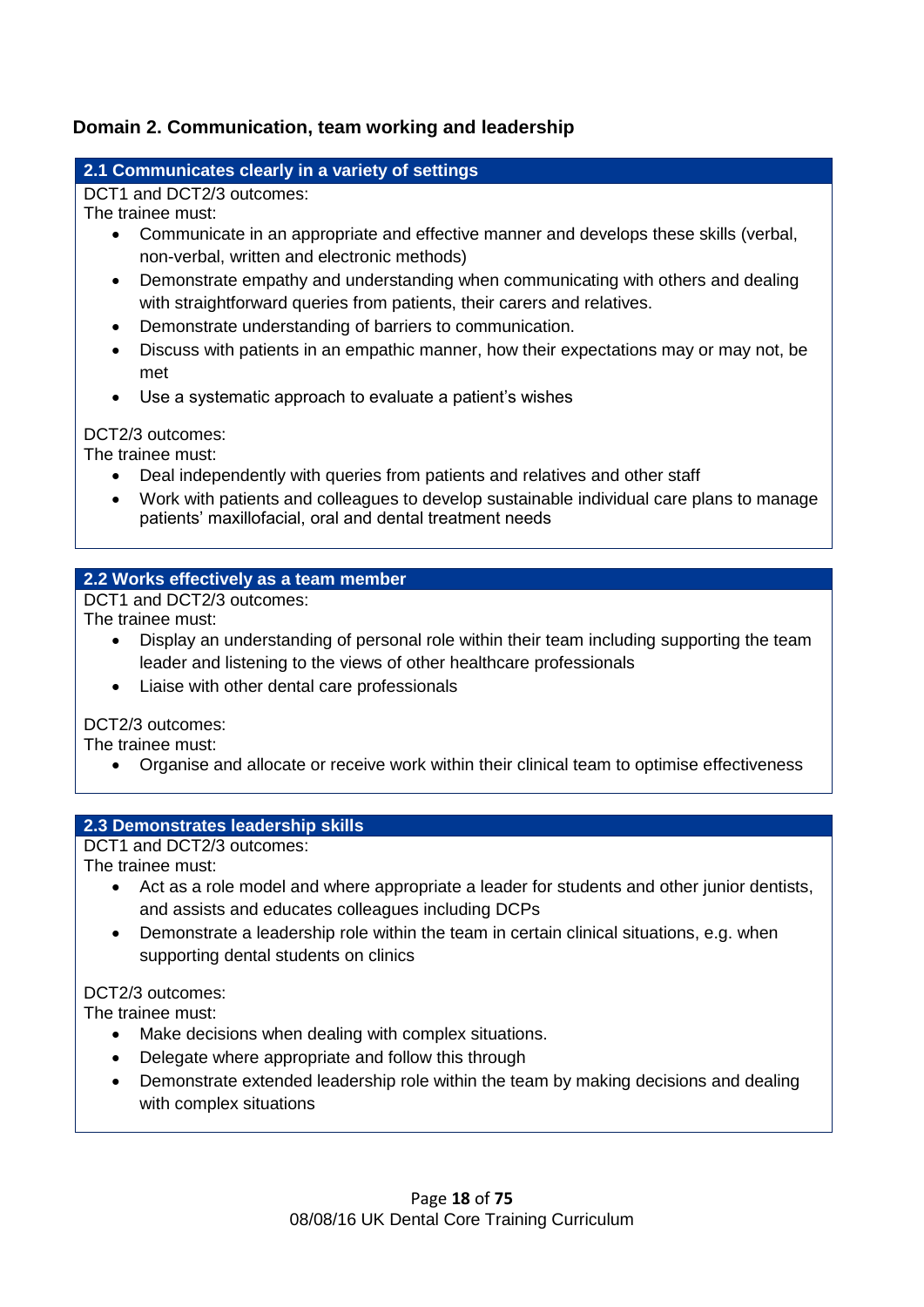#### **Domain 2. Communication, team working and leadership**

#### **2.1 Communicates clearly in a variety of settings**

DCT1 and DCT2/3 outcomes:

The trainee must:

- Communicate in an appropriate and effective manner and develops these skills (verbal, non-verbal, written and electronic methods)
- Demonstrate empathy and understanding when communicating with others and dealing with straightforward queries from patients, their carers and relatives.
- Demonstrate understanding of barriers to communication.
- Discuss with patients in an empathic manner, how their expectations may or may not, be met
- Use a systematic approach to evaluate a patient's wishes

DCT2/3 outcomes:

The trainee must:

- Deal independently with queries from patients and relatives and other staff
- Work with patients and colleagues to develop sustainable individual care plans to manage patients' maxillofacial, oral and dental treatment needs

#### **2.2 Works effectively as a team member**

DCT1 and DCT2/3 outcomes:

The trainee must:

- Display an understanding of personal role within their team including supporting the team leader and listening to the views of other healthcare professionals
- Liaise with other dental care professionals

#### DCT2/3 outcomes:

The trainee must:

Organise and allocate or receive work within their clinical team to optimise effectiveness

#### **2.3 Demonstrates leadership skills**

DCT1 and DCT2/3 outcomes:

The trainee must:

- Act as a role model and where appropriate a leader for students and other junior dentists, and assists and educates colleagues including DCPs
- Demonstrate a leadership role within the team in certain clinical situations, e.g. when supporting dental students on clinics

#### DCT2/3 outcomes:

The trainee must:

- Make decisions when dealing with complex situations.
- Delegate where appropriate and follow this through
- Demonstrate extended leadership role within the team by making decisions and dealing with complex situations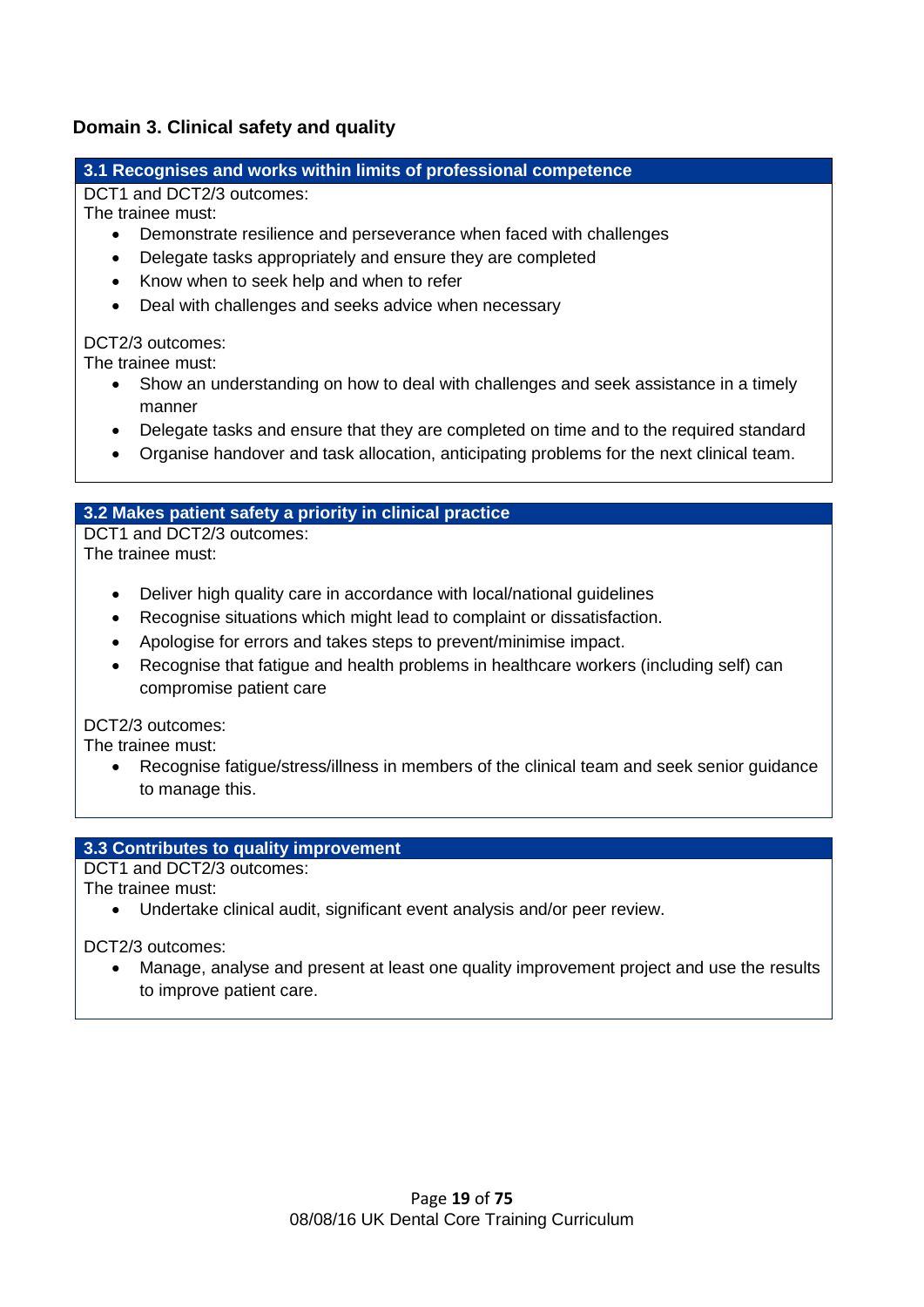#### **Domain 3. Clinical safety and quality**

#### **3.1 Recognises and works within limits of professional competence**

DCT1 and DCT2/3 outcomes:

The trainee must:

- Demonstrate resilience and perseverance when faced with challenges
- Delegate tasks appropriately and ensure they are completed
- Know when to seek help and when to refer
- Deal with challenges and seeks advice when necessary

#### DCT2/3 outcomes:

The trainee must:

- Show an understanding on how to deal with challenges and seek assistance in a timely manner
- Delegate tasks and ensure that they are completed on time and to the required standard
- Organise handover and task allocation, anticipating problems for the next clinical team.

#### **3.2 Makes patient safety a priority in clinical practice**

DCT1 and DCT2/3 outcomes: The trainee must:

- Deliver high quality care in accordance with local/national guidelines
- Recognise situations which might lead to complaint or dissatisfaction.
- Apologise for errors and takes steps to prevent/minimise impact.
- Recognise that fatigue and health problems in healthcare workers (including self) can compromise patient care

#### DCT2/3 outcomes:

The trainee must:

 Recognise fatigue/stress/illness in members of the clinical team and seek senior guidance to manage this.

#### **3.3 Contributes to quality improvement**

DCT1 and DCT2/3 outcomes:

The trainee must:

Undertake clinical audit, significant event analysis and/or peer review.

DCT2/3 outcomes:

 Manage, analyse and present at least one quality improvement project and use the results to improve patient care.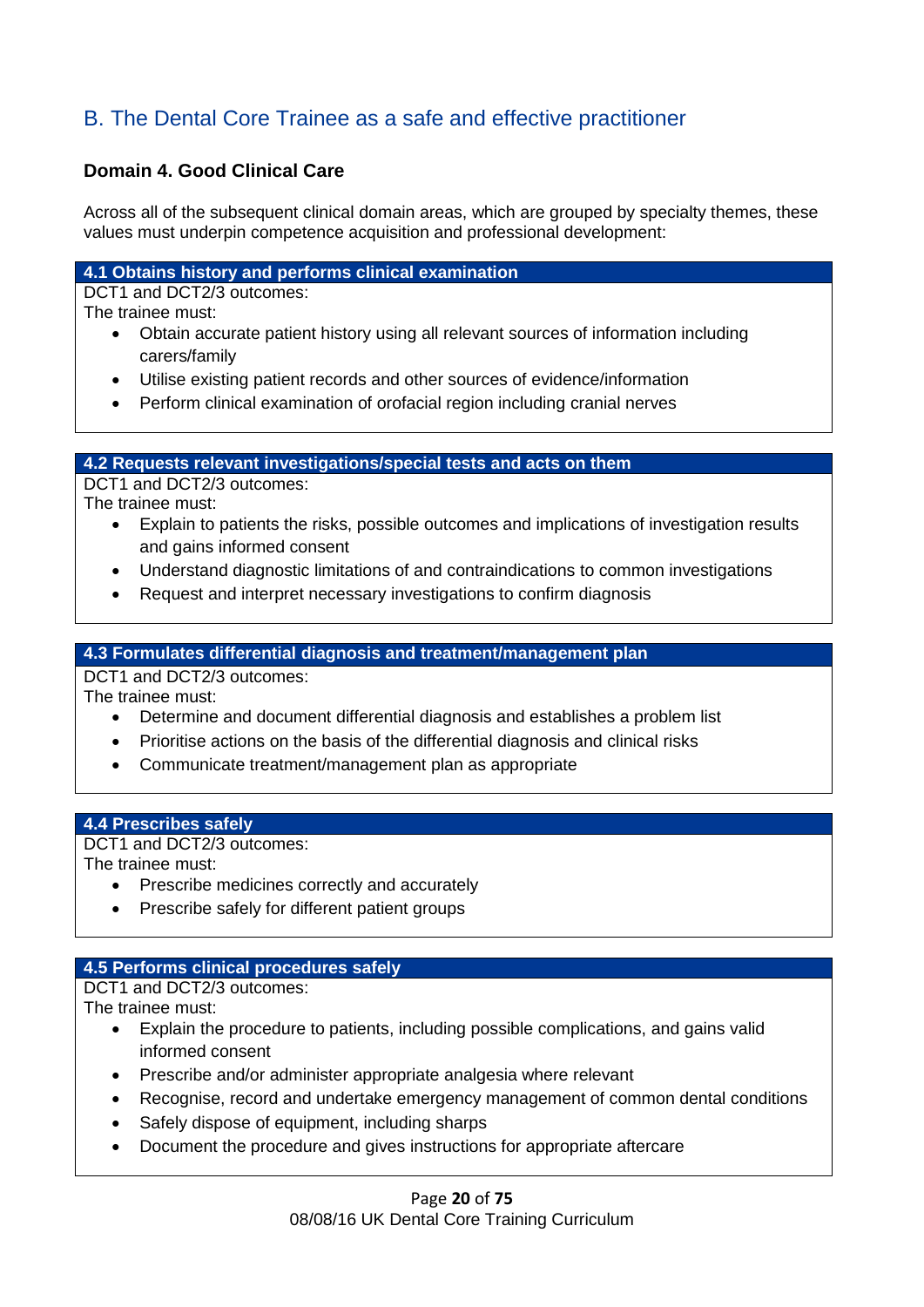# B. The Dental Core Trainee as a safe and effective practitioner

#### **Domain 4. Good Clinical Care**

Across all of the subsequent clinical domain areas, which are grouped by specialty themes, these values must underpin competence acquisition and professional development:

#### **4.1 Obtains history and performs clinical examination**

DCT1 and DCT2/3 outcomes:

The trainee must:

- Obtain accurate patient history using all relevant sources of information including carers/family
- Utilise existing patient records and other sources of evidence/information
- Perform clinical examination of orofacial region including cranial nerves

#### **4.2 Requests relevant investigations/special tests and acts on them**

DCT1 and DCT2/3 outcomes:

The trainee must:

- Explain to patients the risks, possible outcomes and implications of investigation results and gains informed consent
- Understand diagnostic limitations of and contraindications to common investigations
- Request and interpret necessary investigations to confirm diagnosis

#### **4.3 Formulates differential diagnosis and treatment/management plan**

DCT1 and DCT2/3 outcomes:

The trainee must:

- Determine and document differential diagnosis and establishes a problem list
- Prioritise actions on the basis of the differential diagnosis and clinical risks
- Communicate treatment/management plan as appropriate

#### **4.4 Prescribes safely**

DCT1 and DCT2/3 outcomes:

The trainee must:

- Prescribe medicines correctly and accurately
- Prescribe safely for different patient groups

#### **4.5 Performs clinical procedures safely**

DCT1 and DCT2/3 outcomes:

The trainee must:

- Explain the procedure to patients, including possible complications, and gains valid informed consent
- Prescribe and/or administer appropriate analgesia where relevant
- Recognise, record and undertake emergency management of common dental conditions
- Safely dispose of equipment, including sharps
- Document the procedure and gives instructions for appropriate aftercare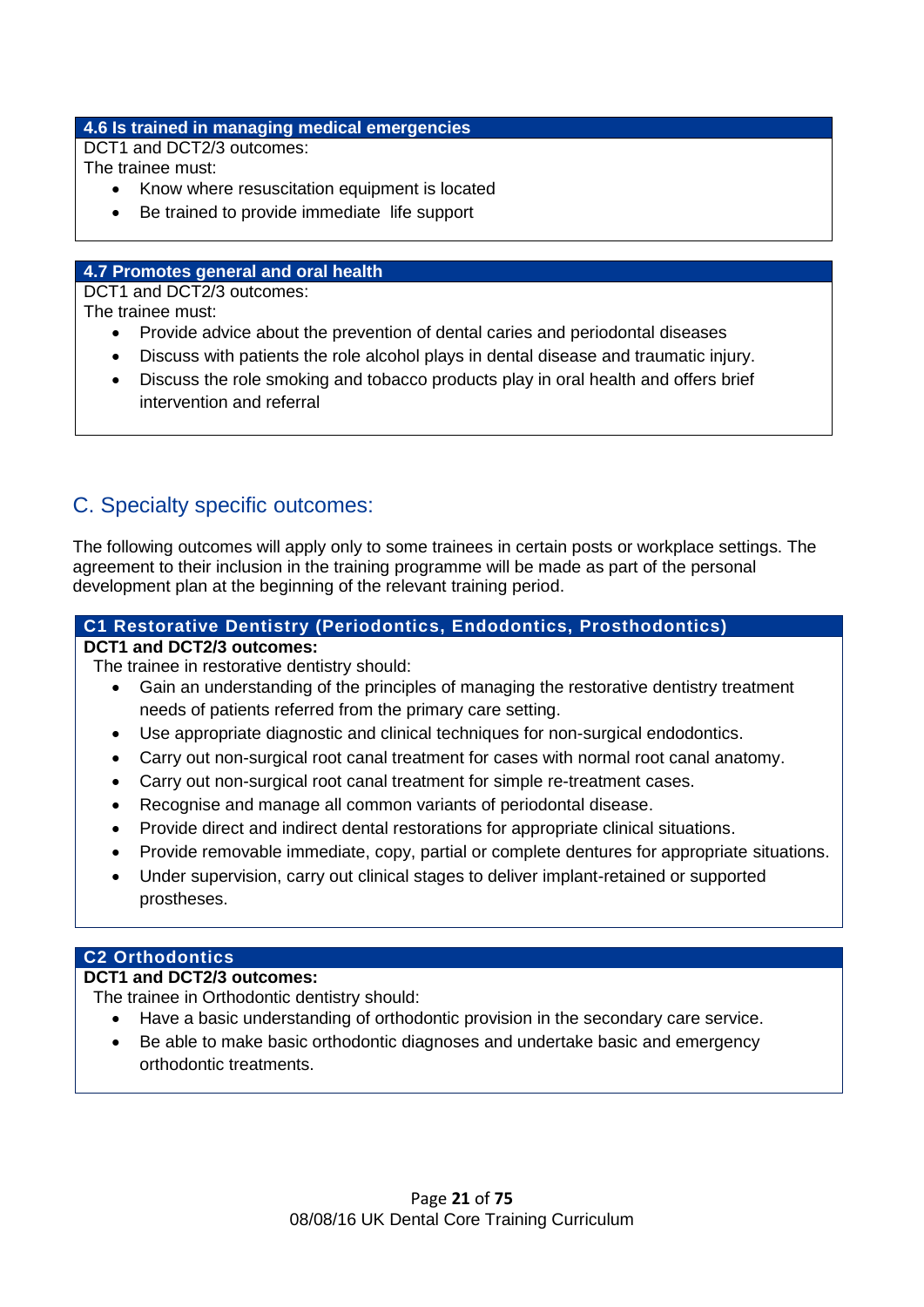#### **4.6 Is trained in managing medical emergencies**

DCT1 and DCT2/3 outcomes:

The trainee must:

- Know where resuscitation equipment is located
- Be trained to provide immediate life support

#### **4.7 Promotes general and oral health**

DCT1 and DCT2/3 outcomes:

The trainee must:

- Provide advice about the prevention of dental caries and periodontal diseases
- Discuss with patients the role alcohol plays in dental disease and traumatic injury.
- Discuss the role smoking and tobacco products play in oral health and offers brief intervention and referral

### C. Specialty specific outcomes:

The following outcomes will apply only to some trainees in certain posts or workplace settings. The agreement to their inclusion in the training programme will be made as part of the personal development plan at the beginning of the relevant training period.

#### **C1 Restorative Dentistry (Periodontics, Endodontics, Prosthodontics)**

#### **DCT1 and DCT2/3 outcomes:**

The trainee in restorative dentistry should:

- Gain an understanding of the principles of managing the restorative dentistry treatment needs of patients referred from the primary care setting.
- Use appropriate diagnostic and clinical techniques for non-surgical endodontics.
- Carry out non-surgical root canal treatment for cases with normal root canal anatomy.
- Carry out non-surgical root canal treatment for simple re-treatment cases.
- Recognise and manage all common variants of periodontal disease.
- Provide direct and indirect dental restorations for appropriate clinical situations.
- Provide removable immediate, copy, partial or complete dentures for appropriate situations.
- Under supervision, carry out clinical stages to deliver implant-retained or supported prostheses.

#### **C2 Orthodontics**

#### **DCT1 and DCT2/3 outcomes:**

The trainee in Orthodontic dentistry should:

- Have a basic understanding of orthodontic provision in the secondary care service.
- Be able to make basic orthodontic diagnoses and undertake basic and emergency orthodontic treatments.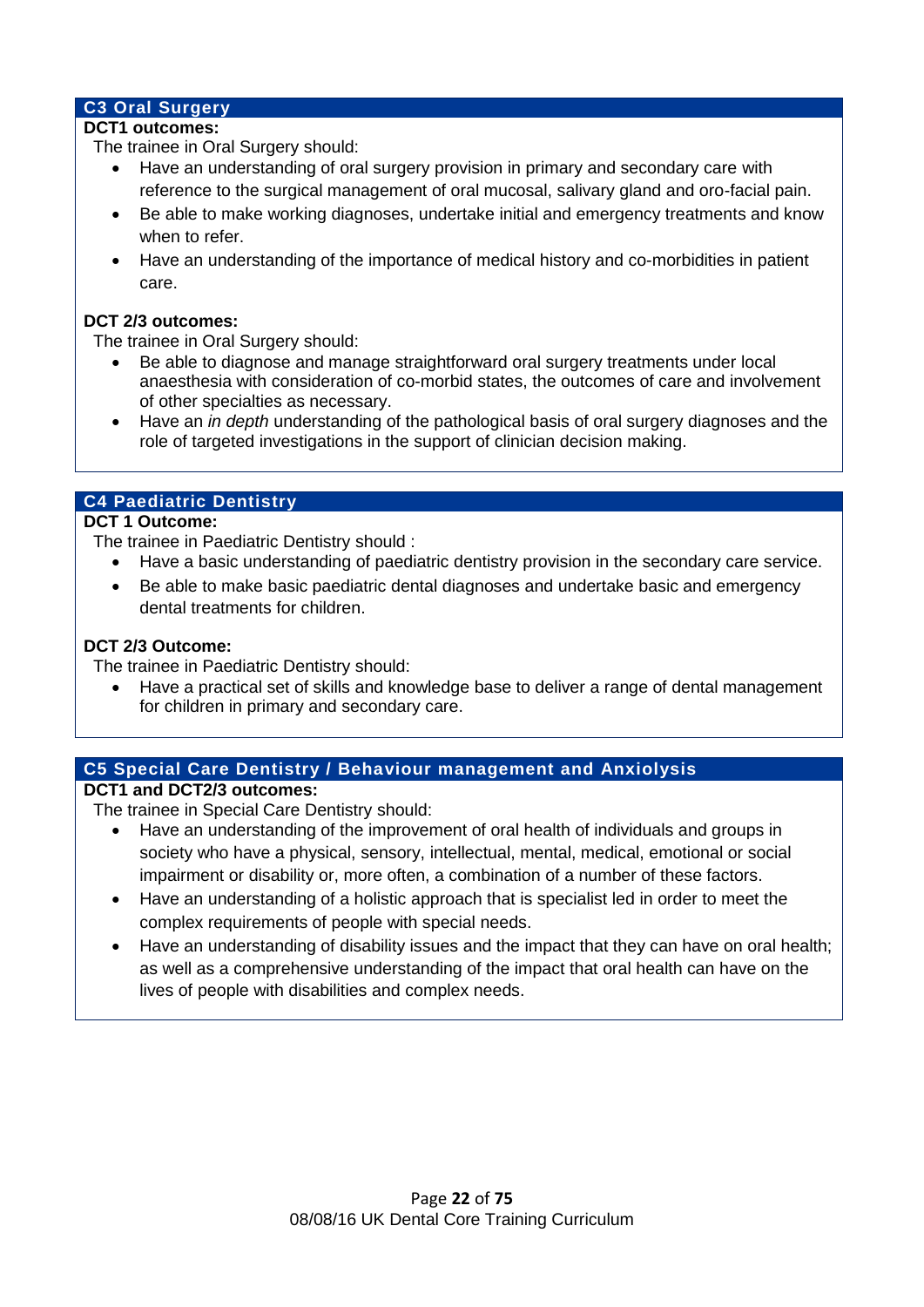#### **C3 Oral Surgery**

#### **DCT1 outcomes:**

The trainee in Oral Surgery should:

- Have an understanding of oral surgery provision in primary and secondary care with reference to the surgical management of oral mucosal, salivary gland and oro-facial pain.
- Be able to make working diagnoses, undertake initial and emergency treatments and know when to refer.
- Have an understanding of the importance of medical history and co-morbidities in patient care.

#### **DCT 2/3 outcomes:**

The trainee in Oral Surgery should:

- Be able to diagnose and manage straightforward oral surgery treatments under local anaesthesia with consideration of co-morbid states, the outcomes of care and involvement of other specialties as necessary.
- Have an *in depth* understanding of the pathological basis of oral surgery diagnoses and the role of targeted investigations in the support of clinician decision making.

#### **C4 Paediatric Dentistry**

#### **DCT 1 Outcome:**

The trainee in Paediatric Dentistry should :

- Have a basic understanding of paediatric dentistry provision in the secondary care service.
- Be able to make basic paediatric dental diagnoses and undertake basic and emergency dental treatments for children.

#### **DCT 2/3 Outcome:**

The trainee in Paediatric Dentistry should:

 Have a practical set of skills and knowledge base to deliver a range of dental management for children in primary and secondary care.

#### **C5 Special Care Dentistry / Behaviour management and Anxiolysis**

#### **DCT1 and DCT2/3 outcomes:**

The trainee in Special Care Dentistry should:

- Have an understanding of the improvement of oral health of individuals and groups in society who have a physical, sensory, intellectual, mental, medical, emotional or social impairment or disability or, more often, a combination of a number of these factors.
- Have an understanding of a holistic approach that is specialist led in order to meet the complex requirements of people with special needs.
- Have an understanding of disability issues and the impact that they can have on oral health; as well as a comprehensive understanding of the impact that oral health can have on the lives of people with disabilities and complex needs.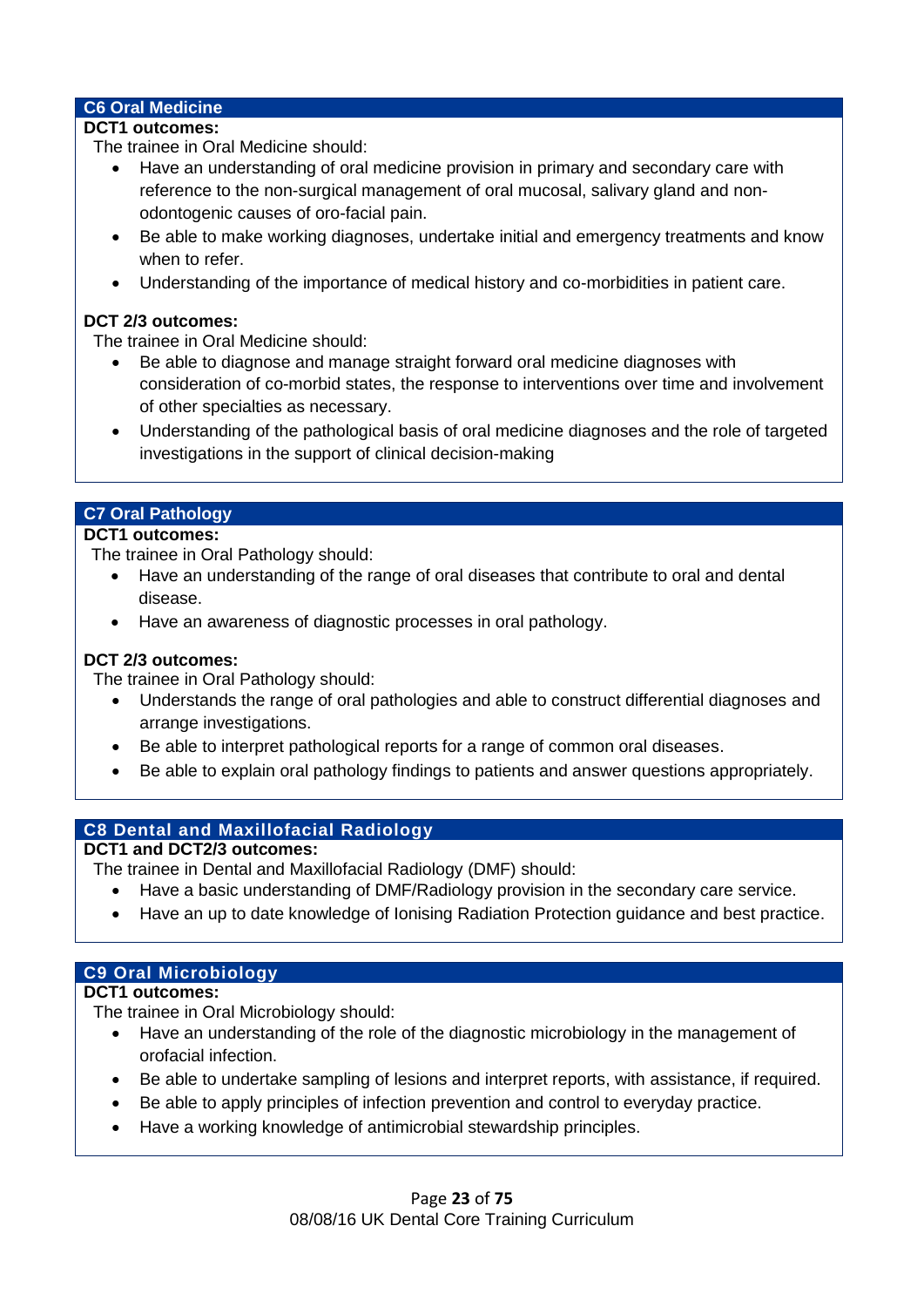#### **C6 Oral Medicine**

#### **DCT1 outcomes:**

The trainee in Oral Medicine should:

- Have an understanding of oral medicine provision in primary and secondary care with reference to the non-surgical management of oral mucosal, salivary gland and nonodontogenic causes of oro-facial pain.
- Be able to make working diagnoses, undertake initial and emergency treatments and know when to refer.
- Understanding of the importance of medical history and co-morbidities in patient care.

#### **DCT 2/3 outcomes:**

The trainee in Oral Medicine should:

- Be able to diagnose and manage straight forward oral medicine diagnoses with consideration of co-morbid states, the response to interventions over time and involvement of other specialties as necessary.
- Understanding of the pathological basis of oral medicine diagnoses and the role of targeted investigations in the support of clinical decision-making

#### **C7 Oral Pathology**

#### **DCT1 outcomes:**

The trainee in Oral Pathology should:

- Have an understanding of the range of oral diseases that contribute to oral and dental disease.
- Have an awareness of diagnostic processes in oral pathology.

#### **DCT 2/3 outcomes:**

The trainee in Oral Pathology should:

- Understands the range of oral pathologies and able to construct differential diagnoses and arrange investigations.
- Be able to interpret pathological reports for a range of common oral diseases.
- Be able to explain oral pathology findings to patients and answer questions appropriately.

#### **C8 Dental and Maxillofacial Radiology**

#### **DCT1 and DCT2/3 outcomes:**

The trainee in Dental and Maxillofacial Radiology (DMF) should:

- Have a basic understanding of DMF/Radiology provision in the secondary care service.
- Have an up to date knowledge of Ionising Radiation Protection guidance and best practice.

#### **C9 Oral Microbiology**

#### **DCT1 outcomes:**

The trainee in Oral Microbiology should:

- Have an understanding of the role of the diagnostic microbiology in the management of orofacial infection.
- Be able to undertake sampling of lesions and interpret reports, with assistance, if required.
- Be able to apply principles of infection prevention and control to everyday practice.
- Have a working knowledge of antimicrobial stewardship principles.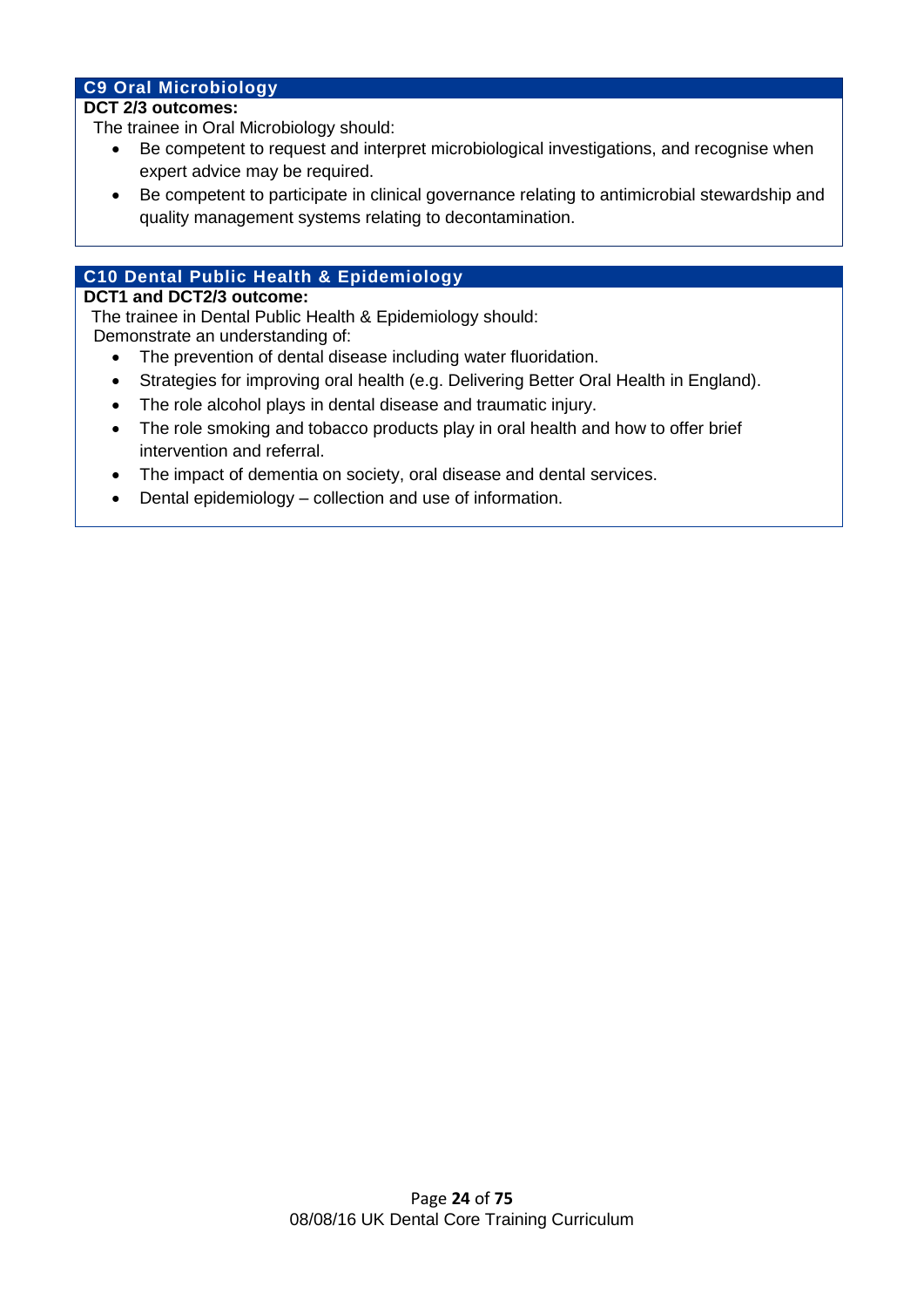#### **C9 Oral Microbiology**

#### **DCT 2/3 outcomes:**

The trainee in Oral Microbiology should:

- Be competent to request and interpret microbiological investigations, and recognise when expert advice may be required.
- Be competent to participate in clinical governance relating to antimicrobial stewardship and quality management systems relating to decontamination.

#### **C10 Dental Public Health & Epidemiology**

#### **DCT1 and DCT2/3 outcome:**

 The trainee in Dental Public Health & Epidemiology should: Demonstrate an understanding of:

- The prevention of dental disease including water fluoridation.
- Strategies for improving oral health (e.g. Delivering Better Oral Health in England).
- The role alcohol plays in dental disease and traumatic injury.
- The role smoking and tobacco products play in oral health and how to offer brief intervention and referral.
- The impact of dementia on society, oral disease and dental services.
- Dental epidemiology collection and use of information.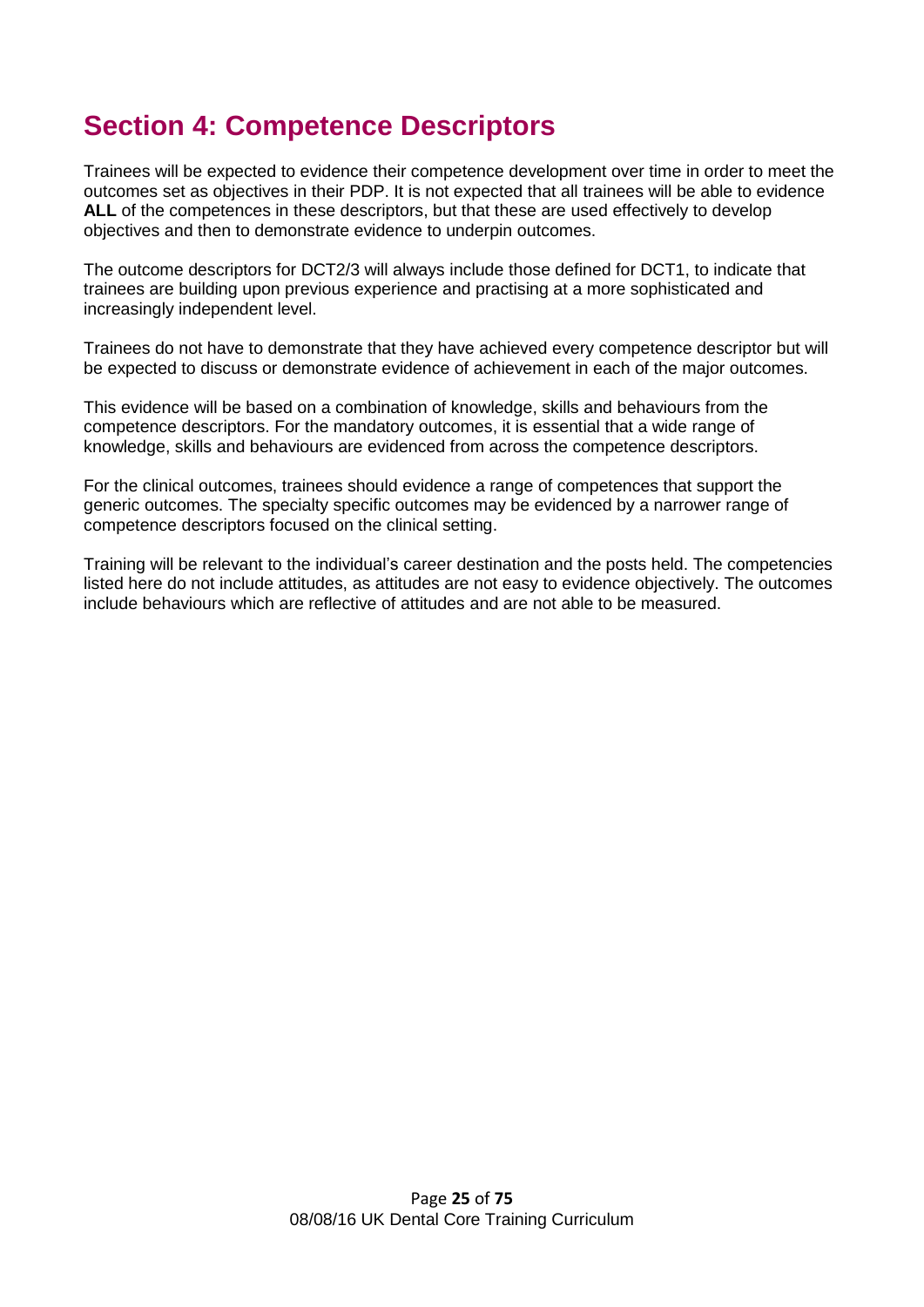# **Section 4: Competence Descriptors**

Trainees will be expected to evidence their competence development over time in order to meet the outcomes set as objectives in their PDP. It is not expected that all trainees will be able to evidence ALL of the competences in these descriptors, but that these are used effectively to develop objectives and then to demonstrate evidence to underpin outcomes.

The outcome descriptors for DCT2/3 will always include those defined for DCT1, to indicate that trainees are building upon previous experience and practising at a more sophisticated and increasingly independent level.

Trainees do not have to demonstrate that they have achieved every competence descriptor but will be expected to discuss or demonstrate evidence of achievement in each of the major outcomes.

This evidence will be based on a combination of knowledge, skills and behaviours from the competence descriptors. For the mandatory outcomes, it is essential that a wide range of knowledge, skills and behaviours are evidenced from across the competence descriptors.

For the clinical outcomes, trainees should evidence a range of competences that support the generic outcomes. The specialty specific outcomes may be evidenced by a narrower range of competence descriptors focused on the clinical setting.

Training will be relevant to the individual's career destination and the posts held. The competencies listed here do not include attitudes, as attitudes are not easy to evidence objectively. The outcomes include behaviours which are reflective of attitudes and are not able to be measured.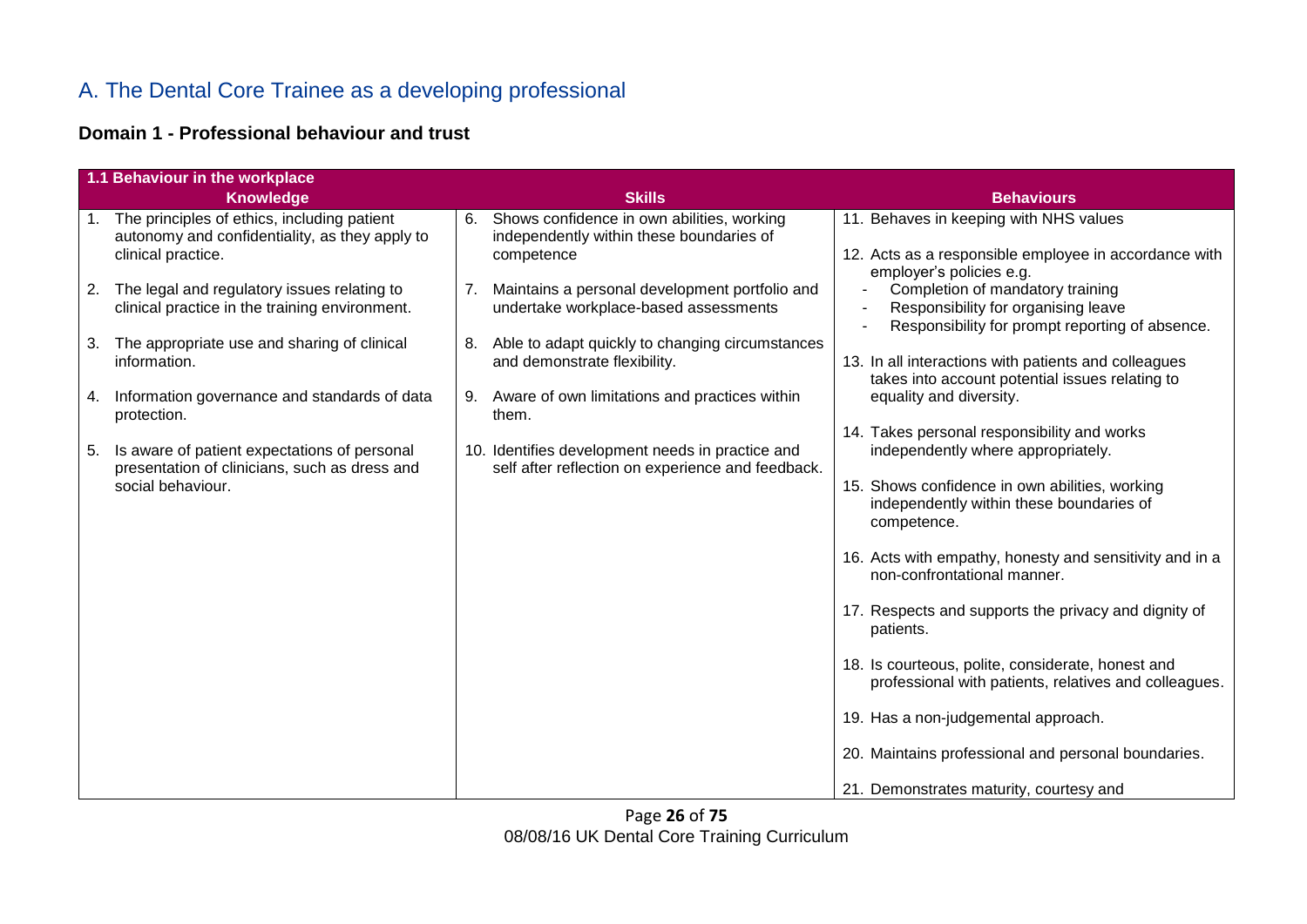# A. The Dental Core Trainee as a developing professional

### **Domain 1 - Professional behaviour and trust**

|    | 1.1 Behaviour in the workplace                                                                                         |    |                                                                                                       |                                                                                                                             |  |  |
|----|------------------------------------------------------------------------------------------------------------------------|----|-------------------------------------------------------------------------------------------------------|-----------------------------------------------------------------------------------------------------------------------------|--|--|
|    | <b>Knowledge</b>                                                                                                       |    | <b>Skills</b>                                                                                         | <b>Behaviours</b>                                                                                                           |  |  |
|    | 1. The principles of ethics, including patient<br>autonomy and confidentiality, as they apply to<br>clinical practice. | 6. | Shows confidence in own abilities, working<br>independently within these boundaries of<br>competence  | 11. Behaves in keeping with NHS values<br>12. Acts as a responsible employee in accordance with<br>employer's policies e.g. |  |  |
| 2. | The legal and regulatory issues relating to<br>clinical practice in the training environment.                          |    | Maintains a personal development portfolio and<br>undertake workplace-based assessments               | Completion of mandatory training<br>Responsibility for organising leave<br>Responsibility for prompt reporting of absence.  |  |  |
| 3. | The appropriate use and sharing of clinical<br>information.                                                            | 8. | Able to adapt quickly to changing circumstances<br>and demonstrate flexibility.                       | 13. In all interactions with patients and colleagues<br>takes into account potential issues relating to                     |  |  |
| 4. | Information governance and standards of data<br>protection.                                                            | 9. | Aware of own limitations and practices within<br>them.                                                | equality and diversity.<br>14. Takes personal responsibility and works                                                      |  |  |
| 5. | Is aware of patient expectations of personal<br>presentation of clinicians, such as dress and                          |    | 10. Identifies development needs in practice and<br>self after reflection on experience and feedback. | independently where appropriately.                                                                                          |  |  |
|    | social behaviour.                                                                                                      |    |                                                                                                       | 15. Shows confidence in own abilities, working<br>independently within these boundaries of<br>competence.                   |  |  |
|    |                                                                                                                        |    |                                                                                                       | 16. Acts with empathy, honesty and sensitivity and in a<br>non-confrontational manner.                                      |  |  |
|    |                                                                                                                        |    |                                                                                                       | 17. Respects and supports the privacy and dignity of<br>patients.                                                           |  |  |
|    |                                                                                                                        |    |                                                                                                       | 18. Is courteous, polite, considerate, honest and<br>professional with patients, relatives and colleagues.                  |  |  |
|    |                                                                                                                        |    |                                                                                                       | 19. Has a non-judgemental approach.                                                                                         |  |  |
|    |                                                                                                                        |    |                                                                                                       | 20. Maintains professional and personal boundaries.                                                                         |  |  |
|    |                                                                                                                        |    |                                                                                                       | 21. Demonstrates maturity, courtesy and                                                                                     |  |  |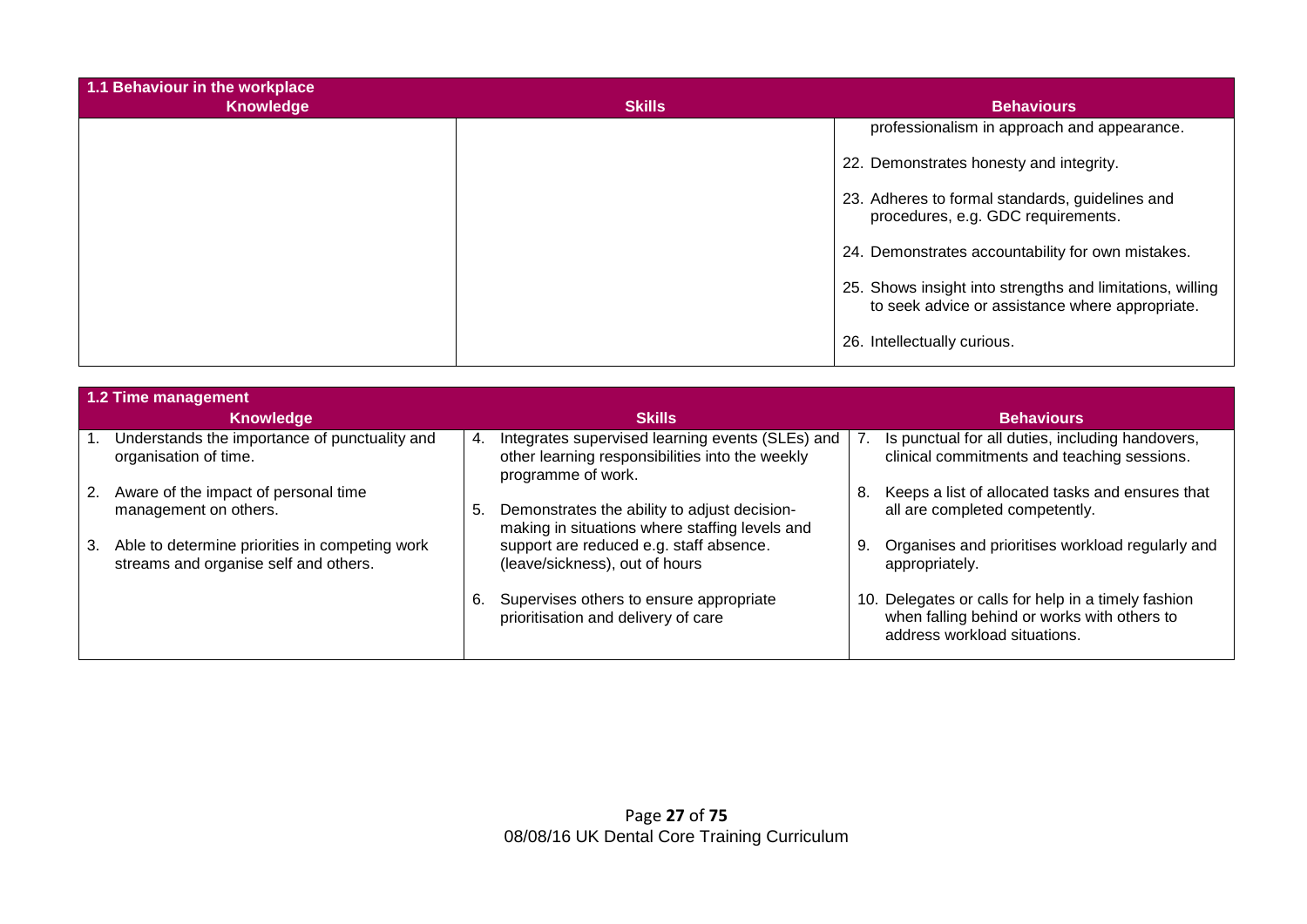| 1.1 Behaviour in the workplace<br><b>Knowledge</b> | <b>Skills</b> | <b>Behaviours</b>                                                                                            |
|----------------------------------------------------|---------------|--------------------------------------------------------------------------------------------------------------|
|                                                    |               | professionalism in approach and appearance.                                                                  |
|                                                    |               | 22. Demonstrates honesty and integrity.                                                                      |
|                                                    |               | 23. Adheres to formal standards, guidelines and<br>procedures, e.g. GDC requirements.                        |
|                                                    |               | 24. Demonstrates accountability for own mistakes.                                                            |
|                                                    |               | 25. Shows insight into strengths and limitations, willing<br>to seek advice or assistance where appropriate. |
|                                                    |               | 26. Intellectually curious.                                                                                  |

|    | 1.2 Time management                                                                     |    |                                                                                                                           |    |                                                                                                                                    |  |
|----|-----------------------------------------------------------------------------------------|----|---------------------------------------------------------------------------------------------------------------------------|----|------------------------------------------------------------------------------------------------------------------------------------|--|
|    | Knowledge                                                                               |    | <b>Skills</b>                                                                                                             |    | <b>Behaviours</b>                                                                                                                  |  |
|    | Understands the importance of punctuality and<br>organisation of time.                  | 4. | Integrates supervised learning events (SLEs) and<br>other learning responsibilities into the weekly<br>programme of work. |    | Is punctual for all duties, including handovers,<br>clinical commitments and teaching sessions.                                    |  |
| 2. | Aware of the impact of personal time<br>management on others.                           | 5. | Demonstrates the ability to adjust decision-<br>making in situations where staffing levels and                            | 8. | Keeps a list of allocated tasks and ensures that<br>all are completed competently.                                                 |  |
| 3. | Able to determine priorities in competing work<br>streams and organise self and others. |    | support are reduced e.g. staff absence.<br>(leave/sickness), out of hours                                                 | 9. | Organises and prioritises workload regularly and<br>appropriately.                                                                 |  |
|    |                                                                                         | 6. | Supervises others to ensure appropriate<br>prioritisation and delivery of care                                            |    | 10. Delegates or calls for help in a timely fashion<br>when falling behind or works with others to<br>address workload situations. |  |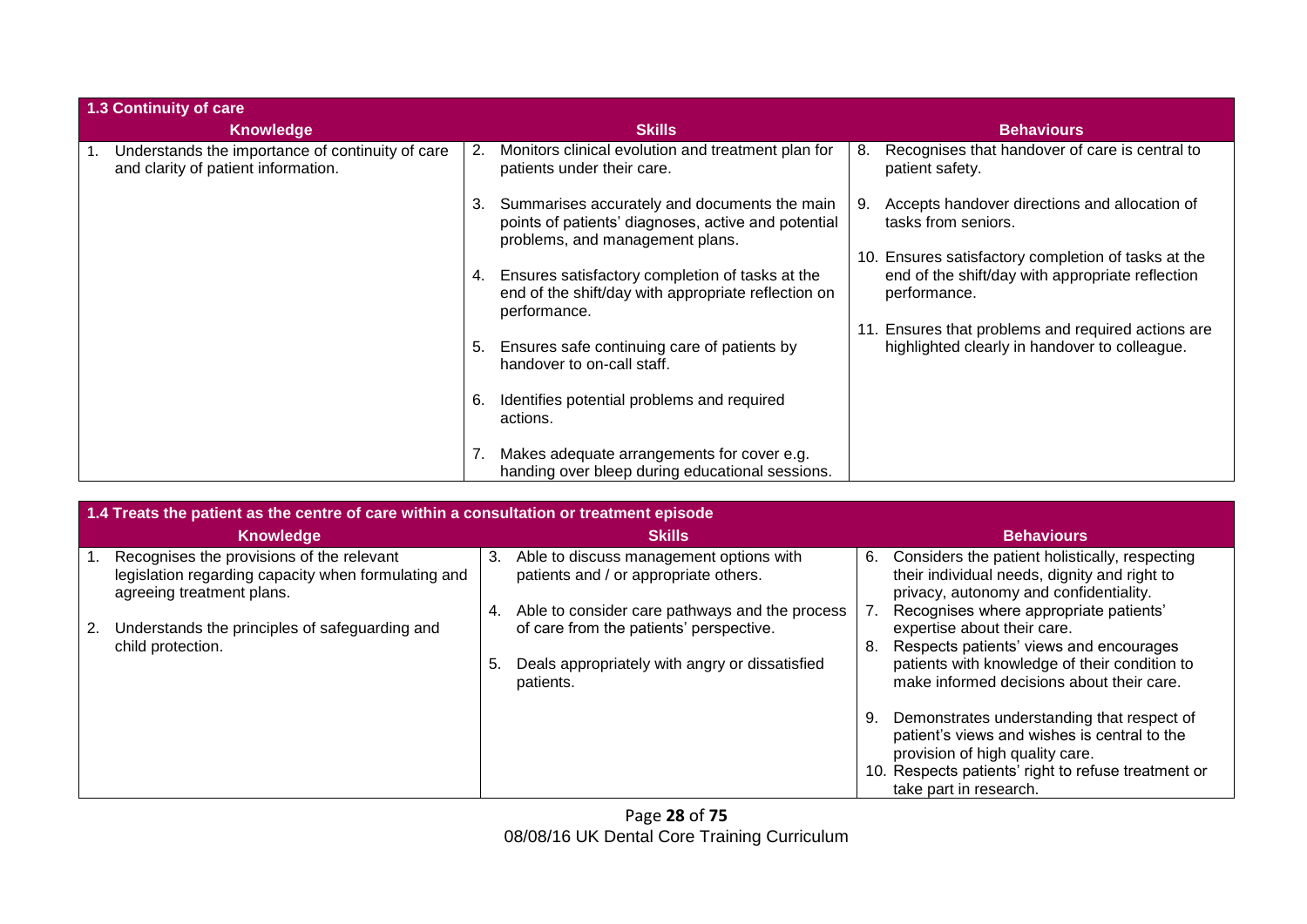| 1.3 Continuity of care |                                                                                         |    |                                                                                                                                        |                   |                                                                                                                         |  |
|------------------------|-----------------------------------------------------------------------------------------|----|----------------------------------------------------------------------------------------------------------------------------------------|-------------------|-------------------------------------------------------------------------------------------------------------------------|--|
|                        | <b>Knowledge</b>                                                                        |    | <b>Skills</b>                                                                                                                          | <b>Behaviours</b> |                                                                                                                         |  |
|                        | Understands the importance of continuity of care<br>and clarity of patient information. | 2. | Monitors clinical evolution and treatment plan for<br>patients under their care.                                                       | 8.                | Recognises that handover of care is central to<br>patient safety.                                                       |  |
|                        |                                                                                         | 3. | Summarises accurately and documents the main<br>points of patients' diagnoses, active and potential<br>problems, and management plans. |                   | Accepts handover directions and allocation of<br>tasks from seniors.                                                    |  |
|                        |                                                                                         | 4. | Ensures satisfactory completion of tasks at the<br>end of the shift/day with appropriate reflection on<br>performance.                 |                   | 10. Ensures satisfactory completion of tasks at the<br>end of the shift/day with appropriate reflection<br>performance. |  |
|                        |                                                                                         | 5. | Ensures safe continuing care of patients by<br>handover to on-call staff.                                                              |                   | 11. Ensures that problems and required actions are<br>highlighted clearly in handover to colleague.                     |  |
|                        |                                                                                         | 6. | Identifies potential problems and required<br>actions.                                                                                 |                   |                                                                                                                         |  |
|                        |                                                                                         | 7. | Makes adequate arrangements for cover e.g.<br>handing over bleep during educational sessions.                                          |                   |                                                                                                                         |  |

|    | 1.4 Treats the patient as the centre of care within a consultation or treatment episode                                       |          |                                                                                                                                                          |    |                                                                                                                                                                                                                |  |
|----|-------------------------------------------------------------------------------------------------------------------------------|----------|----------------------------------------------------------------------------------------------------------------------------------------------------------|----|----------------------------------------------------------------------------------------------------------------------------------------------------------------------------------------------------------------|--|
|    | <b>Knowledge</b>                                                                                                              |          | <b>Skills</b>                                                                                                                                            |    | <b>Behaviours</b>                                                                                                                                                                                              |  |
|    | Recognises the provisions of the relevant<br>legislation regarding capacity when formulating and<br>agreeing treatment plans. | 3.       | Able to discuss management options with<br>patients and / or appropriate others.                                                                         | 6. | Considers the patient holistically, respecting<br>their individual needs, dignity and right to<br>privacy, autonomy and confidentiality.                                                                       |  |
| 2. | Understands the principles of safeguarding and<br>child protection.                                                           | 4.<br>5. | Able to consider care pathways and the process<br>of care from the patients' perspective.<br>Deals appropriately with angry or dissatisfied<br>patients. | 8. | Recognises where appropriate patients'<br>expertise about their care.<br>Respects patients' views and encourages<br>patients with knowledge of their condition to<br>make informed decisions about their care. |  |
|    |                                                                                                                               |          |                                                                                                                                                          | 9. | Demonstrates understanding that respect of<br>patient's views and wishes is central to the<br>provision of high quality care.<br>10. Respects patients' right to refuse treatment or<br>take part in research. |  |

Page **28** of **75** 08/08/16 UK Dental Core Training Curriculum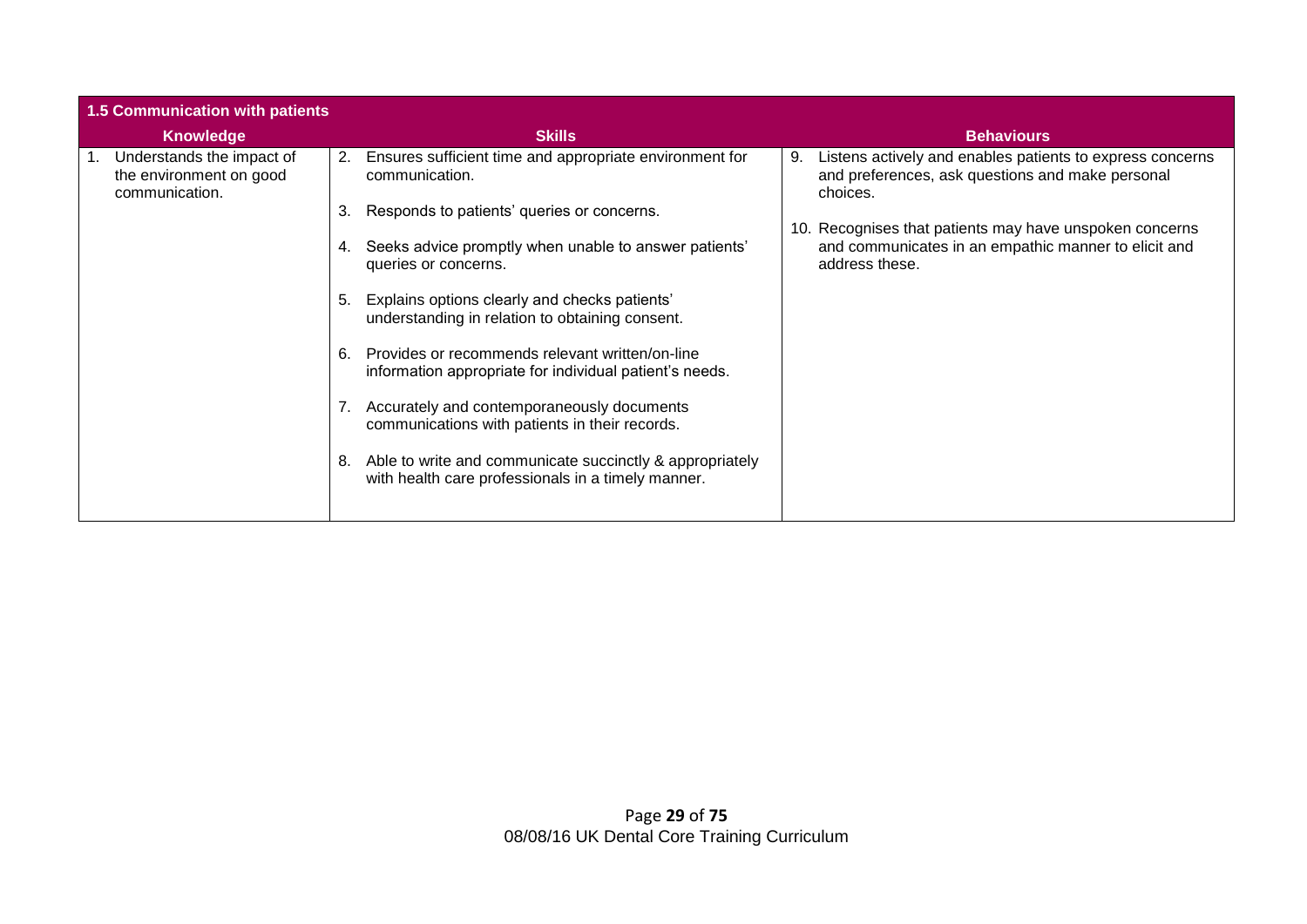| <b>1.5 Communication with patients</b>                                       |                                                                                                                      |                                                                                                                                   |
|------------------------------------------------------------------------------|----------------------------------------------------------------------------------------------------------------------|-----------------------------------------------------------------------------------------------------------------------------------|
| <b>Knowledge</b>                                                             | <b>Skills</b>                                                                                                        | <b>Behaviours</b>                                                                                                                 |
| Understands the impact of<br>п.<br>the environment on good<br>communication. | Ensures sufficient time and appropriate environment for<br>2.<br>communication.                                      | Listens actively and enables patients to express concerns<br>9.<br>and preferences, ask questions and make personal<br>choices.   |
|                                                                              | Responds to patients' queries or concerns.<br>3.                                                                     |                                                                                                                                   |
|                                                                              | Seeks advice promptly when unable to answer patients'<br>4.<br>queries or concerns.                                  | 10. Recognises that patients may have unspoken concerns<br>and communicates in an empathic manner to elicit and<br>address these. |
|                                                                              | Explains options clearly and checks patients'<br>5.<br>understanding in relation to obtaining consent.               |                                                                                                                                   |
|                                                                              | Provides or recommends relevant written/on-line<br>6.<br>information appropriate for individual patient's needs.     |                                                                                                                                   |
|                                                                              | Accurately and contemporaneously documents<br>communications with patients in their records.                         |                                                                                                                                   |
|                                                                              | Able to write and communicate succinctly & appropriately<br>8.<br>with health care professionals in a timely manner. |                                                                                                                                   |
|                                                                              |                                                                                                                      |                                                                                                                                   |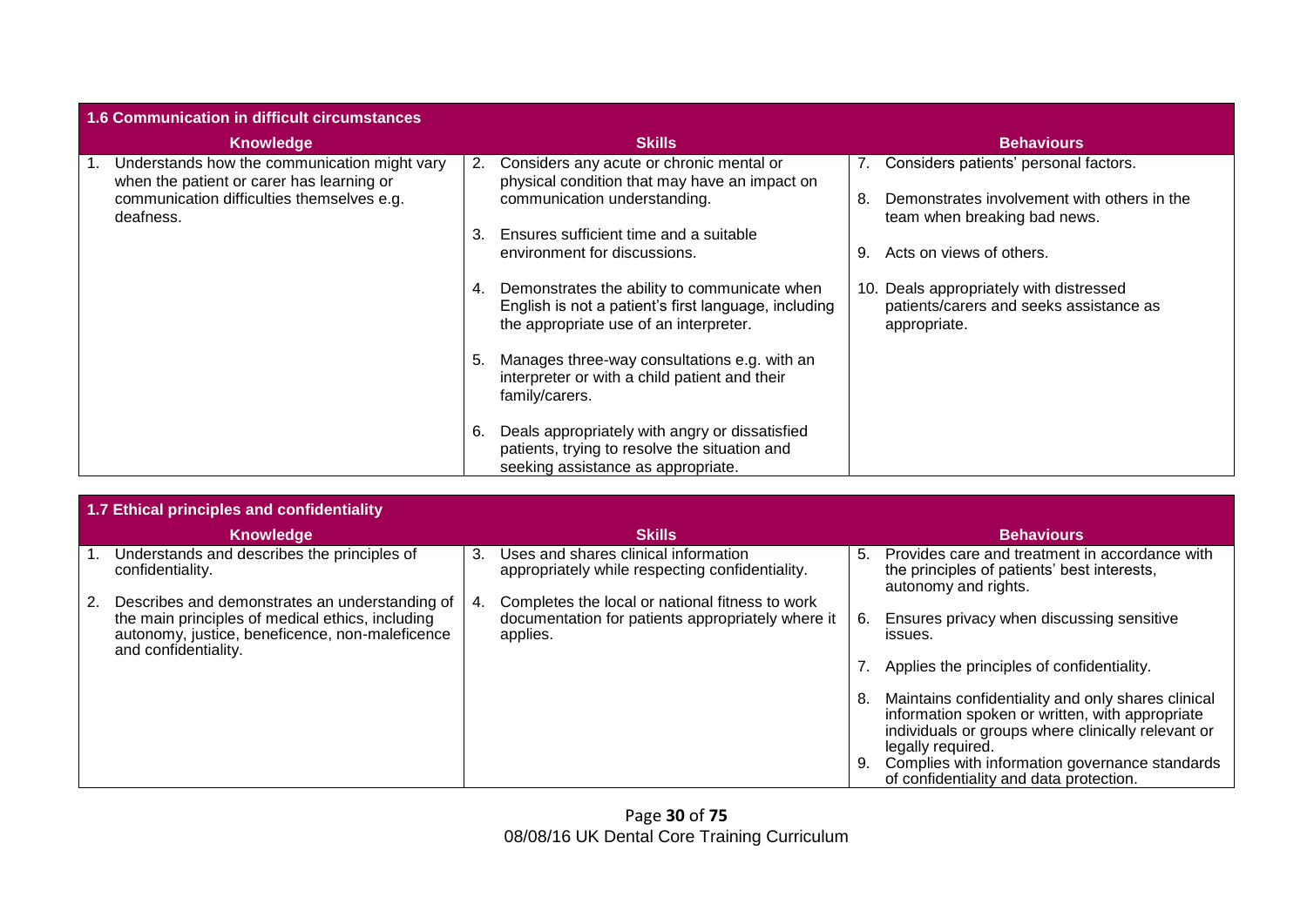| 1.6 Communication in difficult circumstances                                              |    |                                                                                                                                                   |    |                                                                                                    |  |  |
|-------------------------------------------------------------------------------------------|----|---------------------------------------------------------------------------------------------------------------------------------------------------|----|----------------------------------------------------------------------------------------------------|--|--|
| <b>Knowledge</b>                                                                          |    | <b>Skills</b>                                                                                                                                     |    | <b>Behaviours</b>                                                                                  |  |  |
| Understands how the communication might vary<br>when the patient or carer has learning or | 2. | Considers any acute or chronic mental or<br>physical condition that may have an impact on                                                         |    | 7. Considers patients' personal factors.                                                           |  |  |
| communication difficulties themselves e.g.<br>deafness.                                   |    | communication understanding.                                                                                                                      | 8  | Demonstrates involvement with others in the<br>team when breaking bad news.                        |  |  |
|                                                                                           | 3. | Ensures sufficient time and a suitable                                                                                                            |    |                                                                                                    |  |  |
|                                                                                           |    | environment for discussions.                                                                                                                      | 9. | Acts on views of others.                                                                           |  |  |
|                                                                                           |    | 4. Demonstrates the ability to communicate when<br>English is not a patient's first language, including<br>the appropriate use of an interpreter. |    | 10. Deals appropriately with distressed<br>patients/carers and seeks assistance as<br>appropriate. |  |  |
|                                                                                           | 5. | Manages three-way consultations e.g. with an<br>interpreter or with a child patient and their<br>family/carers.                                   |    |                                                                                                    |  |  |
|                                                                                           | 6. | Deals appropriately with angry or dissatisfied<br>patients, trying to resolve the situation and<br>seeking assistance as appropriate.             |    |                                                                                                    |  |  |

|    | 1.7 Ethical principles and confidentiality                                                                                                                                    |    |                                                                                                                  |          |                                                                                                                                                                                                                                                                               |  |  |  |
|----|-------------------------------------------------------------------------------------------------------------------------------------------------------------------------------|----|------------------------------------------------------------------------------------------------------------------|----------|-------------------------------------------------------------------------------------------------------------------------------------------------------------------------------------------------------------------------------------------------------------------------------|--|--|--|
|    | Knowledge                                                                                                                                                                     |    | <b>Skills</b>                                                                                                    |          | <b>Behaviours</b>                                                                                                                                                                                                                                                             |  |  |  |
|    | Understands and describes the principles of<br>confidentiality.                                                                                                               | 3. | Uses and shares clinical information<br>appropriately while respecting confidentiality.                          | 5.       | Provides care and treatment in accordance with<br>the principles of patients' best interests,<br>autonomy and rights.                                                                                                                                                         |  |  |  |
| 2. | Describes and demonstrates an understanding of<br>the main principles of medical ethics, including<br>autonomy, justice, beneficence, non-maleficence<br>and confidentiality. | 4. | Completes the local or national fitness to work<br>documentation for patients appropriately where it<br>applies. | 6.       | Ensures privacy when discussing sensitive<br>issues.                                                                                                                                                                                                                          |  |  |  |
|    |                                                                                                                                                                               |    |                                                                                                                  |          | Applies the principles of confidentiality.                                                                                                                                                                                                                                    |  |  |  |
|    |                                                                                                                                                                               |    |                                                                                                                  | 8.<br>9. | Maintains confidentiality and only shares clinical<br>information spoken or written, with appropriate<br>individuals or groups where clinically relevant or<br>legally required.<br>Complies with information governance standards<br>of confidentiality and data protection. |  |  |  |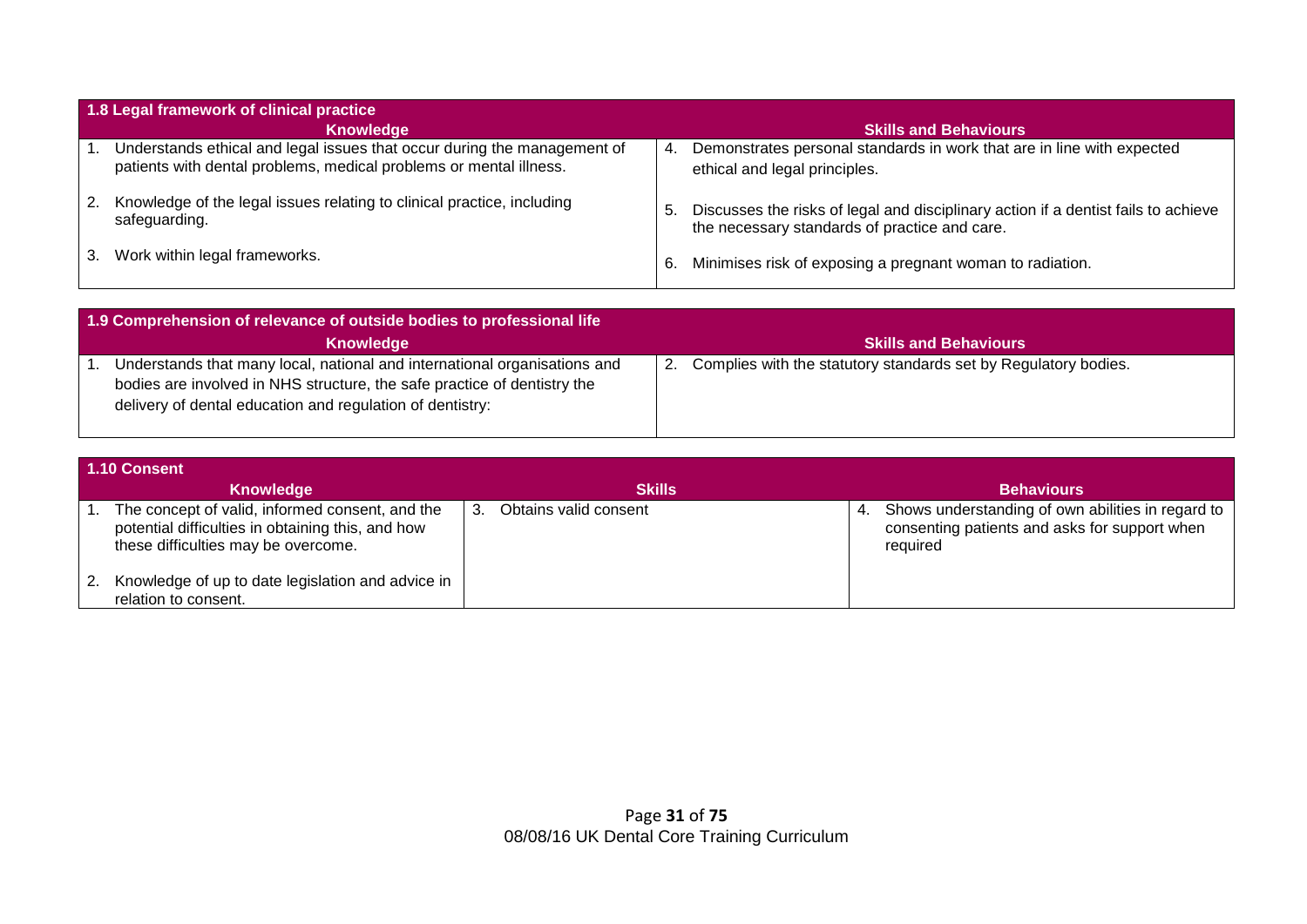|    | 1.8 Legal framework of clinical practice                                                                                                       |     |                                                                                                                                     |  |  |  |  |  |  |
|----|------------------------------------------------------------------------------------------------------------------------------------------------|-----|-------------------------------------------------------------------------------------------------------------------------------------|--|--|--|--|--|--|
|    | Knowledge                                                                                                                                      |     | <b>Skills and Behaviours</b>                                                                                                        |  |  |  |  |  |  |
|    | Understands ethical and legal issues that occur during the management of<br>patients with dental problems, medical problems or mental illness. | 4.  | Demonstrates personal standards in work that are in line with expected<br>ethical and legal principles.                             |  |  |  |  |  |  |
| 2. | Knowledge of the legal issues relating to clinical practice, including<br>safeguarding.                                                        | . ს | Discusses the risks of legal and disciplinary action if a dentist fails to achieve<br>the necessary standards of practice and care. |  |  |  |  |  |  |
|    | 3. Work within legal frameworks.                                                                                                               | 6.  | Minimises risk of exposing a pregnant woman to radiation.                                                                           |  |  |  |  |  |  |

| 1.9 Comprehension of relevance of outside bodies to professional life                                                                                                                                              |                                                                       |  |  |  |  |  |  |
|--------------------------------------------------------------------------------------------------------------------------------------------------------------------------------------------------------------------|-----------------------------------------------------------------------|--|--|--|--|--|--|
| Knowledge                                                                                                                                                                                                          | <b>Skills and Behaviours</b>                                          |  |  |  |  |  |  |
| Understands that many local, national and international organisations and<br>bodies are involved in NHS structure, the safe practice of dentistry the<br>delivery of dental education and regulation of dentistry: | Complies with the statutory standards set by Regulatory bodies.<br>2. |  |  |  |  |  |  |

|               | 1.10 Consent                                                                                                                                |    |                       |    |                                                                                                                |  |  |  |  |
|---------------|---------------------------------------------------------------------------------------------------------------------------------------------|----|-----------------------|----|----------------------------------------------------------------------------------------------------------------|--|--|--|--|
|               | Knowledge                                                                                                                                   |    | <b>Skills</b>         |    | <b>Behaviours</b>                                                                                              |  |  |  |  |
|               | The concept of valid, informed consent, and the<br>potential difficulties in obtaining this, and how<br>these difficulties may be overcome. | 3. | Obtains valid consent | 4. | Shows understanding of own abilities in regard to<br>consenting patients and asks for support when<br>required |  |  |  |  |
| <sup>2.</sup> | Knowledge of up to date legislation and advice in<br>relation to consent.                                                                   |    |                       |    |                                                                                                                |  |  |  |  |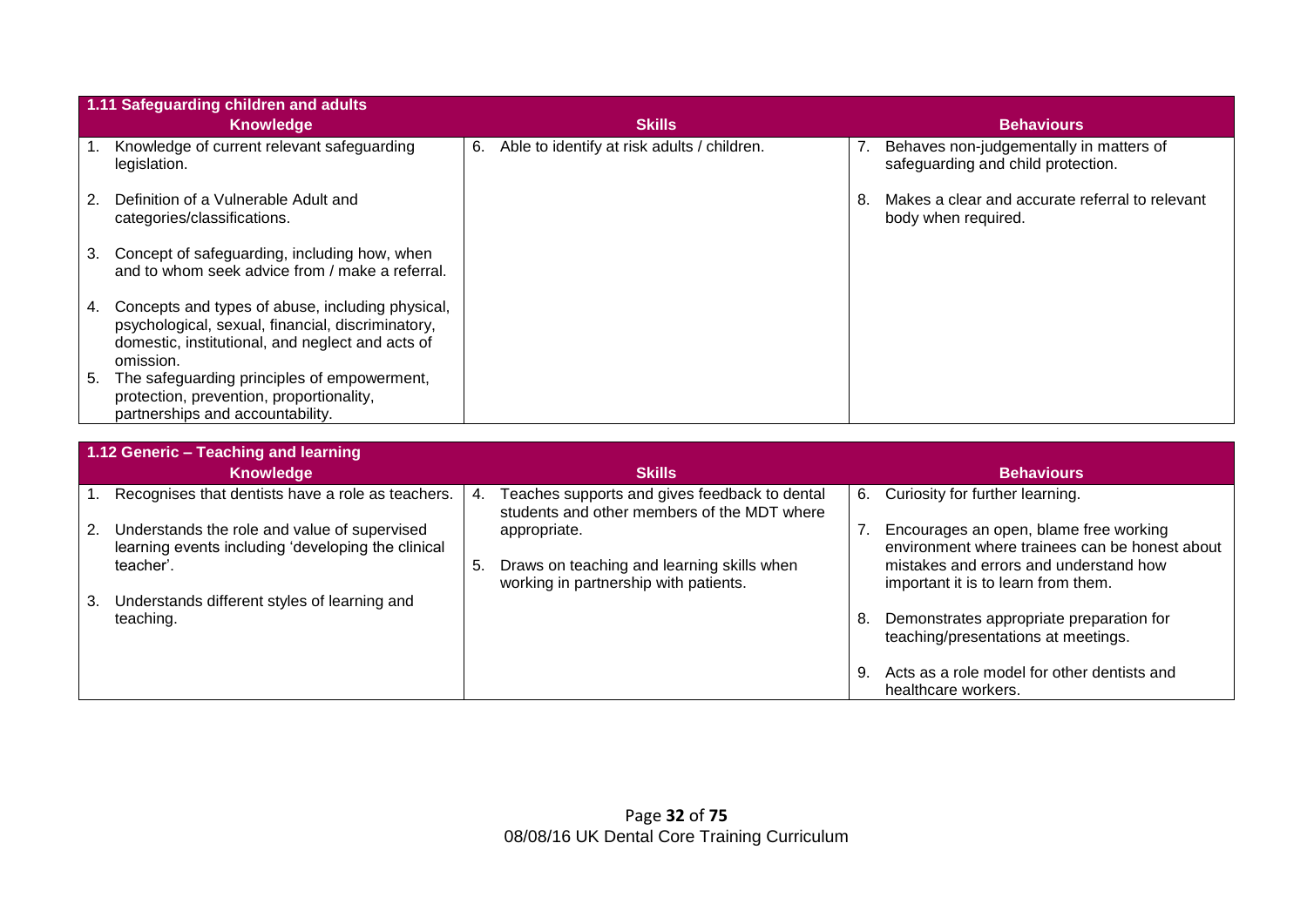|    | 1.11 Safeguarding children and adults                                                                                                                                  |    |                                             |    |                                                                               |
|----|------------------------------------------------------------------------------------------------------------------------------------------------------------------------|----|---------------------------------------------|----|-------------------------------------------------------------------------------|
|    | Knowledge                                                                                                                                                              |    | <b>Skills</b>                               |    | <b>Behaviours</b>                                                             |
|    | Knowledge of current relevant safeguarding<br>legislation.                                                                                                             | 6. | Able to identify at risk adults / children. |    | Behaves non-judgementally in matters of<br>safeguarding and child protection. |
| 2. | Definition of a Vulnerable Adult and<br>categories/classifications.                                                                                                    |    |                                             | 8. | Makes a clear and accurate referral to relevant<br>body when required.        |
| 3. | Concept of safeguarding, including how, when<br>and to whom seek advice from / make a referral.                                                                        |    |                                             |    |                                                                               |
| 4. | Concepts and types of abuse, including physical,<br>psychological, sexual, financial, discriminatory,<br>domestic, institutional, and neglect and acts of<br>omission. |    |                                             |    |                                                                               |
| 5. | The safeguarding principles of empowerment,<br>protection, prevention, proportionality,<br>partnerships and accountability.                                            |    |                                             |    |                                                                               |

|    | 1.12 Generic - Teaching and learning                                                               |     |                                                                                              |    |                                                                                          |  |  |  |
|----|----------------------------------------------------------------------------------------------------|-----|----------------------------------------------------------------------------------------------|----|------------------------------------------------------------------------------------------|--|--|--|
|    | <b>Knowledge</b>                                                                                   |     | <b>Skills</b>                                                                                |    | <b>Behaviours</b>                                                                        |  |  |  |
|    | Recognises that dentists have a role as teachers.                                                  | 4.  | Teaches supports and gives feedback to dental<br>students and other members of the MDT where |    | 6. Curiosity for further learning.                                                       |  |  |  |
| 2. | Understands the role and value of supervised<br>learning events including 'developing the clinical |     | appropriate.                                                                                 |    | Encourages an open, blame free working<br>environment where trainees can be honest about |  |  |  |
|    | teacher'.                                                                                          | -5. | Draws on teaching and learning skills when<br>working in partnership with patients.          |    | mistakes and errors and understand how<br>important it is to learn from them.            |  |  |  |
| 3. | Understands different styles of learning and                                                       |     |                                                                                              |    |                                                                                          |  |  |  |
|    | teaching.                                                                                          |     |                                                                                              | 8. | Demonstrates appropriate preparation for<br>teaching/presentations at meetings.          |  |  |  |
|    |                                                                                                    |     |                                                                                              | 9. | Acts as a role model for other dentists and<br>healthcare workers.                       |  |  |  |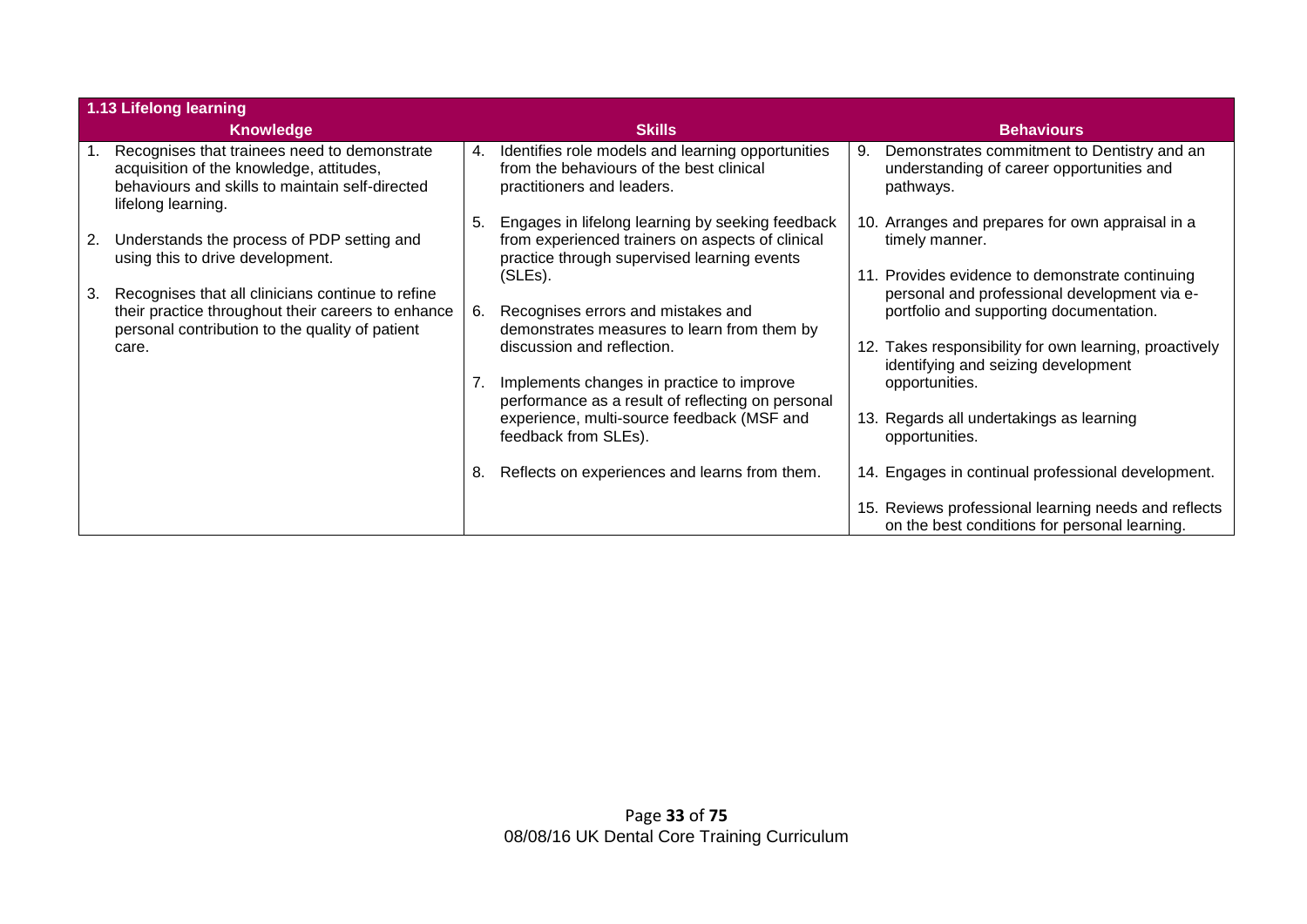|                  | 1.13 Lifelong learning                                                                                                                                            |    |                                                                                                                                                     |                   |                                                                                                                                            |  |
|------------------|-------------------------------------------------------------------------------------------------------------------------------------------------------------------|----|-----------------------------------------------------------------------------------------------------------------------------------------------------|-------------------|--------------------------------------------------------------------------------------------------------------------------------------------|--|
| <b>Knowledge</b> |                                                                                                                                                                   |    | <b>Skills</b>                                                                                                                                       | <b>Behaviours</b> |                                                                                                                                            |  |
|                  | Recognises that trainees need to demonstrate<br>acquisition of the knowledge, attitudes,<br>behaviours and skills to maintain self-directed<br>lifelong learning. | 4. | Identifies role models and learning opportunities<br>from the behaviours of the best clinical<br>practitioners and leaders.                         | 9.                | Demonstrates commitment to Dentistry and an<br>understanding of career opportunities and<br>pathways.                                      |  |
| 2.               | Understands the process of PDP setting and<br>using this to drive development.                                                                                    | 5. | Engages in lifelong learning by seeking feedback<br>from experienced trainers on aspects of clinical<br>practice through supervised learning events |                   | 10. Arranges and prepares for own appraisal in a<br>timely manner.                                                                         |  |
| 3.               | Recognises that all clinicians continue to refine<br>their practice throughout their careers to enhance                                                           | 6. | (SLEs).<br>Recognises errors and mistakes and                                                                                                       |                   | 11. Provides evidence to demonstrate continuing<br>personal and professional development via e-<br>portfolio and supporting documentation. |  |
|                  | personal contribution to the quality of patient<br>care.                                                                                                          |    | demonstrates measures to learn from them by<br>discussion and reflection.                                                                           |                   | 12. Takes responsibility for own learning, proactively<br>identifying and seizing development                                              |  |
|                  |                                                                                                                                                                   |    | Implements changes in practice to improve<br>performance as a result of reflecting on personal                                                      |                   | opportunities.                                                                                                                             |  |
|                  |                                                                                                                                                                   |    | experience, multi-source feedback (MSF and<br>feedback from SLEs).                                                                                  |                   | 13. Regards all undertakings as learning<br>opportunities.                                                                                 |  |
|                  |                                                                                                                                                                   | 8. | Reflects on experiences and learns from them.                                                                                                       |                   | 14. Engages in continual professional development.                                                                                         |  |
|                  |                                                                                                                                                                   |    |                                                                                                                                                     |                   | 15. Reviews professional learning needs and reflects<br>on the best conditions for personal learning.                                      |  |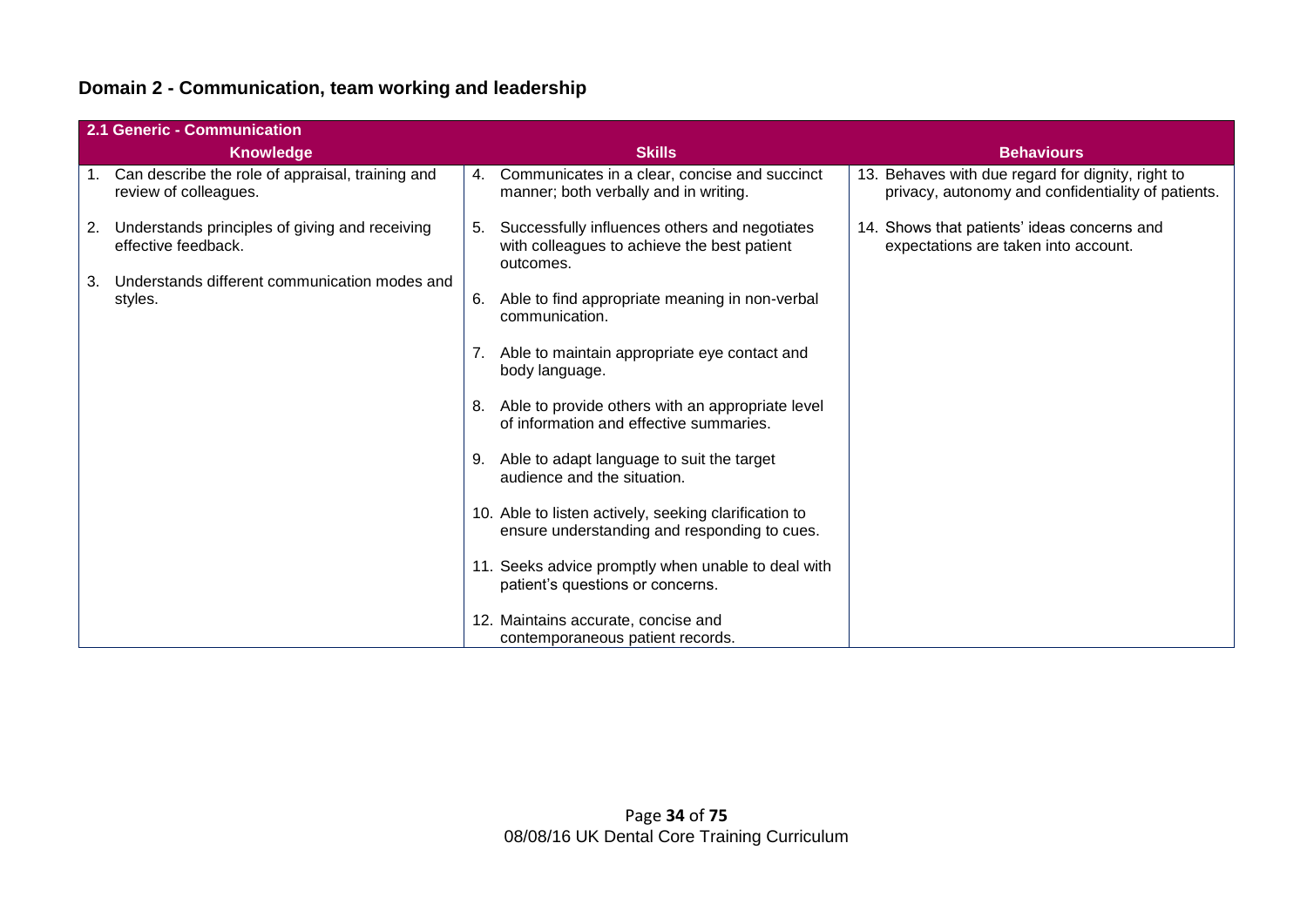# **Domain 2 - Communication, team working and leadership**

|    | 2.1 Generic - Communication                                                  |    |                                                                                                           |                                                                                                         |  |  |  |  |
|----|------------------------------------------------------------------------------|----|-----------------------------------------------------------------------------------------------------------|---------------------------------------------------------------------------------------------------------|--|--|--|--|
|    | <b>Knowledge</b>                                                             |    | <b>Skills</b>                                                                                             | <b>Behaviours</b>                                                                                       |  |  |  |  |
|    | 1. Can describe the role of appraisal, training and<br>review of colleagues. |    | 4. Communicates in a clear, concise and succinct<br>manner; both verbally and in writing.                 | 13. Behaves with due regard for dignity, right to<br>privacy, autonomy and confidentiality of patients. |  |  |  |  |
| 2. | Understands principles of giving and receiving<br>effective feedback.        | 5. | Successfully influences others and negotiates<br>with colleagues to achieve the best patient<br>outcomes. | 14. Shows that patients' ideas concerns and<br>expectations are taken into account.                     |  |  |  |  |
| 3. | Understands different communication modes and                                |    |                                                                                                           |                                                                                                         |  |  |  |  |
|    | styles.                                                                      | 6. | Able to find appropriate meaning in non-verbal<br>communication.                                          |                                                                                                         |  |  |  |  |
|    |                                                                              |    | 7. Able to maintain appropriate eye contact and<br>body language.                                         |                                                                                                         |  |  |  |  |
|    |                                                                              |    | 8. Able to provide others with an appropriate level<br>of information and effective summaries.            |                                                                                                         |  |  |  |  |
|    |                                                                              | 9. | Able to adapt language to suit the target<br>audience and the situation.                                  |                                                                                                         |  |  |  |  |
|    |                                                                              |    | 10. Able to listen actively, seeking clarification to<br>ensure understanding and responding to cues.     |                                                                                                         |  |  |  |  |
|    |                                                                              |    | 11. Seeks advice promptly when unable to deal with<br>patient's questions or concerns.                    |                                                                                                         |  |  |  |  |
|    |                                                                              |    | 12. Maintains accurate, concise and<br>contemporaneous patient records.                                   |                                                                                                         |  |  |  |  |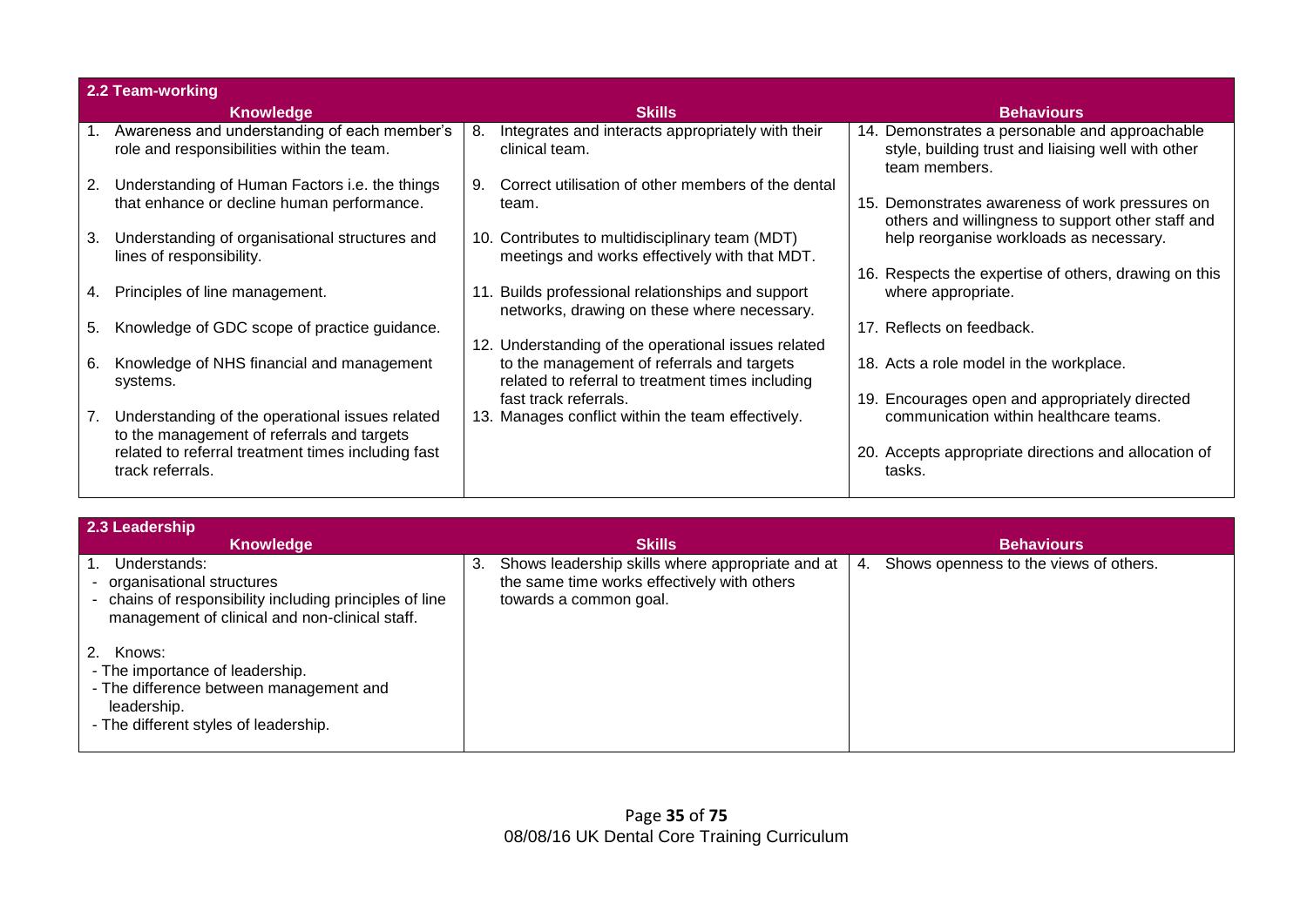|    | 2.2 Team-working                                                                              |    |                                                                                                  |                                                                                                                       |
|----|-----------------------------------------------------------------------------------------------|----|--------------------------------------------------------------------------------------------------|-----------------------------------------------------------------------------------------------------------------------|
|    | <b>Knowledge</b>                                                                              |    | <b>Skills</b>                                                                                    | <b>Behaviours</b>                                                                                                     |
|    | Awareness and understanding of each member's<br>role and responsibilities within the team.    | 8. | Integrates and interacts appropriately with their<br>clinical team.                              | 14. Demonstrates a personable and approachable<br>style, building trust and liaising well with other<br>team members. |
| 2. | Understanding of Human Factors i.e. the things<br>that enhance or decline human performance.  | 9. | Correct utilisation of other members of the dental<br>team.                                      | 15. Demonstrates awareness of work pressures on<br>others and willingness to support other staff and                  |
| 3. | Understanding of organisational structures and<br>lines of responsibility.                    |    | 10. Contributes to multidisciplinary team (MDT)<br>meetings and works effectively with that MDT. | help reorganise workloads as necessary.<br>16. Respects the expertise of others, drawing on this                      |
| 4. | Principles of line management.                                                                |    | Builds professional relationships and support<br>networks, drawing on these where necessary.     | where appropriate.                                                                                                    |
| 5. | Knowledge of GDC scope of practice guidance.                                                  |    | 12. Understanding of the operational issues related                                              | 17. Reflects on feedback.                                                                                             |
| 6. | Knowledge of NHS financial and management<br>systems.                                         |    | to the management of referrals and targets<br>related to referral to treatment times including   | 18. Acts a role model in the workplace.                                                                               |
| 7. | Understanding of the operational issues related<br>to the management of referrals and targets |    | fast track referrals.<br>13. Manages conflict within the team effectively.                       | 19. Encourages open and appropriately directed<br>communication within healthcare teams.                              |
|    | related to referral treatment times including fast<br>track referrals.                        |    |                                                                                                  | 20. Accepts appropriate directions and allocation of<br>tasks.                                                        |

| 2.3 Leadership                                                                                                                                         |    |                                                                                                                           |    |                                        |
|--------------------------------------------------------------------------------------------------------------------------------------------------------|----|---------------------------------------------------------------------------------------------------------------------------|----|----------------------------------------|
| Knowledge                                                                                                                                              |    | <b>Skills</b>                                                                                                             |    | <b>Behaviours</b>                      |
| Understands:<br>organisational structures<br>- chains of responsibility including principles of line<br>management of clinical and non-clinical staff. | 3. | Shows leadership skills where appropriate and at<br>the same time works effectively with others<br>towards a common goal. | 4. | Shows openness to the views of others. |
| Knows:<br>- The importance of leadership.<br>- The difference between management and<br>leadership.<br>- The different styles of leadership.           |    |                                                                                                                           |    |                                        |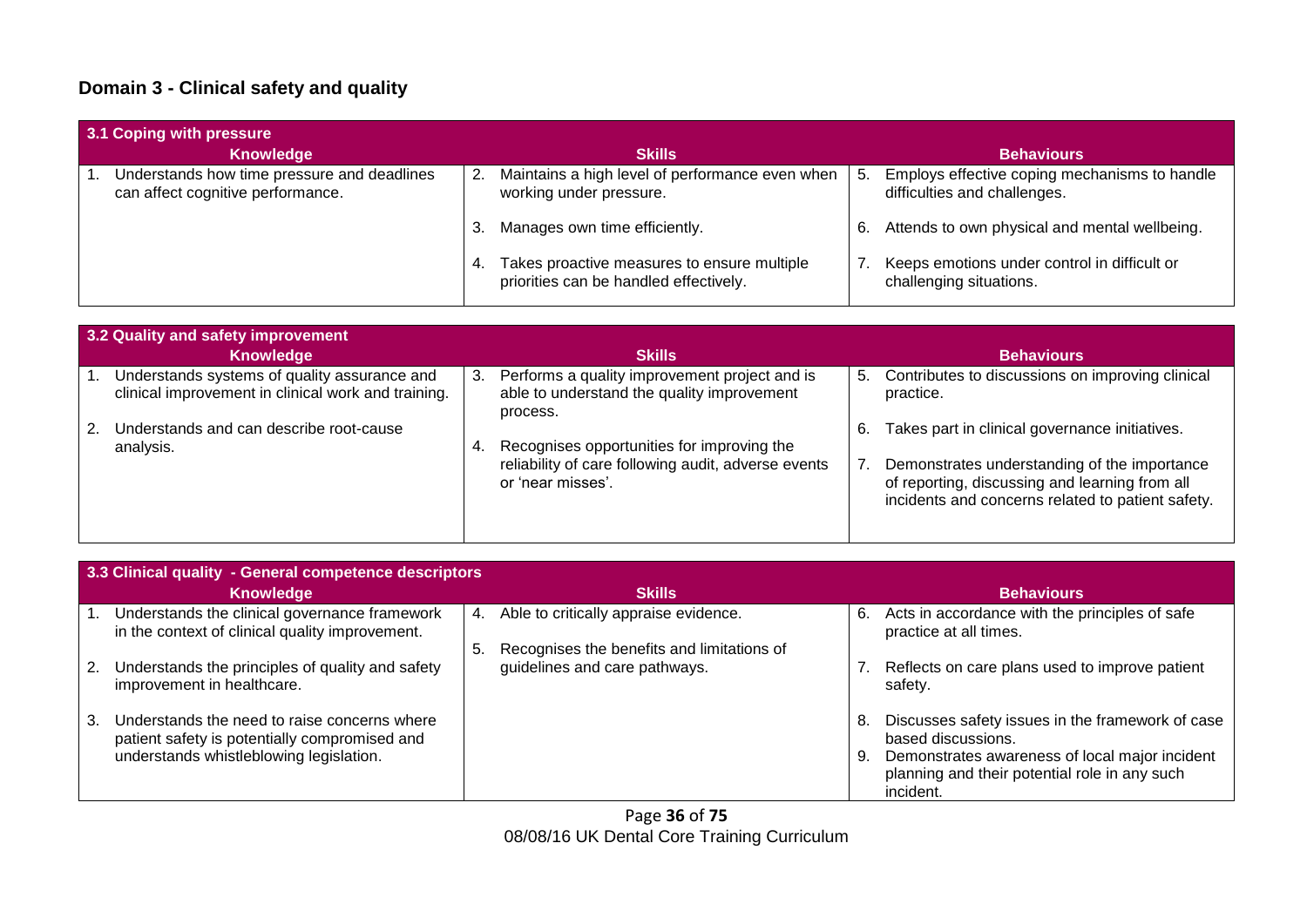# **Domain 3 - Clinical safety and quality**

| 3.1 Coping with pressure                                                         |                                                                                          |                                                                                     |  |  |  |  |  |
|----------------------------------------------------------------------------------|------------------------------------------------------------------------------------------|-------------------------------------------------------------------------------------|--|--|--|--|--|
| <b>Knowledge</b>                                                                 | <b>Skills</b>                                                                            | <b>Behaviours</b>                                                                   |  |  |  |  |  |
| Understands how time pressure and deadlines<br>can affect cognitive performance. | Maintains a high level of performance even when<br>2.<br>working under pressure.         | Employs effective coping mechanisms to handle<br>5.<br>difficulties and challenges. |  |  |  |  |  |
|                                                                                  | Manages own time efficiently.<br>3.                                                      | Attends to own physical and mental wellbeing.<br>6.                                 |  |  |  |  |  |
|                                                                                  | 4. Takes proactive measures to ensure multiple<br>priorities can be handled effectively. | Keeps emotions under control in difficult or<br>challenging situations.             |  |  |  |  |  |

| 3.2 Quality and safety improvement                                                                  |                                                                                                                              |                                                                                                                                                                                                             |  |  |  |  |  |
|-----------------------------------------------------------------------------------------------------|------------------------------------------------------------------------------------------------------------------------------|-------------------------------------------------------------------------------------------------------------------------------------------------------------------------------------------------------------|--|--|--|--|--|
| <b>Knowledge</b>                                                                                    | <b>Skills</b>                                                                                                                | <b>Behaviours</b>                                                                                                                                                                                           |  |  |  |  |  |
| Understands systems of quality assurance and<br>clinical improvement in clinical work and training. | Performs a quality improvement project and is<br>3.<br>able to understand the quality improvement<br>process.                | Contributes to discussions on improving clinical<br>5.<br>practice.                                                                                                                                         |  |  |  |  |  |
| Understands and can describe root-cause<br>analysis.                                                | Recognises opportunities for improving the<br>4.<br>reliability of care following audit, adverse events<br>or 'near misses'. | Takes part in clinical governance initiatives.<br>6.<br>Demonstrates understanding of the importance<br>of reporting, discussing and learning from all<br>incidents and concerns related to patient safety. |  |  |  |  |  |

|    | 3.3 Clinical quality - General competence descriptors                                            |    |                                            |    |                                                                                                 |  |  |  |
|----|--------------------------------------------------------------------------------------------------|----|--------------------------------------------|----|-------------------------------------------------------------------------------------------------|--|--|--|
|    | <b>Knowledge</b>                                                                                 |    | <b>Skills</b>                              |    | <b>Behaviours</b>                                                                               |  |  |  |
|    | Understands the clinical governance framework<br>in the context of clinical quality improvement. | 4. | Able to critically appraise evidence.      | 6. | Acts in accordance with the principles of safe<br>practice at all times.                        |  |  |  |
|    |                                                                                                  | 5. | Recognises the benefits and limitations of |    |                                                                                                 |  |  |  |
| 2. | Understands the principles of quality and safety<br>improvement in healthcare.                   |    | guidelines and care pathways.              |    | Reflects on care plans used to improve patient<br>safety.                                       |  |  |  |
| 3. | Understands the need to raise concerns where<br>patient safety is potentially compromised and    |    |                                            | 8. | Discusses safety issues in the framework of case<br>based discussions.                          |  |  |  |
|    | understands whistleblowing legislation.                                                          |    |                                            | 9. | Demonstrates awareness of local major incident<br>planning and their potential role in any such |  |  |  |
|    |                                                                                                  |    |                                            |    | incident.                                                                                       |  |  |  |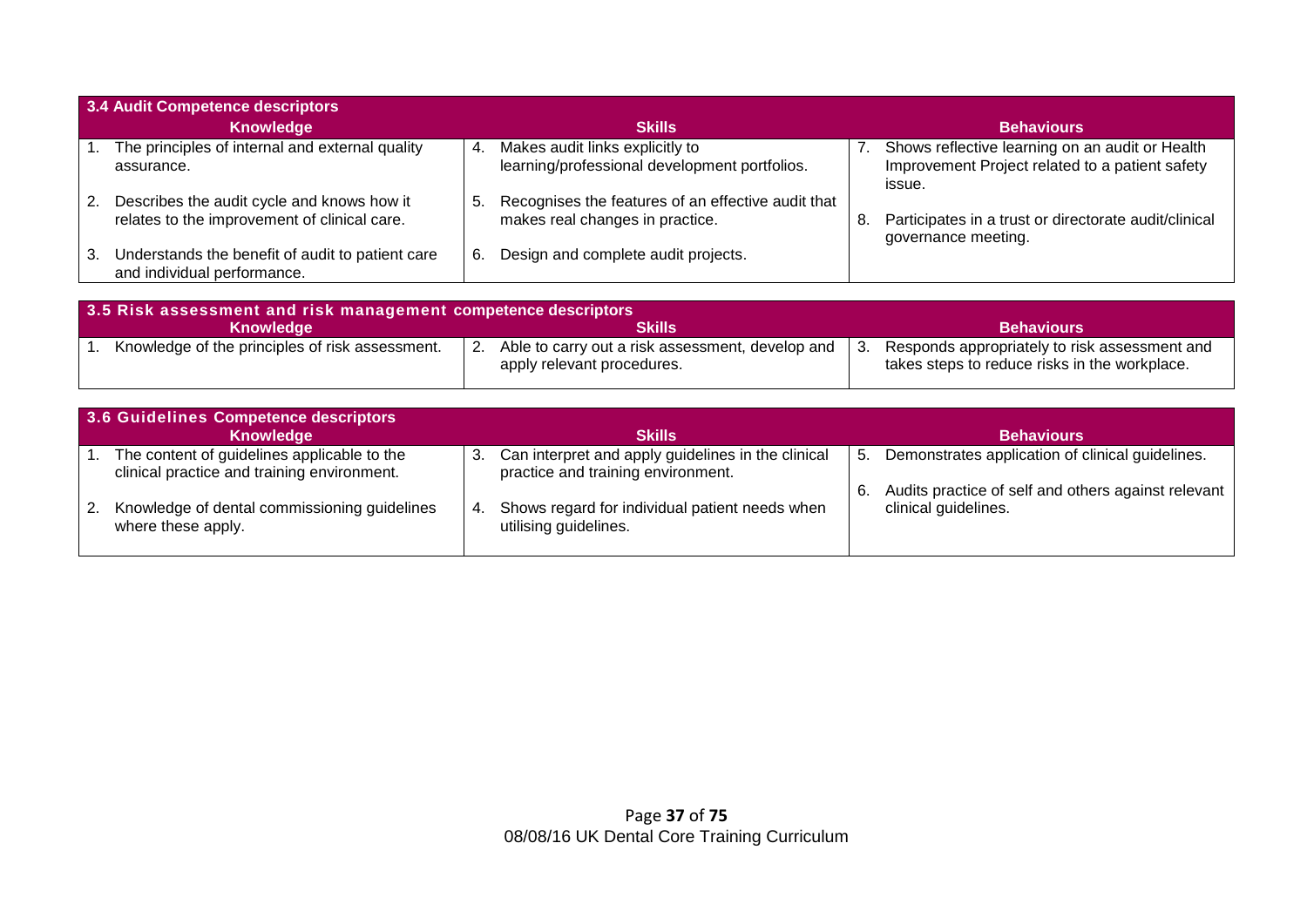| 3.4 Audit Competence descriptors                                                           |    |                                                                                          |    |                                                                                                              |  |  |
|--------------------------------------------------------------------------------------------|----|------------------------------------------------------------------------------------------|----|--------------------------------------------------------------------------------------------------------------|--|--|
| <b>Knowledge</b>                                                                           |    | <b>Skills</b>                                                                            |    | <b>Behaviours</b>                                                                                            |  |  |
| The principles of internal and external quality<br>assurance.                              | 4. | Makes audit links explicitly to<br>learning/professional development portfolios.         |    | Shows reflective learning on an audit or Health<br>Improvement Project related to a patient safety<br>issue. |  |  |
| Describes the audit cycle and knows how it<br>relates to the improvement of clinical care. |    | 5. Recognises the features of an effective audit that<br>makes real changes in practice. | 8. | Participates in a trust or directorate audit/clinical<br>governance meeting.                                 |  |  |
| Understands the benefit of audit to patient care<br>and individual performance.            | 6. | Design and complete audit projects.                                                      |    |                                                                                                              |  |  |

| 3.5 Risk assessment and risk management competence descriptors |                                                                                |                                                                                                |  |  |  |
|----------------------------------------------------------------|--------------------------------------------------------------------------------|------------------------------------------------------------------------------------------------|--|--|--|
| Knowledge                                                      | Skills                                                                         | <b>Behaviours</b>                                                                              |  |  |  |
| Knowledge of the principles of risk assessment.                | Able to carry out a risk assessment, develop and<br>apply relevant procedures. | Responds appropriately to risk assessment and<br>takes steps to reduce risks in the workplace. |  |  |  |

|    | 3.6 Guidelines Competence descriptors                                                      |     |                                                                                          |    |                                                                             |  |  |
|----|--------------------------------------------------------------------------------------------|-----|------------------------------------------------------------------------------------------|----|-----------------------------------------------------------------------------|--|--|
|    | Knowledge                                                                                  |     | <b>Skills</b>                                                                            |    | <b>Behaviours</b>                                                           |  |  |
|    | The content of guidelines applicable to the<br>clinical practice and training environment. | 3.  | Can interpret and apply guidelines in the clinical<br>practice and training environment. | 5. | Demonstrates application of clinical guidelines.                            |  |  |
| 2. | Knowledge of dental commissioning guidelines<br>where these apply.                         | -4. | Shows regard for individual patient needs when<br>utilising guidelines.                  |    | Audits practice of self and others against relevant<br>clinical guidelines. |  |  |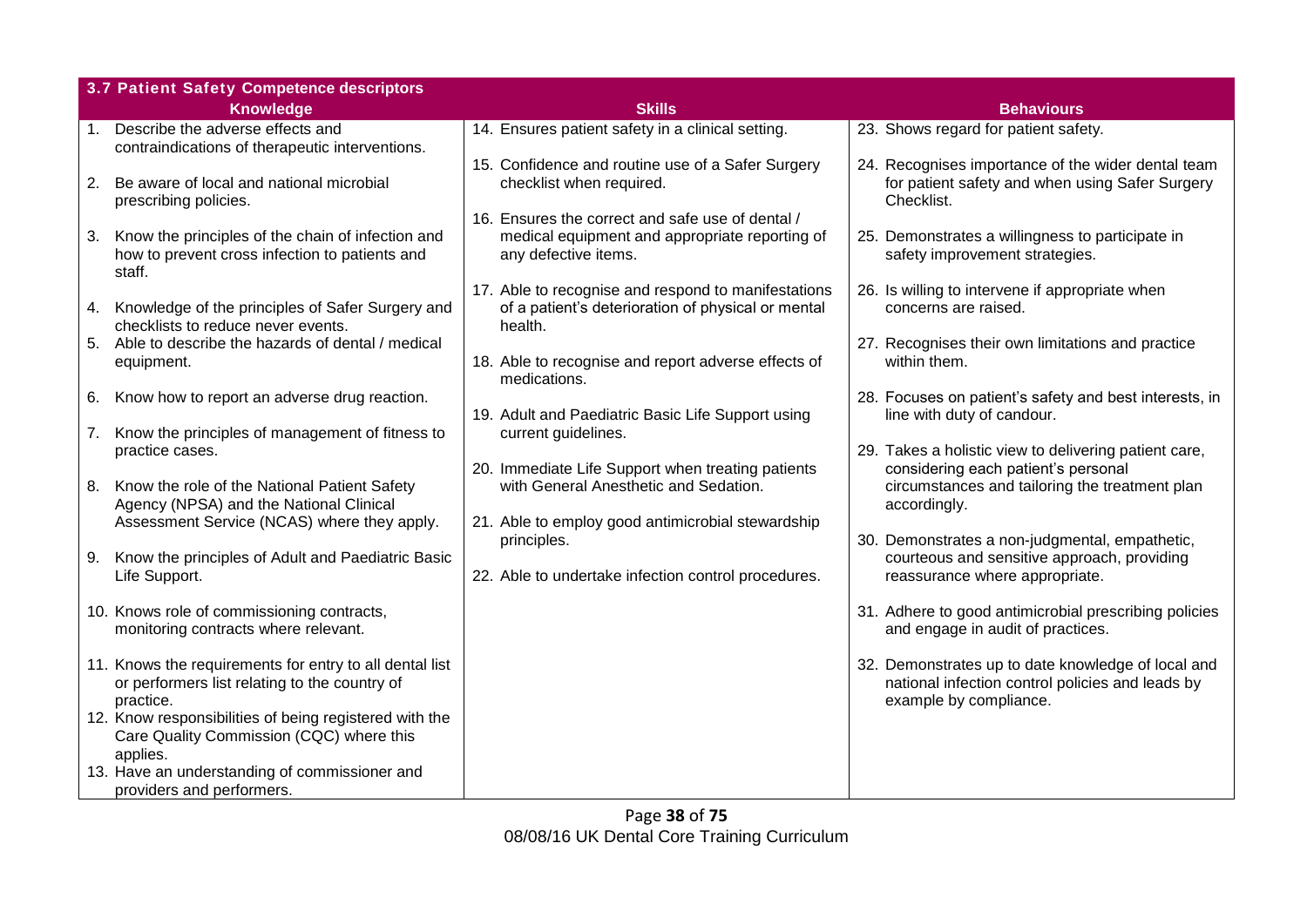|    | 3.7 Patient Safety Competence descriptors                                                                             |                                                                                                                            |                                                                                                                                  |  |  |  |  |  |
|----|-----------------------------------------------------------------------------------------------------------------------|----------------------------------------------------------------------------------------------------------------------------|----------------------------------------------------------------------------------------------------------------------------------|--|--|--|--|--|
|    | <b>Knowledge</b>                                                                                                      | <b>Skills</b>                                                                                                              | <b>Behaviours</b>                                                                                                                |  |  |  |  |  |
|    | 1. Describe the adverse effects and<br>contraindications of therapeutic interventions.                                | 14. Ensures patient safety in a clinical setting.                                                                          | 23. Shows regard for patient safety.                                                                                             |  |  |  |  |  |
| 2. | Be aware of local and national microbial<br>prescribing policies.                                                     | 15. Confidence and routine use of a Safer Surgery<br>checklist when required.                                              | 24. Recognises importance of the wider dental team<br>for patient safety and when using Safer Surgery<br>Checklist.              |  |  |  |  |  |
| 3. | Know the principles of the chain of infection and<br>how to prevent cross infection to patients and<br>staff.         | 16. Ensures the correct and safe use of dental /<br>medical equipment and appropriate reporting of<br>any defective items. | 25. Demonstrates a willingness to participate in<br>safety improvement strategies.                                               |  |  |  |  |  |
|    | 4. Knowledge of the principles of Safer Surgery and<br>checklists to reduce never events.                             | 17. Able to recognise and respond to manifestations<br>of a patient's deterioration of physical or mental<br>health.       | 26. Is willing to intervene if appropriate when<br>concerns are raised.                                                          |  |  |  |  |  |
|    | 5. Able to describe the hazards of dental / medical<br>equipment.                                                     | 18. Able to recognise and report adverse effects of<br>medications.                                                        | 27. Recognises their own limitations and practice<br>within them.                                                                |  |  |  |  |  |
|    | 6. Know how to report an adverse drug reaction.                                                                       | 19. Adult and Paediatric Basic Life Support using                                                                          | 28. Focuses on patient's safety and best interests, in<br>line with duty of candour.                                             |  |  |  |  |  |
| 7. | Know the principles of management of fitness to<br>practice cases.                                                    | current guidelines.<br>20. Immediate Life Support when treating patients                                                   | 29. Takes a holistic view to delivering patient care,<br>considering each patient's personal                                     |  |  |  |  |  |
|    | 8. Know the role of the National Patient Safety<br>Agency (NPSA) and the National Clinical                            | with General Anesthetic and Sedation.                                                                                      | circumstances and tailoring the treatment plan<br>accordingly.                                                                   |  |  |  |  |  |
|    | Assessment Service (NCAS) where they apply.                                                                           | 21. Able to employ good antimicrobial stewardship<br>principles.                                                           | 30. Demonstrates a non-judgmental, empathetic,                                                                                   |  |  |  |  |  |
| 9. | Know the principles of Adult and Paediatric Basic<br>Life Support.                                                    | 22. Able to undertake infection control procedures.                                                                        | courteous and sensitive approach, providing<br>reassurance where appropriate.                                                    |  |  |  |  |  |
|    | 10. Knows role of commissioning contracts,<br>monitoring contracts where relevant.                                    |                                                                                                                            | 31. Adhere to good antimicrobial prescribing policies<br>and engage in audit of practices.                                       |  |  |  |  |  |
|    | 11. Knows the requirements for entry to all dental list<br>or performers list relating to the country of<br>practice. |                                                                                                                            | 32. Demonstrates up to date knowledge of local and<br>national infection control policies and leads by<br>example by compliance. |  |  |  |  |  |
|    | 12. Know responsibilities of being registered with the<br>Care Quality Commission (CQC) where this<br>applies.        |                                                                                                                            |                                                                                                                                  |  |  |  |  |  |
|    | 13. Have an understanding of commissioner and<br>providers and performers.                                            |                                                                                                                            |                                                                                                                                  |  |  |  |  |  |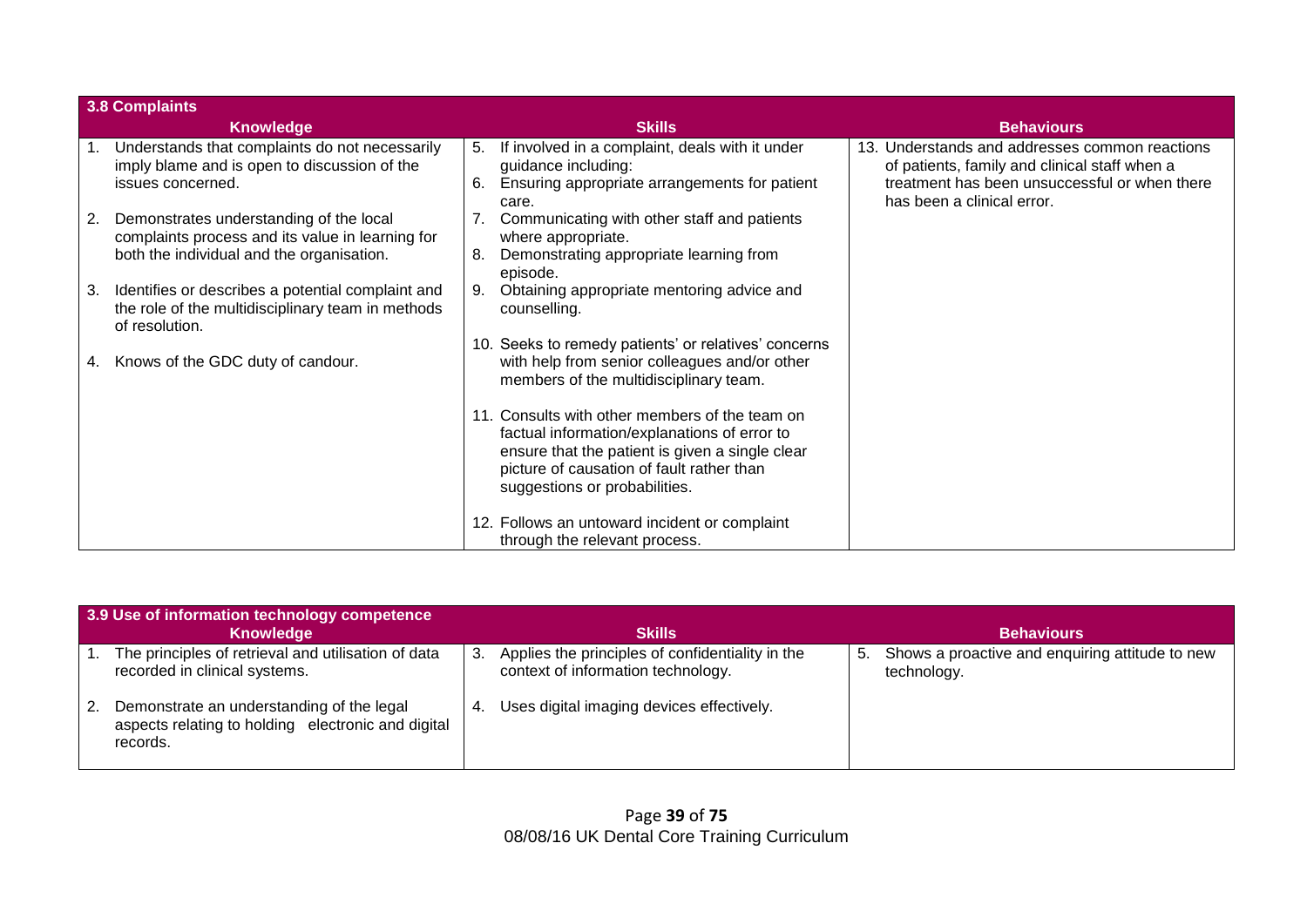| <b>3.8 Complaints</b> |                                                                                                                                          |          |                                                                                                                                                                                                                                 |                                                                                                                                                                                |
|-----------------------|------------------------------------------------------------------------------------------------------------------------------------------|----------|---------------------------------------------------------------------------------------------------------------------------------------------------------------------------------------------------------------------------------|--------------------------------------------------------------------------------------------------------------------------------------------------------------------------------|
|                       | <b>Knowledge</b>                                                                                                                         |          | <b>Skills</b>                                                                                                                                                                                                                   | <b>Behaviours</b>                                                                                                                                                              |
|                       | Understands that complaints do not necessarily<br>imply blame and is open to discussion of the<br>issues concerned.                      | 5.<br>6. | If involved in a complaint, deals with it under<br>guidance including:<br>Ensuring appropriate arrangements for patient<br>care.                                                                                                | 13. Understands and addresses common reactions<br>of patients, family and clinical staff when a<br>treatment has been unsuccessful or when there<br>has been a clinical error. |
| 2.                    | Demonstrates understanding of the local<br>complaints process and its value in learning for<br>both the individual and the organisation. | 8.       | Communicating with other staff and patients<br>where appropriate.<br>Demonstrating appropriate learning from<br>episode.                                                                                                        |                                                                                                                                                                                |
| 3.                    | Identifies or describes a potential complaint and<br>the role of the multidisciplinary team in methods<br>of resolution.                 | 9.       | Obtaining appropriate mentoring advice and<br>counselling.                                                                                                                                                                      |                                                                                                                                                                                |
| 4.                    | Knows of the GDC duty of candour.                                                                                                        |          | 10. Seeks to remedy patients' or relatives' concerns<br>with help from senior colleagues and/or other<br>members of the multidisciplinary team.                                                                                 |                                                                                                                                                                                |
|                       |                                                                                                                                          |          | 11. Consults with other members of the team on<br>factual information/explanations of error to<br>ensure that the patient is given a single clear<br>picture of causation of fault rather than<br>suggestions or probabilities. |                                                                                                                                                                                |
|                       |                                                                                                                                          |          | 12. Follows an untoward incident or complaint<br>through the relevant process.                                                                                                                                                  |                                                                                                                                                                                |

| 3.9 Use of information technology competence                                                                |     |                                                                                        |    |                                                                |  |  |
|-------------------------------------------------------------------------------------------------------------|-----|----------------------------------------------------------------------------------------|----|----------------------------------------------------------------|--|--|
| Knowledge                                                                                                   |     | <b>Skills</b>                                                                          |    | <b>Behaviours</b>                                              |  |  |
| The principles of retrieval and utilisation of data<br>recorded in clinical systems.                        | -3. | Applies the principles of confidentiality in the<br>context of information technology. | 5. | Shows a proactive and enquiring attitude to new<br>technology. |  |  |
| Demonstrate an understanding of the legal<br>aspects relating to holding electronic and digital<br>records. | -4. | Uses digital imaging devices effectively.                                              |    |                                                                |  |  |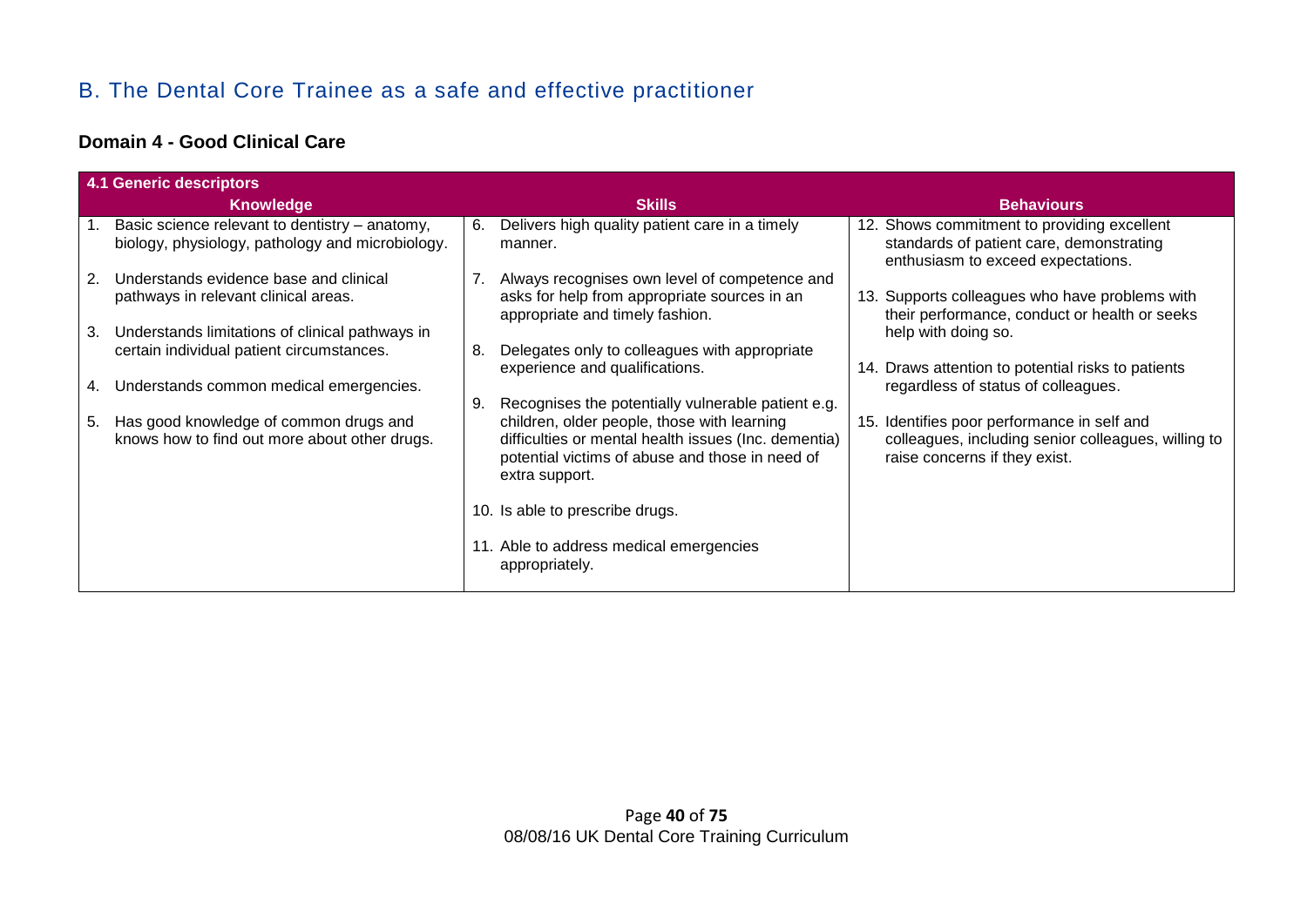## B. The Dental Core Trainee as a safe and effective practitioner

#### **Domain 4 - Good Clinical Care**

|    | <b>4.1 Generic descriptors</b>                                                                     |               |                                                                                                                                                                          |  |                                                                                                                                     |  |  |
|----|----------------------------------------------------------------------------------------------------|---------------|--------------------------------------------------------------------------------------------------------------------------------------------------------------------------|--|-------------------------------------------------------------------------------------------------------------------------------------|--|--|
|    | <b>Knowledge</b>                                                                                   | <b>Skills</b> |                                                                                                                                                                          |  | <b>Behaviours</b>                                                                                                                   |  |  |
|    | Basic science relevant to dentistry - anatomy,<br>biology, physiology, pathology and microbiology. | 6.            | Delivers high quality patient care in a timely<br>manner.                                                                                                                |  | 12. Shows commitment to providing excellent<br>standards of patient care, demonstrating<br>enthusiasm to exceed expectations.       |  |  |
| 2. | Understands evidence base and clinical<br>pathways in relevant clinical areas.                     |               | 7. Always recognises own level of competence and<br>asks for help from appropriate sources in an<br>appropriate and timely fashion.                                      |  | 13. Supports colleagues who have problems with<br>their performance, conduct or health or seeks                                     |  |  |
| 3. | Understands limitations of clinical pathways in<br>certain individual patient circumstances.       | 8.            | Delegates only to colleagues with appropriate<br>experience and qualifications.                                                                                          |  | help with doing so.<br>14. Draws attention to potential risks to patients                                                           |  |  |
| 4. | Understands common medical emergencies.                                                            | 9.            | Recognises the potentially vulnerable patient e.g.                                                                                                                       |  | regardless of status of colleagues.                                                                                                 |  |  |
| 5. | Has good knowledge of common drugs and<br>knows how to find out more about other drugs.            |               | children, older people, those with learning<br>difficulties or mental health issues (Inc. dementia)<br>potential victims of abuse and those in need of<br>extra support. |  | 15. Identifies poor performance in self and<br>colleagues, including senior colleagues, willing to<br>raise concerns if they exist. |  |  |
|    |                                                                                                    |               | 10. Is able to prescribe drugs.                                                                                                                                          |  |                                                                                                                                     |  |  |
|    |                                                                                                    |               | 11. Able to address medical emergencies<br>appropriately.                                                                                                                |  |                                                                                                                                     |  |  |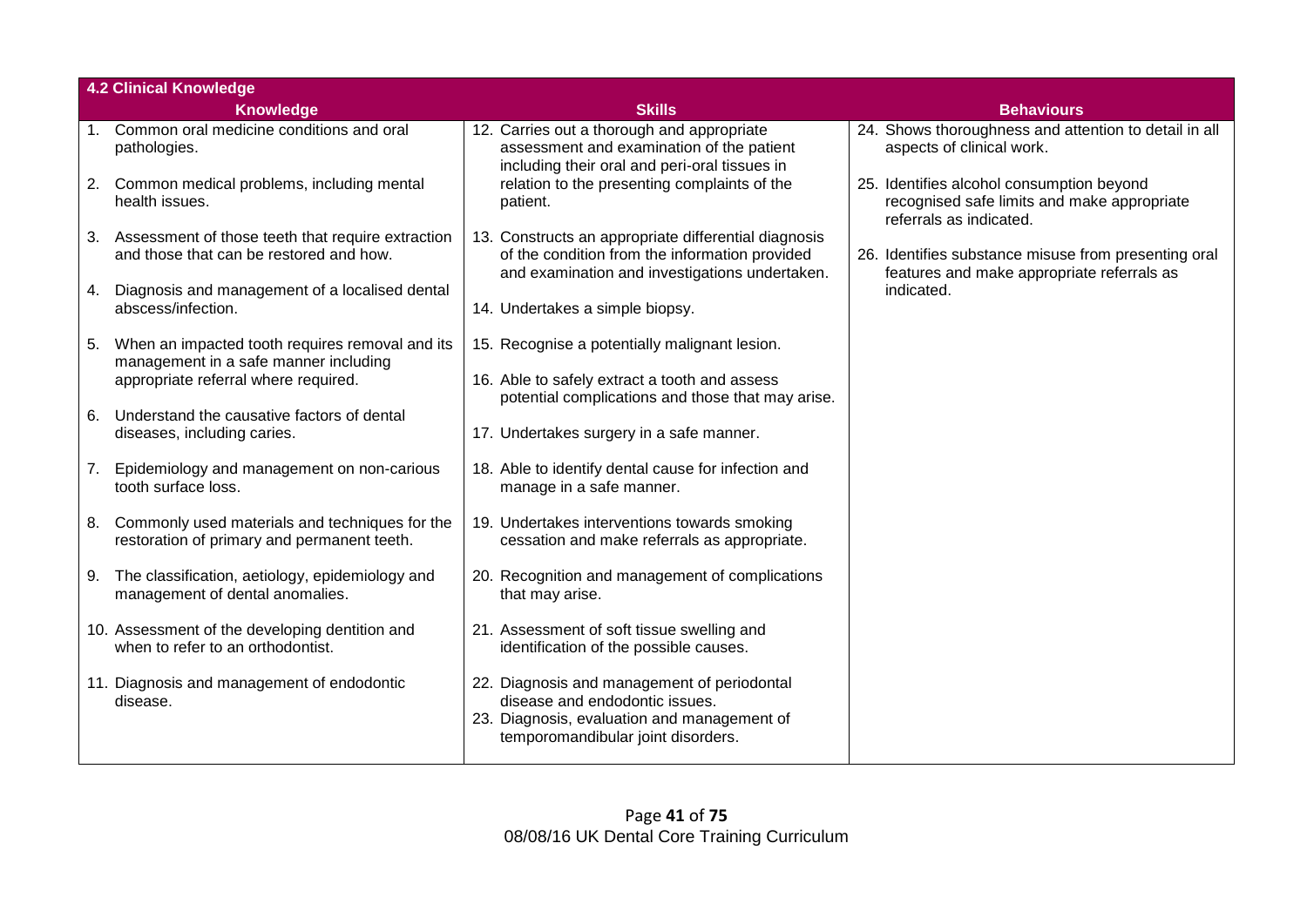|    | <b>4.2 Clinical Knowledge</b>                                                                 |                                                                                                                                                                    |                                                                                                                     |
|----|-----------------------------------------------------------------------------------------------|--------------------------------------------------------------------------------------------------------------------------------------------------------------------|---------------------------------------------------------------------------------------------------------------------|
|    | <b>Knowledge</b>                                                                              | <b>Skills</b>                                                                                                                                                      | <b>Behaviours</b>                                                                                                   |
|    | Common oral medicine conditions and oral<br>pathologies.                                      | 12. Carries out a thorough and appropriate<br>assessment and examination of the patient<br>including their oral and peri-oral tissues in                           | 24. Shows thoroughness and attention to detail in all<br>aspects of clinical work.                                  |
| 2. | Common medical problems, including mental<br>health issues.                                   | relation to the presenting complaints of the<br>patient.                                                                                                           | 25. Identifies alcohol consumption beyond<br>recognised safe limits and make appropriate<br>referrals as indicated. |
| 3. | Assessment of those teeth that require extraction<br>and those that can be restored and how.  | 13. Constructs an appropriate differential diagnosis<br>of the condition from the information provided<br>and examination and investigations undertaken.           | 26. Identifies substance misuse from presenting oral<br>features and make appropriate referrals as                  |
| 4. | Diagnosis and management of a localised dental<br>abscess/infection.                          | 14. Undertakes a simple biopsy.                                                                                                                                    | indicated.                                                                                                          |
| 5. | When an impacted tooth requires removal and its<br>management in a safe manner including      | 15. Recognise a potentially malignant lesion.                                                                                                                      |                                                                                                                     |
|    | appropriate referral where required.                                                          | 16. Able to safely extract a tooth and assess<br>potential complications and those that may arise.                                                                 |                                                                                                                     |
| 6. | Understand the causative factors of dental<br>diseases, including caries.                     | 17. Undertakes surgery in a safe manner.                                                                                                                           |                                                                                                                     |
|    | 7. Epidemiology and management on non-carious<br>tooth surface loss.                          | 18. Able to identify dental cause for infection and<br>manage in a safe manner.                                                                                    |                                                                                                                     |
| 8. | Commonly used materials and techniques for the<br>restoration of primary and permanent teeth. | 19. Undertakes interventions towards smoking<br>cessation and make referrals as appropriate.                                                                       |                                                                                                                     |
|    | 9. The classification, aetiology, epidemiology and<br>management of dental anomalies.         | 20. Recognition and management of complications<br>that may arise.                                                                                                 |                                                                                                                     |
|    | 10. Assessment of the developing dentition and<br>when to refer to an orthodontist.           | 21. Assessment of soft tissue swelling and<br>identification of the possible causes.                                                                               |                                                                                                                     |
|    | 11. Diagnosis and management of endodontic<br>disease.                                        | 22. Diagnosis and management of periodontal<br>disease and endodontic issues.<br>23. Diagnosis, evaluation and management of<br>temporomandibular joint disorders. |                                                                                                                     |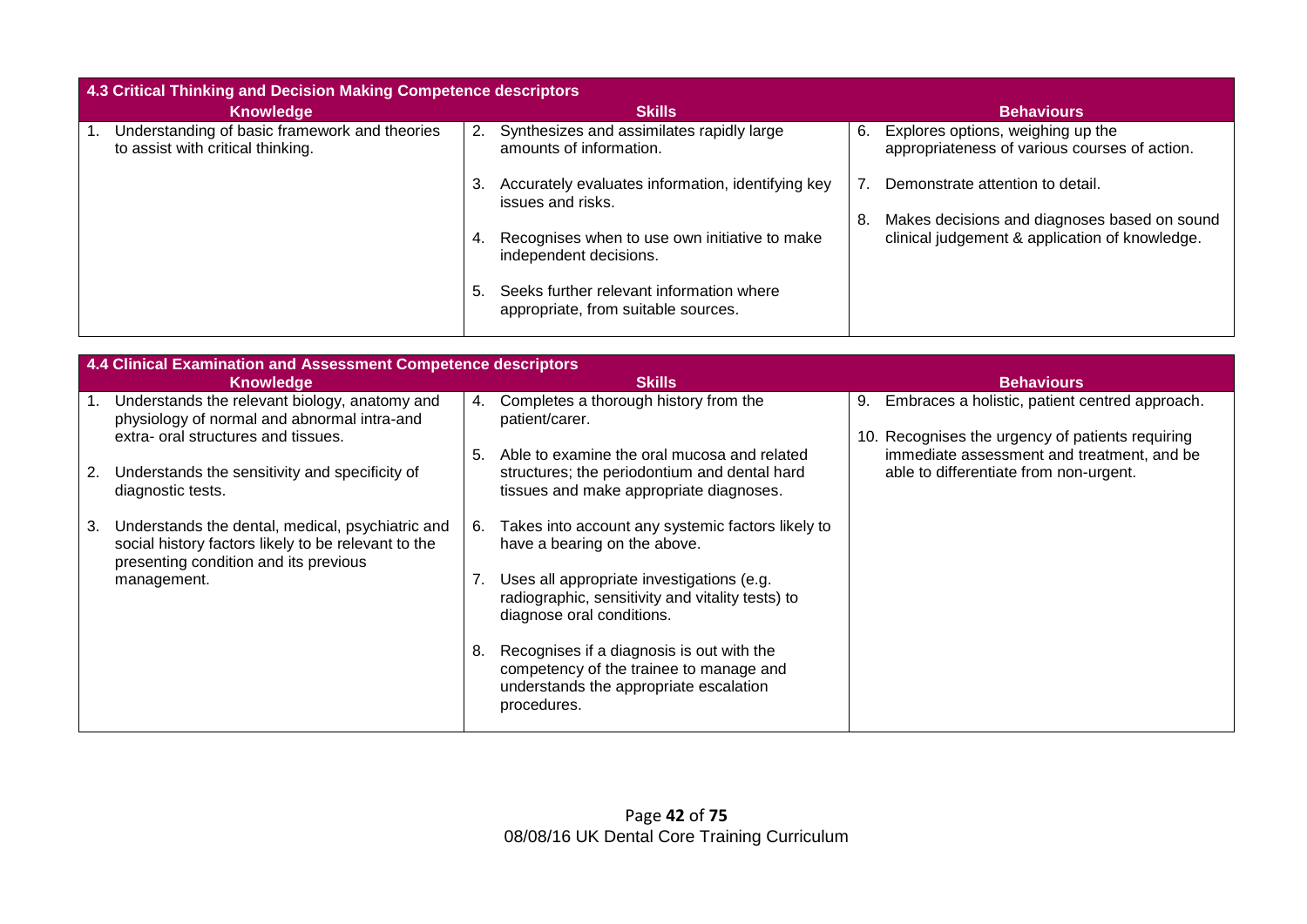| 4.3 Critical Thinking and Decision Making Competence descriptors                   |    |                                                                                 |     |                                                                                                |  |  |
|------------------------------------------------------------------------------------|----|---------------------------------------------------------------------------------|-----|------------------------------------------------------------------------------------------------|--|--|
| <b>Knowledge</b>                                                                   |    | <b>Skills</b>                                                                   |     | <b>Behaviours</b>                                                                              |  |  |
| Understanding of basic framework and theories<br>to assist with critical thinking. |    | 2. Synthesizes and assimilates rapidly large<br>amounts of information.         | 6.  | Explores options, weighing up the<br>appropriateness of various courses of action.             |  |  |
|                                                                                    | 3. | Accurately evaluates information, identifying key<br>issues and risks.          |     | Demonstrate attention to detail.                                                               |  |  |
|                                                                                    | 4. | Recognises when to use own initiative to make<br>independent decisions.         | -8. | Makes decisions and diagnoses based on sound<br>clinical judgement & application of knowledge. |  |  |
|                                                                                    | 5. | Seeks further relevant information where<br>appropriate, from suitable sources. |     |                                                                                                |  |  |

|    | 4.4 Clinical Examination and Assessment Competence descriptors                                                                                   |    |                                                                                                                                               |    |                                                                                                |
|----|--------------------------------------------------------------------------------------------------------------------------------------------------|----|-----------------------------------------------------------------------------------------------------------------------------------------------|----|------------------------------------------------------------------------------------------------|
|    | Knowledge                                                                                                                                        |    | <b>Behaviours</b>                                                                                                                             |    |                                                                                                |
|    | Understands the relevant biology, anatomy and<br>physiology of normal and abnormal intra-and                                                     | 4. | Completes a thorough history from the<br>patient/carer.                                                                                       | 9. | Embraces a holistic, patient centred approach.                                                 |
|    | extra- oral structures and tissues.                                                                                                              | 5. | Able to examine the oral mucosa and related                                                                                                   |    | 10. Recognises the urgency of patients requiring<br>immediate assessment and treatment, and be |
| 2. | Understands the sensitivity and specificity of<br>diagnostic tests.                                                                              |    | structures; the periodontium and dental hard<br>tissues and make appropriate diagnoses.                                                       |    | able to differentiate from non-urgent.                                                         |
| 3. | Understands the dental, medical, psychiatric and<br>social history factors likely to be relevant to the<br>presenting condition and its previous | 6. | Takes into account any systemic factors likely to<br>have a bearing on the above.                                                             |    |                                                                                                |
|    | management.                                                                                                                                      | 7. | Uses all appropriate investigations (e.g.<br>radiographic, sensitivity and vitality tests) to<br>diagnose oral conditions.                    |    |                                                                                                |
|    |                                                                                                                                                  | 8. | Recognises if a diagnosis is out with the<br>competency of the trainee to manage and<br>understands the appropriate escalation<br>procedures. |    |                                                                                                |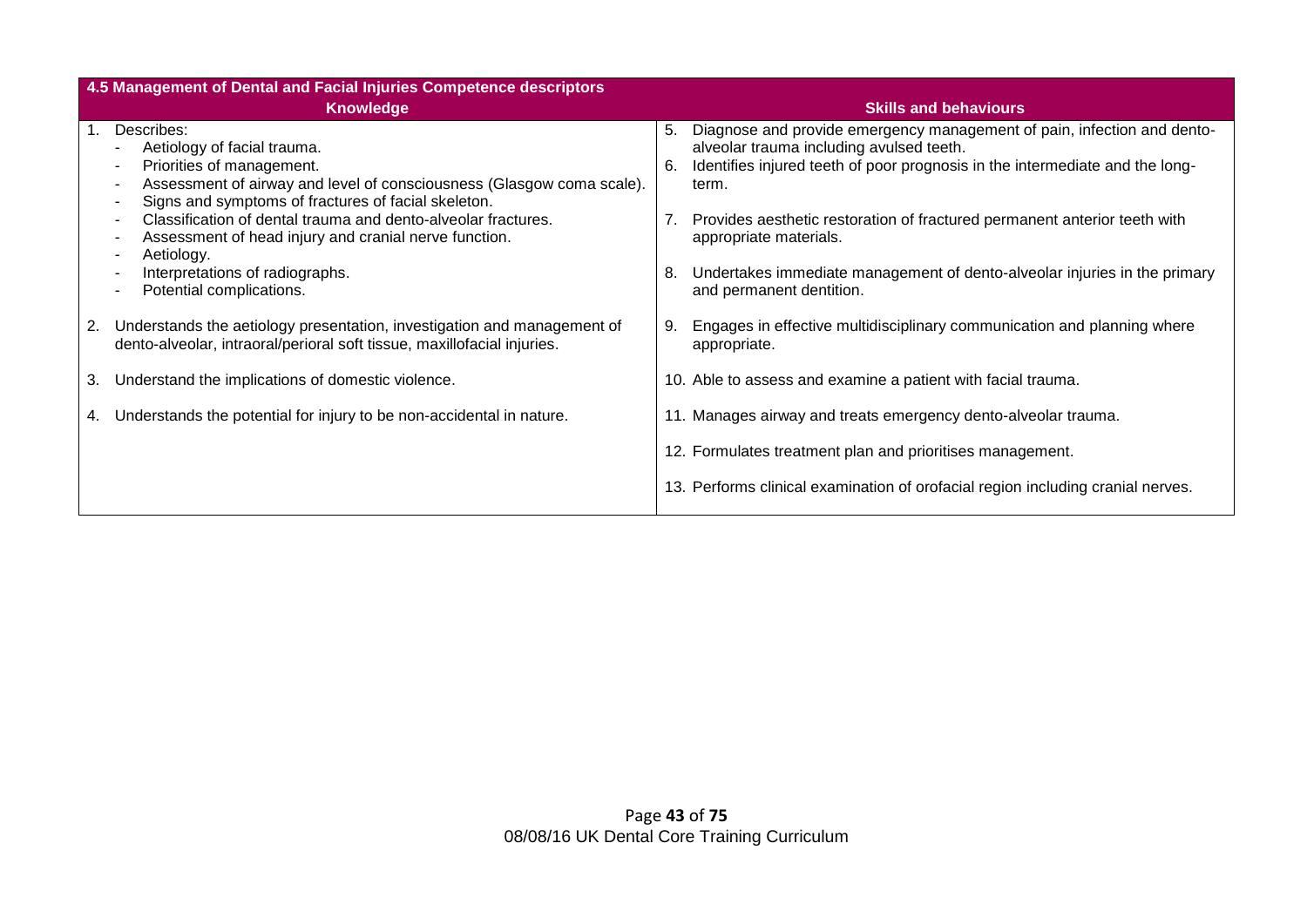|    | 4.5 Management of Dental and Facial Injuries Competence descriptors                                                                                |          |                                                                                                                                                                                                     |  |  |  |  |  |  |  |  |
|----|----------------------------------------------------------------------------------------------------------------------------------------------------|----------|-----------------------------------------------------------------------------------------------------------------------------------------------------------------------------------------------------|--|--|--|--|--|--|--|--|
|    | <b>Knowledge</b>                                                                                                                                   |          | <b>Skills and behaviours</b>                                                                                                                                                                        |  |  |  |  |  |  |  |  |
|    | Describes:<br>Aetiology of facial trauma.<br>Priorities of management.                                                                             | 5.<br>6. | Diagnose and provide emergency management of pain, infection and dento-<br>alveolar trauma including avulsed teeth.<br>Identifies injured teeth of poor prognosis in the intermediate and the long- |  |  |  |  |  |  |  |  |
|    | Assessment of airway and level of consciousness (Glasgow coma scale).<br>Signs and symptoms of fractures of facial skeleton.                       |          | term.                                                                                                                                                                                               |  |  |  |  |  |  |  |  |
|    | Classification of dental trauma and dento-alveolar fractures.<br>Assessment of head injury and cranial nerve function.<br>Aetiology.               |          | Provides aesthetic restoration of fractured permanent anterior teeth with<br>appropriate materials.                                                                                                 |  |  |  |  |  |  |  |  |
|    | Interpretations of radiographs.<br>Potential complications.                                                                                        | 8.       | Undertakes immediate management of dento-alveolar injuries in the primary<br>and permanent dentition.                                                                                               |  |  |  |  |  |  |  |  |
| 2. | Understands the aetiology presentation, investigation and management of<br>dento-alveolar, intraoral/perioral soft tissue, maxillofacial injuries. | 9.       | Engages in effective multidisciplinary communication and planning where<br>appropriate.                                                                                                             |  |  |  |  |  |  |  |  |
| 3. | Understand the implications of domestic violence.                                                                                                  |          | 10. Able to assess and examine a patient with facial trauma.                                                                                                                                        |  |  |  |  |  |  |  |  |
| 4. | Understands the potential for injury to be non-accidental in nature.                                                                               |          | 11. Manages airway and treats emergency dento-alveolar trauma.                                                                                                                                      |  |  |  |  |  |  |  |  |
|    |                                                                                                                                                    |          | 12. Formulates treatment plan and prioritises management.                                                                                                                                           |  |  |  |  |  |  |  |  |
|    |                                                                                                                                                    |          | 13. Performs clinical examination of orofacial region including cranial nerves.                                                                                                                     |  |  |  |  |  |  |  |  |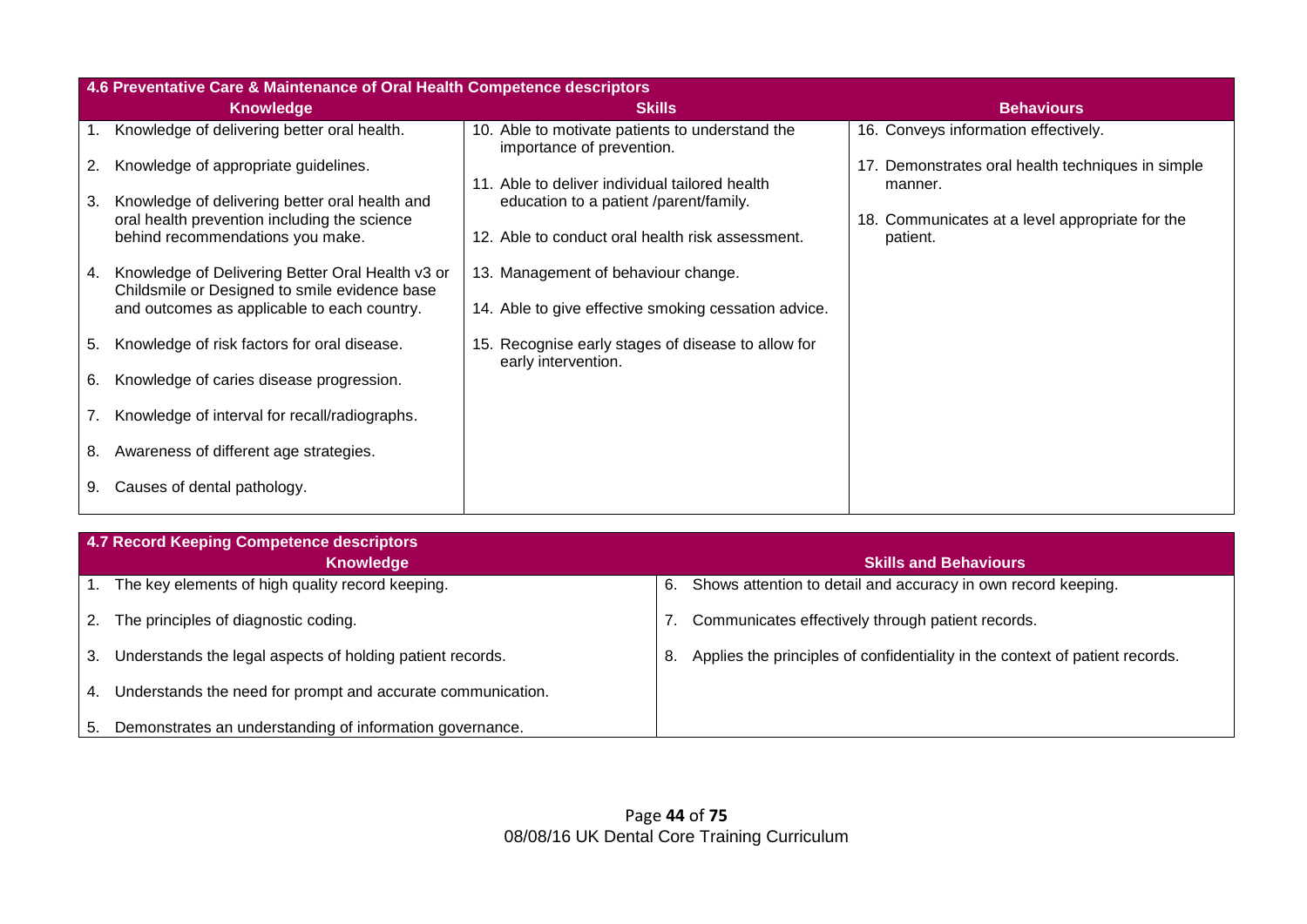|    | 4.6 Preventative Care & Maintenance of Oral Health Competence descriptors                         |                                                                              |                                                              |  |  |  |  |  |
|----|---------------------------------------------------------------------------------------------------|------------------------------------------------------------------------------|--------------------------------------------------------------|--|--|--|--|--|
|    | <b>Knowledge</b>                                                                                  | <b>Skills</b>                                                                | <b>Behaviours</b>                                            |  |  |  |  |  |
|    | Knowledge of delivering better oral health.                                                       | 10. Able to motivate patients to understand the<br>importance of prevention. | 16. Conveys information effectively.                         |  |  |  |  |  |
| 2. | Knowledge of appropriate guidelines.                                                              | 11. Able to deliver individual tailored health                               | 17. Demonstrates oral health techniques in simple<br>manner. |  |  |  |  |  |
| 3. | Knowledge of delivering better oral health and<br>oral health prevention including the science    | education to a patient /parent/family.                                       | 18. Communicates at a level appropriate for the              |  |  |  |  |  |
|    | behind recommendations you make.                                                                  | 12. Able to conduct oral health risk assessment.                             | patient.                                                     |  |  |  |  |  |
| 4. | Knowledge of Delivering Better Oral Health v3 or<br>Childsmile or Designed to smile evidence base | 13. Management of behaviour change.                                          |                                                              |  |  |  |  |  |
|    | and outcomes as applicable to each country.                                                       | 14. Able to give effective smoking cessation advice.                         |                                                              |  |  |  |  |  |
| 5. | Knowledge of risk factors for oral disease.                                                       | 15. Recognise early stages of disease to allow for<br>early intervention.    |                                                              |  |  |  |  |  |
| 6. | Knowledge of caries disease progression.                                                          |                                                                              |                                                              |  |  |  |  |  |
|    | Knowledge of interval for recall/radiographs.                                                     |                                                                              |                                                              |  |  |  |  |  |
| 8. | Awareness of different age strategies.                                                            |                                                                              |                                                              |  |  |  |  |  |
| 9. | Causes of dental pathology.                                                                       |                                                                              |                                                              |  |  |  |  |  |

|    | 4.7 Record Keeping Competence descriptors                   |    |                                                                              |
|----|-------------------------------------------------------------|----|------------------------------------------------------------------------------|
|    | <b>Knowledge</b>                                            |    | <b>Skills and Behaviours</b>                                                 |
|    | The key elements of high quality record keeping.            | 6. | Shows attention to detail and accuracy in own record keeping.                |
| 2. | The principles of diagnostic coding.                        |    | Communicates effectively through patient records.                            |
| 3. | Understands the legal aspects of holding patient records.   | 8. | Applies the principles of confidentiality in the context of patient records. |
| 4. | Understands the need for prompt and accurate communication. |    |                                                                              |
| 5. | Demonstrates an understanding of information governance.    |    |                                                                              |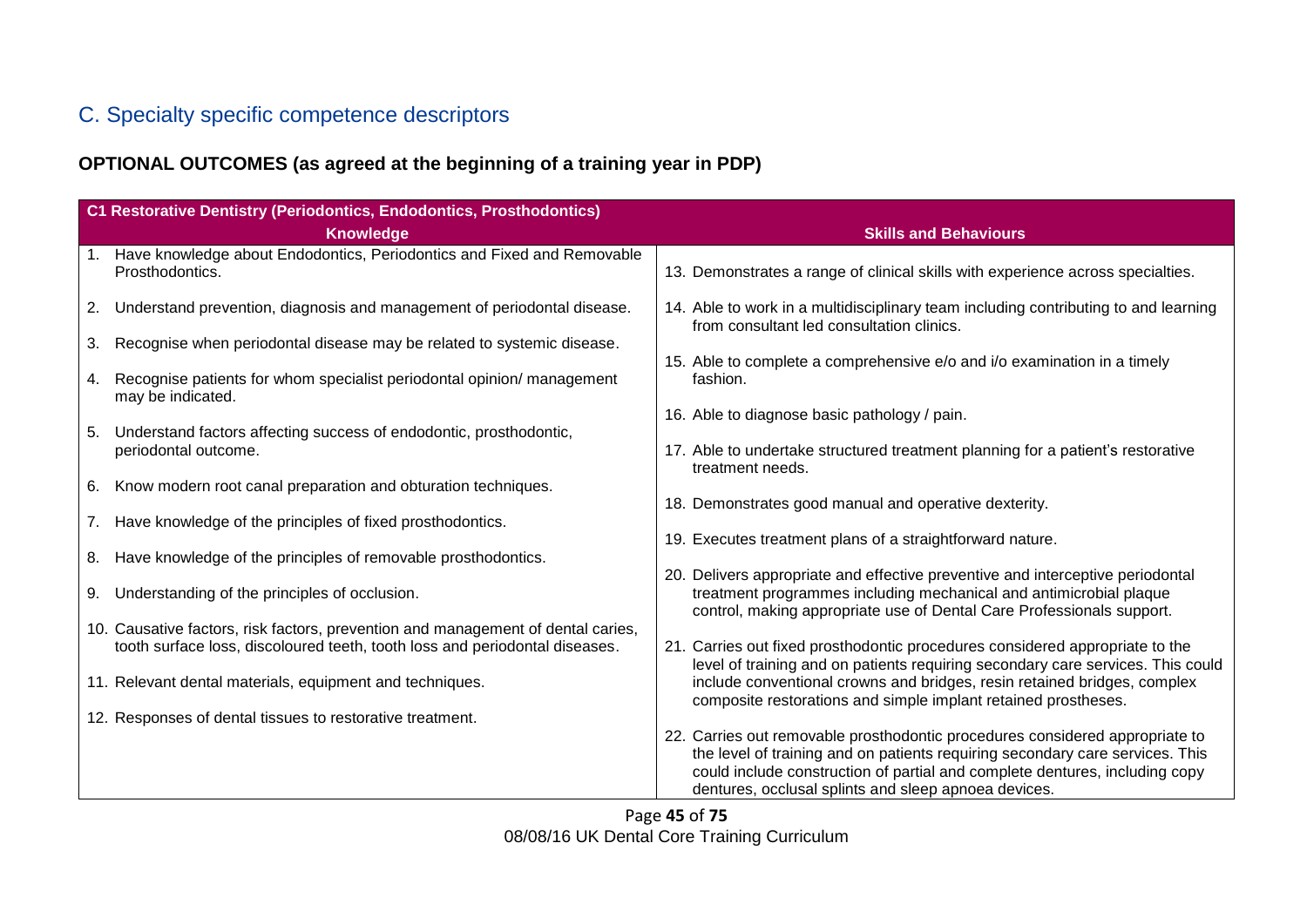## C. Specialty specific competence descriptors

### **OPTIONAL OUTCOMES (as agreed at the beginning of a training year in PDP)**

|    | C1 Restorative Dentistry (Periodontics, Endodontics, Prosthodontics)                        |                                                                                                                                                                                                                                              |  |
|----|---------------------------------------------------------------------------------------------|----------------------------------------------------------------------------------------------------------------------------------------------------------------------------------------------------------------------------------------------|--|
|    | <b>Knowledge</b>                                                                            | <b>Skills and Behaviours</b>                                                                                                                                                                                                                 |  |
| 1. | Have knowledge about Endodontics, Periodontics and Fixed and Removable<br>Prosthodontics.   | 13. Demonstrates a range of clinical skills with experience across specialties.                                                                                                                                                              |  |
| 2. | Understand prevention, diagnosis and management of periodontal disease.                     | 14. Able to work in a multidisciplinary team including contributing to and learning<br>from consultant led consultation clinics.                                                                                                             |  |
| 3. | Recognise when periodontal disease may be related to systemic disease.                      |                                                                                                                                                                                                                                              |  |
| 4. | Recognise patients for whom specialist periodontal opinion/ management<br>may be indicated. | 15. Able to complete a comprehensive e/o and i/o examination in a timely<br>fashion.                                                                                                                                                         |  |
|    |                                                                                             | 16. Able to diagnose basic pathology / pain.                                                                                                                                                                                                 |  |
| 5. | Understand factors affecting success of endodontic, prosthodontic,<br>periodontal outcome.  | 17. Able to undertake structured treatment planning for a patient's restorative<br>treatment needs.                                                                                                                                          |  |
| 6. | Know modern root canal preparation and obturation techniques.                               |                                                                                                                                                                                                                                              |  |
|    |                                                                                             | 18. Demonstrates good manual and operative dexterity.                                                                                                                                                                                        |  |
| 7. | Have knowledge of the principles of fixed prosthodontics.                                   | 19. Executes treatment plans of a straightforward nature.                                                                                                                                                                                    |  |
| 8. | Have knowledge of the principles of removable prosthodontics.                               |                                                                                                                                                                                                                                              |  |
| 9. | Understanding of the principles of occlusion.                                               | 20. Delivers appropriate and effective preventive and interceptive periodontal<br>treatment programmes including mechanical and antimicrobial plaque<br>control, making appropriate use of Dental Care Professionals support.                |  |
|    | 10. Causative factors, risk factors, prevention and management of dental caries,            |                                                                                                                                                                                                                                              |  |
|    | tooth surface loss, discoloured teeth, tooth loss and periodontal diseases.                 | 21. Carries out fixed prosthodontic procedures considered appropriate to the                                                                                                                                                                 |  |
|    | 11. Relevant dental materials, equipment and techniques.                                    | level of training and on patients requiring secondary care services. This could<br>include conventional crowns and bridges, resin retained bridges, complex<br>composite restorations and simple implant retained prostheses.                |  |
|    | 12. Responses of dental tissues to restorative treatment.                                   |                                                                                                                                                                                                                                              |  |
|    |                                                                                             | 22. Carries out removable prosthodontic procedures considered appropriate to<br>the level of training and on patients requiring secondary care services. This<br>could include construction of partial and complete dentures, including copy |  |
|    |                                                                                             | dentures, occlusal splints and sleep apnoea devices.                                                                                                                                                                                         |  |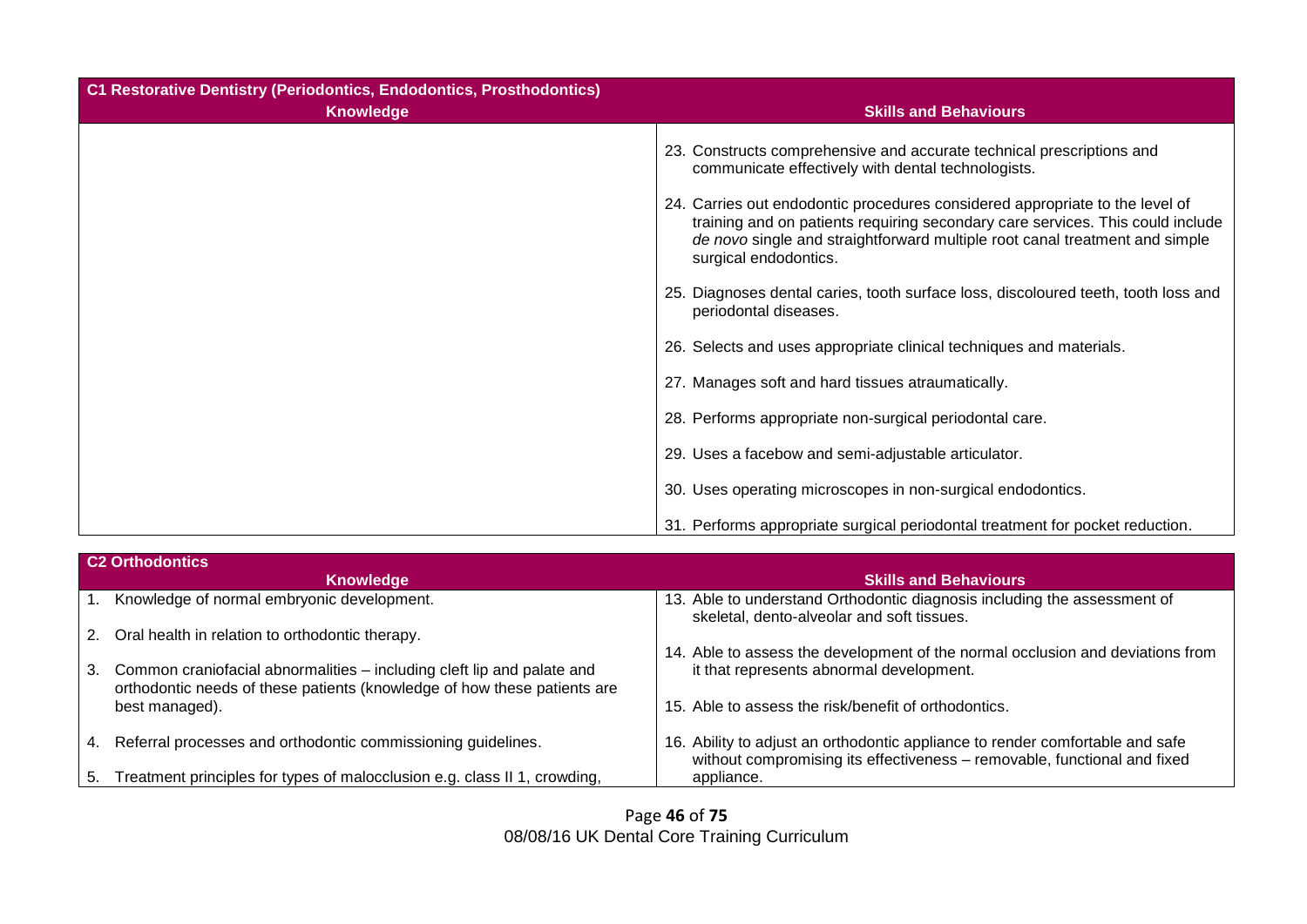| <b>C1 Restorative Dentistry (Periodontics, Endodontics, Prosthodontics)</b> |                                                                                                                                                                                                                                                                        |
|-----------------------------------------------------------------------------|------------------------------------------------------------------------------------------------------------------------------------------------------------------------------------------------------------------------------------------------------------------------|
| <b>Knowledge</b>                                                            | <b>Skills and Behaviours</b>                                                                                                                                                                                                                                           |
|                                                                             | 23. Constructs comprehensive and accurate technical prescriptions and<br>communicate effectively with dental technologists.                                                                                                                                            |
|                                                                             | 24. Carries out endodontic procedures considered appropriate to the level of<br>training and on patients requiring secondary care services. This could include<br>de novo single and straightforward multiple root canal treatment and simple<br>surgical endodontics. |
|                                                                             | 25. Diagnoses dental caries, tooth surface loss, discoloured teeth, tooth loss and<br>periodontal diseases.                                                                                                                                                            |
|                                                                             | 26. Selects and uses appropriate clinical techniques and materials.                                                                                                                                                                                                    |
|                                                                             | 27. Manages soft and hard tissues atraumatically.                                                                                                                                                                                                                      |
|                                                                             | 28. Performs appropriate non-surgical periodontal care.                                                                                                                                                                                                                |
|                                                                             | 29. Uses a facebow and semi-adjustable articulator.                                                                                                                                                                                                                    |
|                                                                             | 30. Uses operating microscopes in non-surgical endodontics.                                                                                                                                                                                                            |
|                                                                             | 31. Performs appropriate surgical periodontal treatment for pocket reduction.                                                                                                                                                                                          |

|    | <b>C2 Orthodontics</b>                                                                                                                             |                                                                                                                                                           |
|----|----------------------------------------------------------------------------------------------------------------------------------------------------|-----------------------------------------------------------------------------------------------------------------------------------------------------------|
|    | <b>Knowledge</b>                                                                                                                                   | <b>Skills and Behaviours</b>                                                                                                                              |
|    | Knowledge of normal embryonic development.                                                                                                         | 13. Able to understand Orthodontic diagnosis including the assessment of<br>skeletal, dento-alveolar and soft tissues.                                    |
|    | 2. Oral health in relation to orthodontic therapy.                                                                                                 |                                                                                                                                                           |
|    |                                                                                                                                                    | 14. Able to assess the development of the normal occlusion and deviations from                                                                            |
| 3. | Common craniofacial abnormalities – including cleft lip and palate and<br>orthodontic needs of these patients (knowledge of how these patients are | it that represents abnormal development.                                                                                                                  |
|    | best managed).                                                                                                                                     | 15. Able to assess the risk/benefit of orthodontics.                                                                                                      |
| 4. | Referral processes and orthodontic commissioning guidelines.                                                                                       | 16. Ability to adjust an orthodontic appliance to render comfortable and safe<br>without compromising its effectiveness - removable, functional and fixed |
| 5. | Treatment principles for types of malocclusion e.g. class II 1, crowding,                                                                          | appliance.                                                                                                                                                |

Page **46** of **75** 08/08/16 UK Dental Core Training Curriculum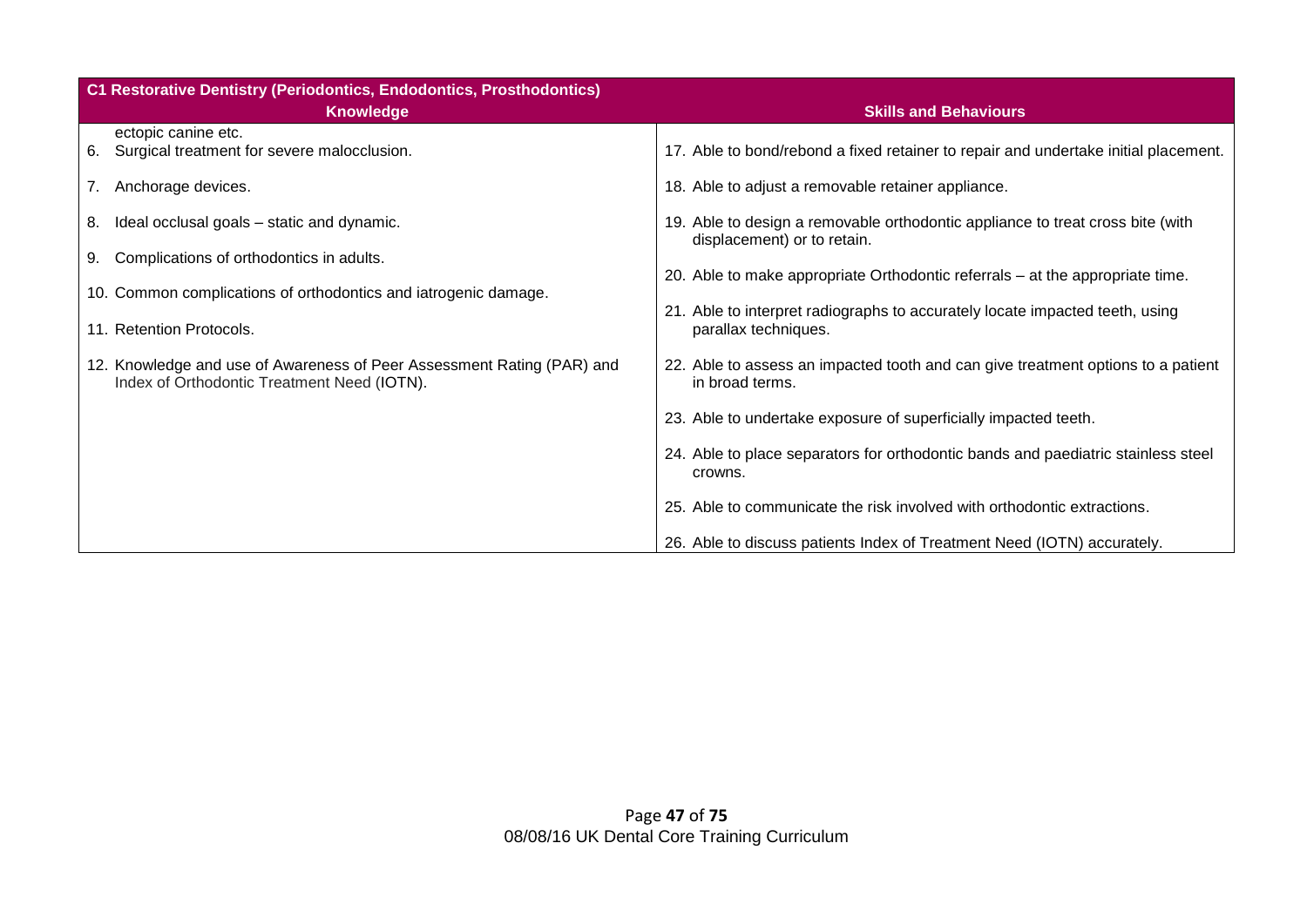| C1 Restorative Dentistry (Periodontics, Endodontics, Prosthodontics)                                                  |                                                                                                               |
|-----------------------------------------------------------------------------------------------------------------------|---------------------------------------------------------------------------------------------------------------|
| <b>Knowledge</b>                                                                                                      | <b>Skills and Behaviours</b>                                                                                  |
| ectopic canine etc.<br>6. Surgical treatment for severe malocclusion.                                                 | 17. Able to bond/rebond a fixed retainer to repair and undertake initial placement.                           |
| 7. Anchorage devices.                                                                                                 | 18. Able to adjust a removable retainer appliance.                                                            |
| Ideal occlusal goals – static and dynamic.<br>8.                                                                      | 19. Able to design a removable orthodontic appliance to treat cross bite (with<br>displacement) or to retain. |
| 9. Complications of orthodontics in adults.<br>10. Common complications of orthodontics and iatrogenic damage.        | 20. Able to make appropriate Orthodontic referrals – at the appropriate time.                                 |
| 11. Retention Protocols.                                                                                              | 21. Able to interpret radiographs to accurately locate impacted teeth, using<br>parallax techniques.          |
| 12. Knowledge and use of Awareness of Peer Assessment Rating (PAR) and<br>Index of Orthodontic Treatment Need (IOTN). | 22. Able to assess an impacted tooth and can give treatment options to a patient<br>in broad terms.           |
|                                                                                                                       | 23. Able to undertake exposure of superficially impacted teeth.                                               |
|                                                                                                                       | 24. Able to place separators for orthodontic bands and paediatric stainless steel<br>crowns.                  |
|                                                                                                                       | 25. Able to communicate the risk involved with orthodontic extractions.                                       |
|                                                                                                                       | 26. Able to discuss patients Index of Treatment Need (IOTN) accurately.                                       |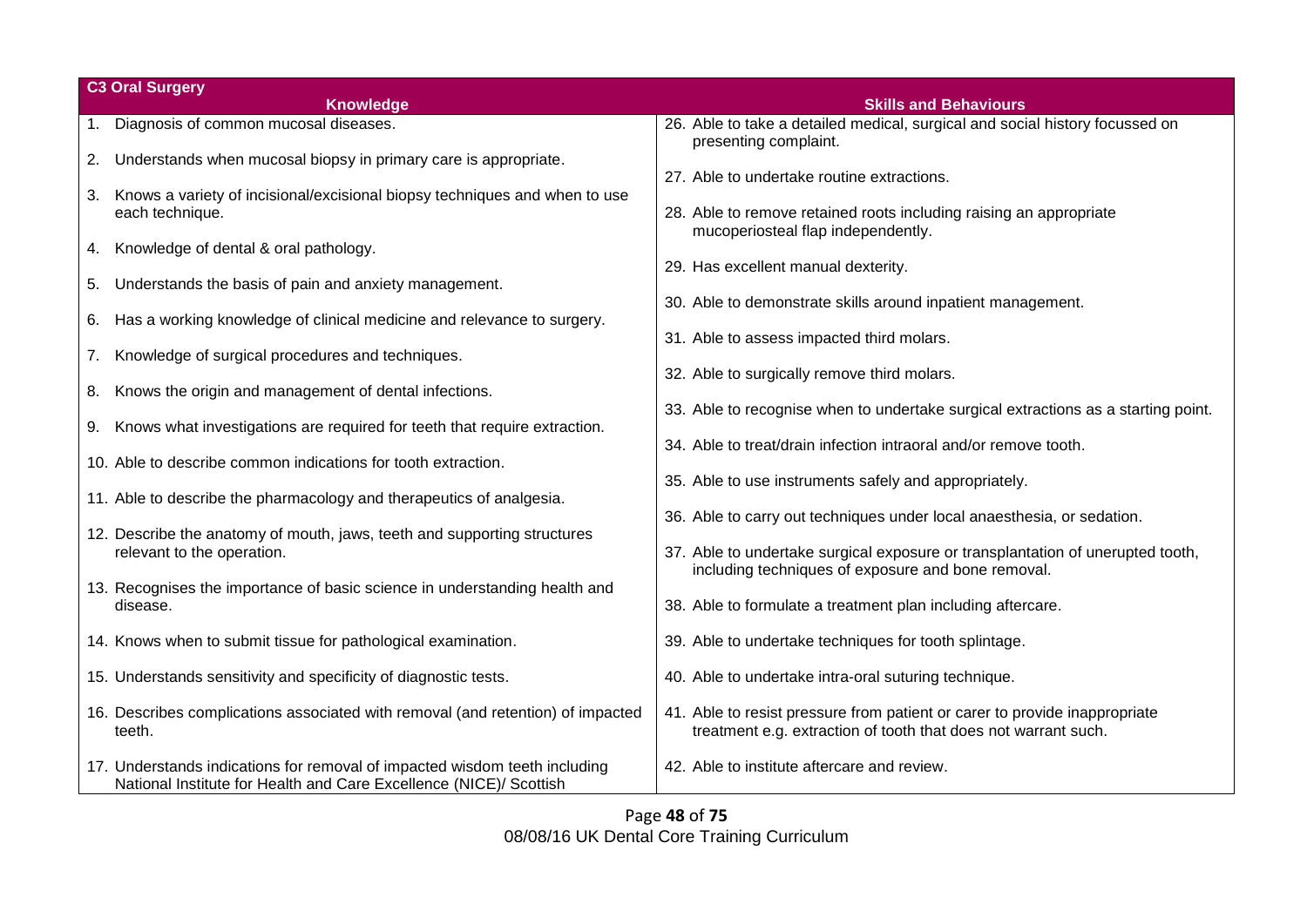|    | <b>C3 Oral Surgery</b>                                                                                                                           |                                                                                                                                                                                                                |  |
|----|--------------------------------------------------------------------------------------------------------------------------------------------------|----------------------------------------------------------------------------------------------------------------------------------------------------------------------------------------------------------------|--|
|    | <b>Knowledge</b>                                                                                                                                 | <b>Skills and Behaviours</b>                                                                                                                                                                                   |  |
|    | 1. Diagnosis of common mucosal diseases.                                                                                                         | 26. Able to take a detailed medical, surgical and social history focussed on<br>presenting complaint.                                                                                                          |  |
|    | 2. Understands when mucosal biopsy in primary care is appropriate.                                                                               | 27. Able to undertake routine extractions.                                                                                                                                                                     |  |
| 3. | Knows a variety of incisional/excisional biopsy techniques and when to use<br>each technique.                                                    | 28. Able to remove retained roots including raising an appropriate<br>mucoperiosteal flap independently.                                                                                                       |  |
| 4. | Knowledge of dental & oral pathology.                                                                                                            | 29. Has excellent manual dexterity.                                                                                                                                                                            |  |
| 5. | Understands the basis of pain and anxiety management.                                                                                            | 30. Able to demonstrate skills around inpatient management.                                                                                                                                                    |  |
|    | 6. Has a working knowledge of clinical medicine and relevance to surgery.                                                                        | 31. Able to assess impacted third molars.                                                                                                                                                                      |  |
| 7. | Knowledge of surgical procedures and techniques.                                                                                                 | 32. Able to surgically remove third molars.                                                                                                                                                                    |  |
| 8. | Knows the origin and management of dental infections.                                                                                            | 33. Able to recognise when to undertake surgical extractions as a starting point.                                                                                                                              |  |
|    | 9. Knows what investigations are required for teeth that require extraction.                                                                     | 34. Able to treat/drain infection intraoral and/or remove tooth.                                                                                                                                               |  |
|    | 10. Able to describe common indications for tooth extraction.                                                                                    | 35. Able to use instruments safely and appropriately.                                                                                                                                                          |  |
|    | 11. Able to describe the pharmacology and therapeutics of analgesia.                                                                             |                                                                                                                                                                                                                |  |
|    | 12. Describe the anatomy of mouth, jaws, teeth and supporting structures<br>relevant to the operation.                                           | 36. Able to carry out techniques under local anaesthesia, or sedation.<br>37. Able to undertake surgical exposure or transplantation of unerupted tooth,<br>including techniques of exposure and bone removal. |  |
|    | 13. Recognises the importance of basic science in understanding health and<br>disease.                                                           | 38. Able to formulate a treatment plan including aftercare.                                                                                                                                                    |  |
|    | 14. Knows when to submit tissue for pathological examination.                                                                                    | 39. Able to undertake techniques for tooth splintage.                                                                                                                                                          |  |
|    | 15. Understands sensitivity and specificity of diagnostic tests.                                                                                 | 40. Able to undertake intra-oral suturing technique.                                                                                                                                                           |  |
|    | 16. Describes complications associated with removal (and retention) of impacted<br>teeth.                                                        | 41. Able to resist pressure from patient or carer to provide inappropriate<br>treatment e.g. extraction of tooth that does not warrant such.                                                                   |  |
|    | 17. Understands indications for removal of impacted wisdom teeth including<br>National Institute for Health and Care Excellence (NICE)/ Scottish | 42. Able to institute aftercare and review.                                                                                                                                                                    |  |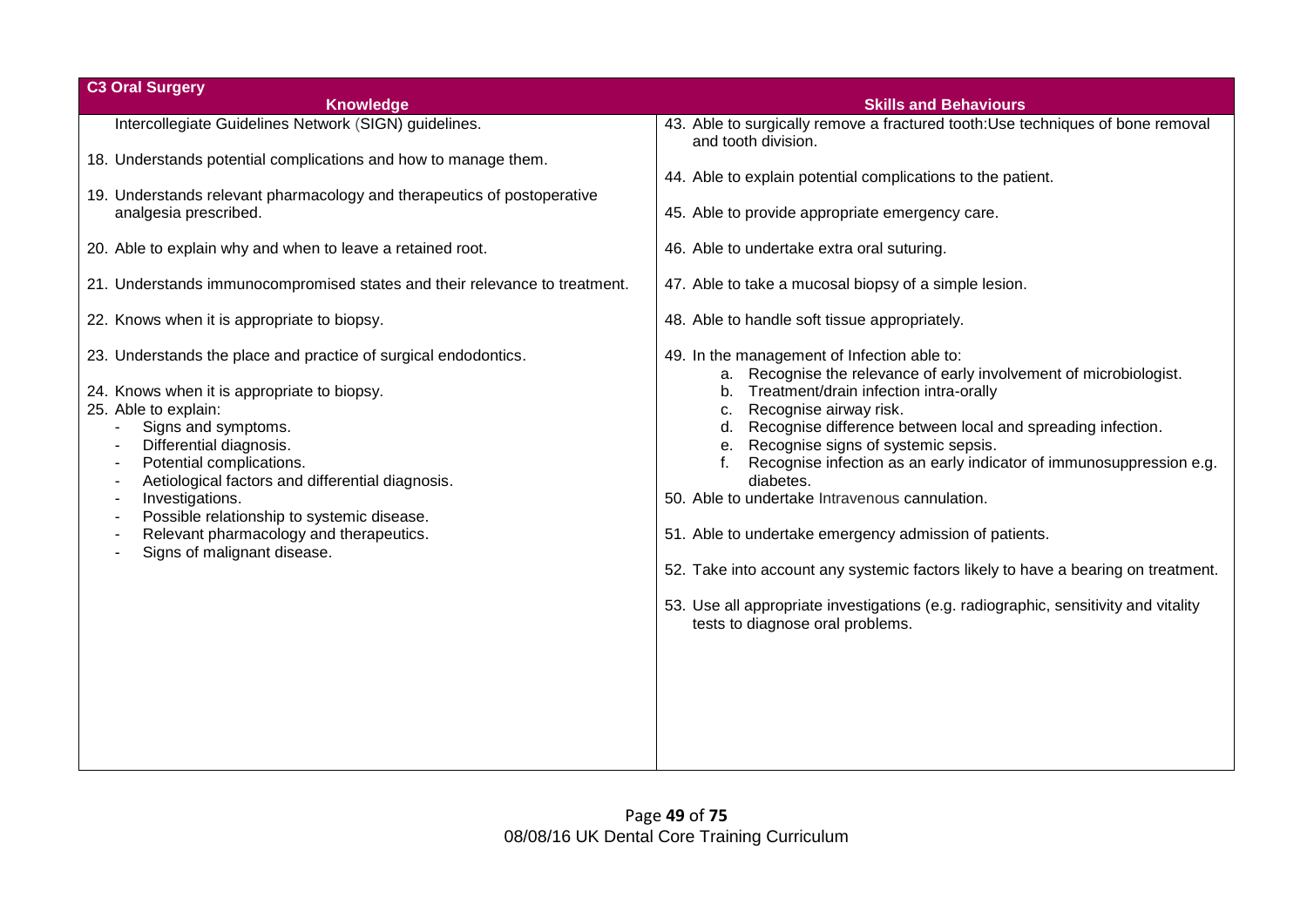| <b>C3 Oral Surgery</b>                                                                                                                                                                                                                                                                                                                                                                                                                                                                    |                                                                                                                                                                                                                                                                                                                                                                                                                                                                                                                                                                                                                                                                                                                            |
|-------------------------------------------------------------------------------------------------------------------------------------------------------------------------------------------------------------------------------------------------------------------------------------------------------------------------------------------------------------------------------------------------------------------------------------------------------------------------------------------|----------------------------------------------------------------------------------------------------------------------------------------------------------------------------------------------------------------------------------------------------------------------------------------------------------------------------------------------------------------------------------------------------------------------------------------------------------------------------------------------------------------------------------------------------------------------------------------------------------------------------------------------------------------------------------------------------------------------------|
| <b>Knowledge</b>                                                                                                                                                                                                                                                                                                                                                                                                                                                                          | <b>Skills and Behaviours</b>                                                                                                                                                                                                                                                                                                                                                                                                                                                                                                                                                                                                                                                                                               |
| Intercollegiate Guidelines Network (SIGN) guidelines.                                                                                                                                                                                                                                                                                                                                                                                                                                     | 43. Able to surgically remove a fractured tooth: Use techniques of bone removal<br>and tooth division.                                                                                                                                                                                                                                                                                                                                                                                                                                                                                                                                                                                                                     |
| 18. Understands potential complications and how to manage them.                                                                                                                                                                                                                                                                                                                                                                                                                           |                                                                                                                                                                                                                                                                                                                                                                                                                                                                                                                                                                                                                                                                                                                            |
|                                                                                                                                                                                                                                                                                                                                                                                                                                                                                           | 44. Able to explain potential complications to the patient.                                                                                                                                                                                                                                                                                                                                                                                                                                                                                                                                                                                                                                                                |
| 19. Understands relevant pharmacology and therapeutics of postoperative<br>analgesia prescribed.                                                                                                                                                                                                                                                                                                                                                                                          | 45. Able to provide appropriate emergency care.                                                                                                                                                                                                                                                                                                                                                                                                                                                                                                                                                                                                                                                                            |
| 20. Able to explain why and when to leave a retained root.                                                                                                                                                                                                                                                                                                                                                                                                                                | 46. Able to undertake extra oral suturing.                                                                                                                                                                                                                                                                                                                                                                                                                                                                                                                                                                                                                                                                                 |
| 21. Understands immunocompromised states and their relevance to treatment.                                                                                                                                                                                                                                                                                                                                                                                                                | 47. Able to take a mucosal biopsy of a simple lesion.                                                                                                                                                                                                                                                                                                                                                                                                                                                                                                                                                                                                                                                                      |
| 22. Knows when it is appropriate to biopsy.                                                                                                                                                                                                                                                                                                                                                                                                                                               | 48. Able to handle soft tissue appropriately.                                                                                                                                                                                                                                                                                                                                                                                                                                                                                                                                                                                                                                                                              |
| 23. Understands the place and practice of surgical endodontics.<br>24. Knows when it is appropriate to biopsy.<br>25. Able to explain:<br>Signs and symptoms.<br>÷,<br>Differential diagnosis.<br>Potential complications.<br>Aetiological factors and differential diagnosis.<br>Investigations.<br>$\blacksquare$<br>Possible relationship to systemic disease.<br>$\blacksquare$<br>Relevant pharmacology and therapeutics.<br>$\overline{\phantom{a}}$<br>Signs of malignant disease. | 49. In the management of Infection able to:<br>a. Recognise the relevance of early involvement of microbiologist.<br>b. Treatment/drain infection intra-orally<br>Recognise airway risk.<br>C.<br>d. Recognise difference between local and spreading infection.<br>e. Recognise signs of systemic sepsis.<br>Recognise infection as an early indicator of immunosuppression e.g.<br>diabetes.<br>50. Able to undertake Intravenous cannulation.<br>51. Able to undertake emergency admission of patients.<br>52. Take into account any systemic factors likely to have a bearing on treatment.<br>53. Use all appropriate investigations (e.g. radiographic, sensitivity and vitality<br>tests to diagnose oral problems. |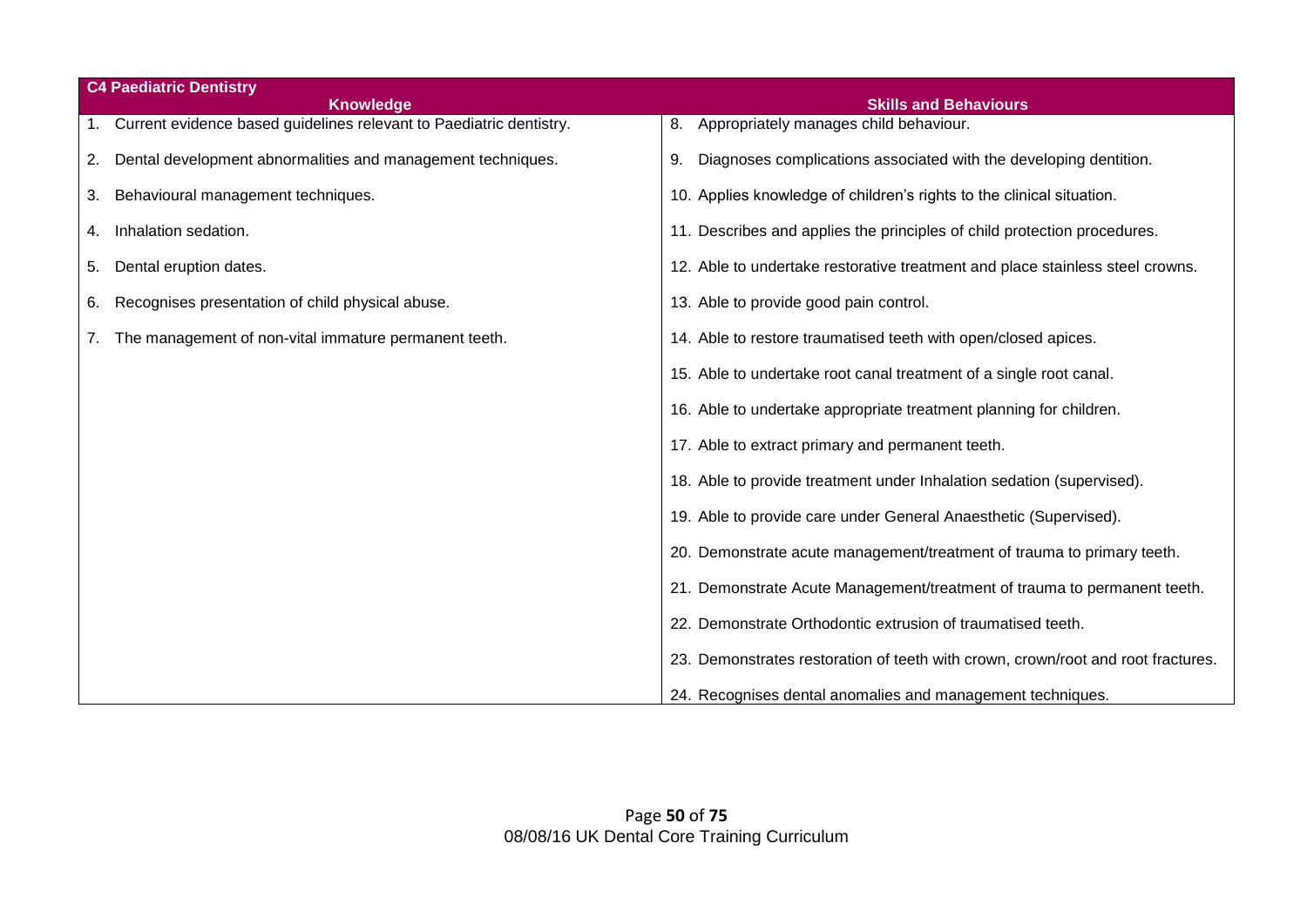| <b>C4 Paediatric Dentistry</b> |                                                                        |                                                                                  |
|--------------------------------|------------------------------------------------------------------------|----------------------------------------------------------------------------------|
|                                | <b>Knowledge</b>                                                       | <b>Skills and Behaviours</b>                                                     |
|                                | 1. Current evidence based guidelines relevant to Paediatric dentistry. | Appropriately manages child behaviour.<br>8.                                     |
| 2.                             | Dental development abnormalities and management techniques.            | Diagnoses complications associated with the developing dentition.<br>9.          |
| 3.                             | Behavioural management techniques.                                     | 10. Applies knowledge of children's rights to the clinical situation.            |
| 4.                             | Inhalation sedation.                                                   | 11. Describes and applies the principles of child protection procedures.         |
| 5.                             | Dental eruption dates.                                                 | 12. Able to undertake restorative treatment and place stainless steel crowns.    |
| 6.                             | Recognises presentation of child physical abuse.                       | 13. Able to provide good pain control.                                           |
|                                | 7. The management of non-vital immature permanent teeth.               | 14. Able to restore traumatised teeth with open/closed apices.                   |
|                                |                                                                        | 15. Able to undertake root canal treatment of a single root canal.               |
|                                |                                                                        | 16. Able to undertake appropriate treatment planning for children.               |
|                                |                                                                        | 17. Able to extract primary and permanent teeth.                                 |
|                                |                                                                        | 18. Able to provide treatment under Inhalation sedation (supervised).            |
|                                |                                                                        | 19. Able to provide care under General Anaesthetic (Supervised).                 |
|                                |                                                                        | 20. Demonstrate acute management/treatment of trauma to primary teeth.           |
|                                |                                                                        | 21. Demonstrate Acute Management/treatment of trauma to permanent teeth.         |
|                                |                                                                        | 22. Demonstrate Orthodontic extrusion of traumatised teeth.                      |
|                                |                                                                        | 23. Demonstrates restoration of teeth with crown, crown/root and root fractures. |
|                                |                                                                        | 24. Recognises dental anomalies and management techniques.                       |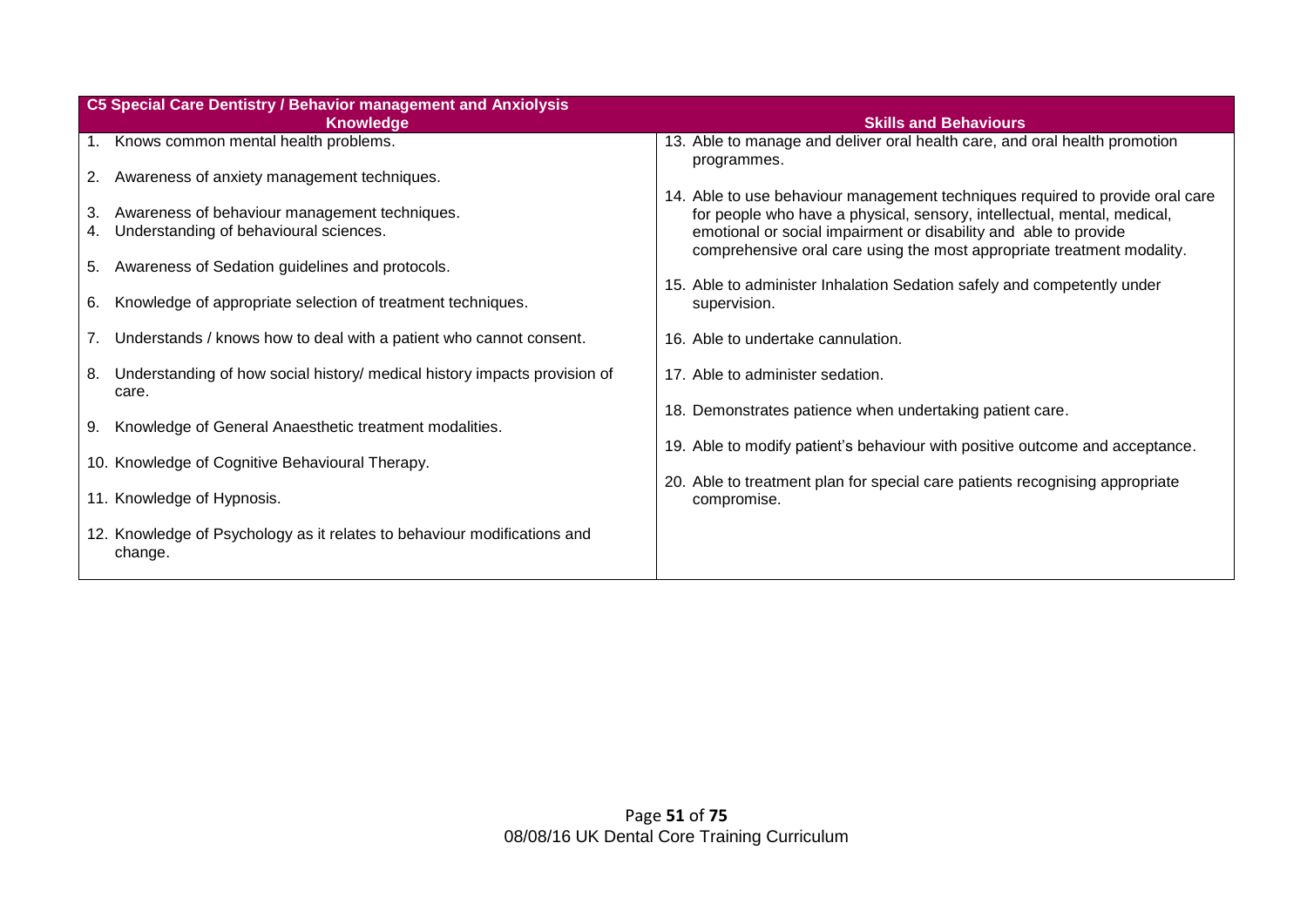|          | C5 Special Care Dentistry / Behavior management and Anxiolysis                          |                                                                                                                                                                                                                       |  |
|----------|-----------------------------------------------------------------------------------------|-----------------------------------------------------------------------------------------------------------------------------------------------------------------------------------------------------------------------|--|
|          | <b>Knowledge</b>                                                                        | <b>Skills and Behaviours</b>                                                                                                                                                                                          |  |
|          | 1. Knows common mental health problems.                                                 | 13. Able to manage and deliver oral health care, and oral health promotion<br>programmes.                                                                                                                             |  |
|          | 2. Awareness of anxiety management techniques.                                          | 14. Able to use behaviour management techniques required to provide oral care                                                                                                                                         |  |
| 3.<br>4. | Awareness of behaviour management techniques.<br>Understanding of behavioural sciences. | for people who have a physical, sensory, intellectual, mental, medical,<br>emotional or social impairment or disability and able to provide<br>comprehensive oral care using the most appropriate treatment modality. |  |
|          | 5. Awareness of Sedation guidelines and protocols.                                      |                                                                                                                                                                                                                       |  |
| 6.       | Knowledge of appropriate selection of treatment techniques.                             | 15. Able to administer Inhalation Sedation safely and competently under<br>supervision.                                                                                                                               |  |
| 7.       | Understands / knows how to deal with a patient who cannot consent.                      | 16. Able to undertake cannulation.                                                                                                                                                                                    |  |
| 8.       | Understanding of how social history/ medical history impacts provision of<br>care.      | 17. Able to administer sedation.                                                                                                                                                                                      |  |
| 9.       | Knowledge of General Anaesthetic treatment modalities.                                  | 18. Demonstrates patience when undertaking patient care.                                                                                                                                                              |  |
|          | 10. Knowledge of Cognitive Behavioural Therapy.                                         | 19. Able to modify patient's behaviour with positive outcome and acceptance.                                                                                                                                          |  |
|          |                                                                                         | 20. Able to treatment plan for special care patients recognising appropriate                                                                                                                                          |  |
|          | 11. Knowledge of Hypnosis.                                                              | compromise.                                                                                                                                                                                                           |  |
|          | 12. Knowledge of Psychology as it relates to behaviour modifications and<br>change.     |                                                                                                                                                                                                                       |  |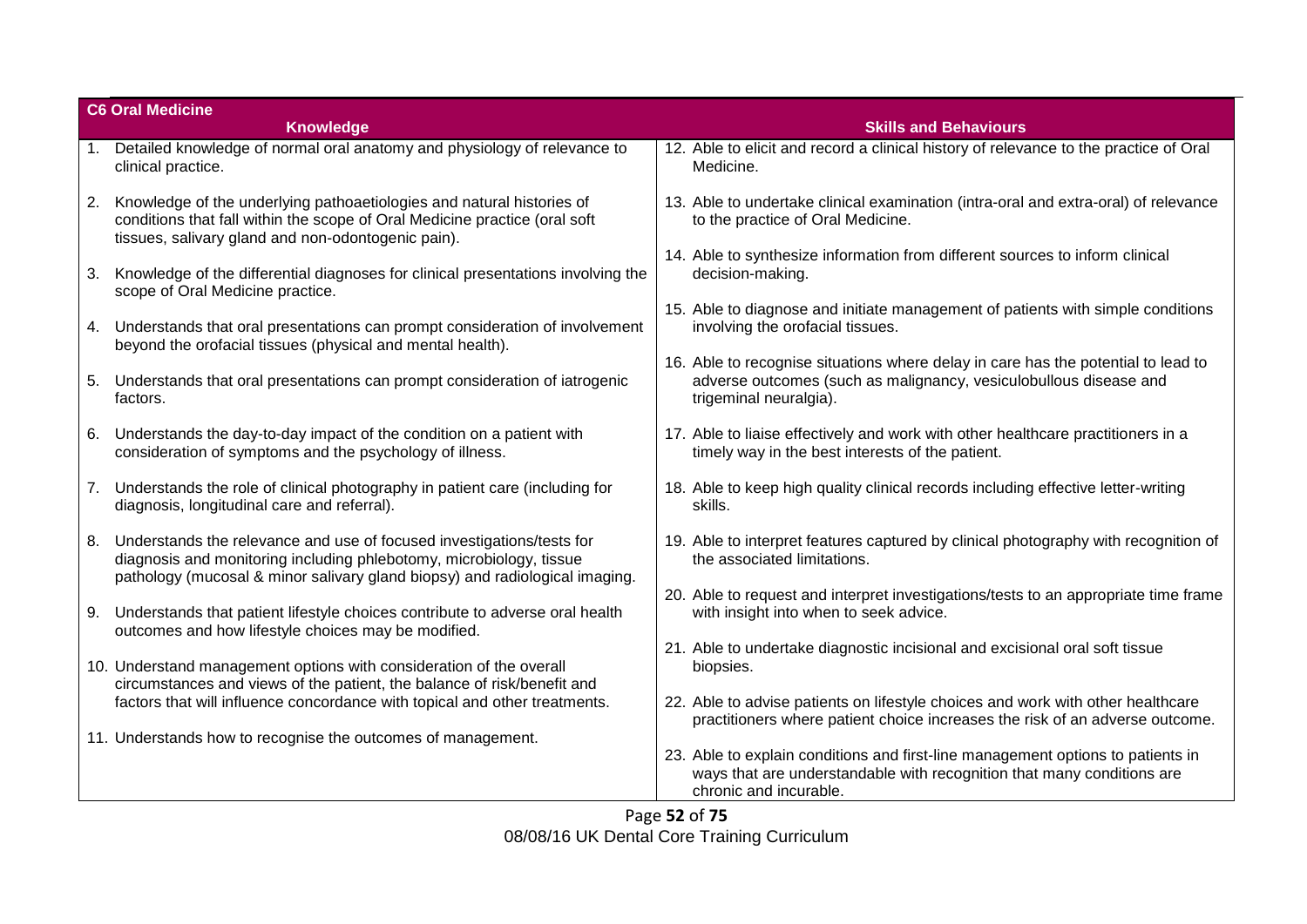|    | <b>C6 Oral Medicine</b>                                                                                                                                                                                                     |                                                                                                                                                                                     |  |
|----|-----------------------------------------------------------------------------------------------------------------------------------------------------------------------------------------------------------------------------|-------------------------------------------------------------------------------------------------------------------------------------------------------------------------------------|--|
|    | <b>Knowledge</b>                                                                                                                                                                                                            | <b>Skills and Behaviours</b>                                                                                                                                                        |  |
|    | 1. Detailed knowledge of normal oral anatomy and physiology of relevance to<br>clinical practice.                                                                                                                           | 12. Able to elicit and record a clinical history of relevance to the practice of Oral<br>Medicine.                                                                                  |  |
| 2. | Knowledge of the underlying pathoaetiologies and natural histories of<br>conditions that fall within the scope of Oral Medicine practice (oral soft<br>tissues, salivary gland and non-odontogenic pain).                   | 13. Able to undertake clinical examination (intra-oral and extra-oral) of relevance<br>to the practice of Oral Medicine.                                                            |  |
| 3. | Knowledge of the differential diagnoses for clinical presentations involving the<br>scope of Oral Medicine practice.                                                                                                        | 14. Able to synthesize information from different sources to inform clinical<br>decision-making.                                                                                    |  |
|    | 4. Understands that oral presentations can prompt consideration of involvement<br>beyond the orofacial tissues (physical and mental health).                                                                                | 15. Able to diagnose and initiate management of patients with simple conditions<br>involving the orofacial tissues.                                                                 |  |
| 5. | Understands that oral presentations can prompt consideration of iatrogenic<br>factors.                                                                                                                                      | 16. Able to recognise situations where delay in care has the potential to lead to<br>adverse outcomes (such as malignancy, vesiculobullous disease and<br>trigeminal neuralgia).    |  |
| 6. | Understands the day-to-day impact of the condition on a patient with<br>consideration of symptoms and the psychology of illness.                                                                                            | 17. Able to liaise effectively and work with other healthcare practitioners in a<br>timely way in the best interests of the patient.                                                |  |
| 7. | Understands the role of clinical photography in patient care (including for<br>diagnosis, longitudinal care and referral).                                                                                                  | 18. Able to keep high quality clinical records including effective letter-writing<br>skills.                                                                                        |  |
| 8. | Understands the relevance and use of focused investigations/tests for<br>diagnosis and monitoring including phlebotomy, microbiology, tissue<br>pathology (mucosal & minor salivary gland biopsy) and radiological imaging. | 19. Able to interpret features captured by clinical photography with recognition of<br>the associated limitations.                                                                  |  |
| 9. | Understands that patient lifestyle choices contribute to adverse oral health                                                                                                                                                | 20. Able to request and interpret investigations/tests to an appropriate time frame<br>with insight into when to seek advice.                                                       |  |
|    | outcomes and how lifestyle choices may be modified.<br>10. Understand management options with consideration of the overall<br>circumstances and views of the patient, the balance of risk/benefit and                       | 21. Able to undertake diagnostic incisional and excisional oral soft tissue<br>biopsies.                                                                                            |  |
|    | factors that will influence concordance with topical and other treatments.                                                                                                                                                  | 22. Able to advise patients on lifestyle choices and work with other healthcare<br>practitioners where patient choice increases the risk of an adverse outcome.                     |  |
|    | 11. Understands how to recognise the outcomes of management.                                                                                                                                                                | 23. Able to explain conditions and first-line management options to patients in<br>ways that are understandable with recognition that many conditions are<br>chronic and incurable. |  |

Page **52** of **75** 08/08/16 UK Dental Core Training Curriculum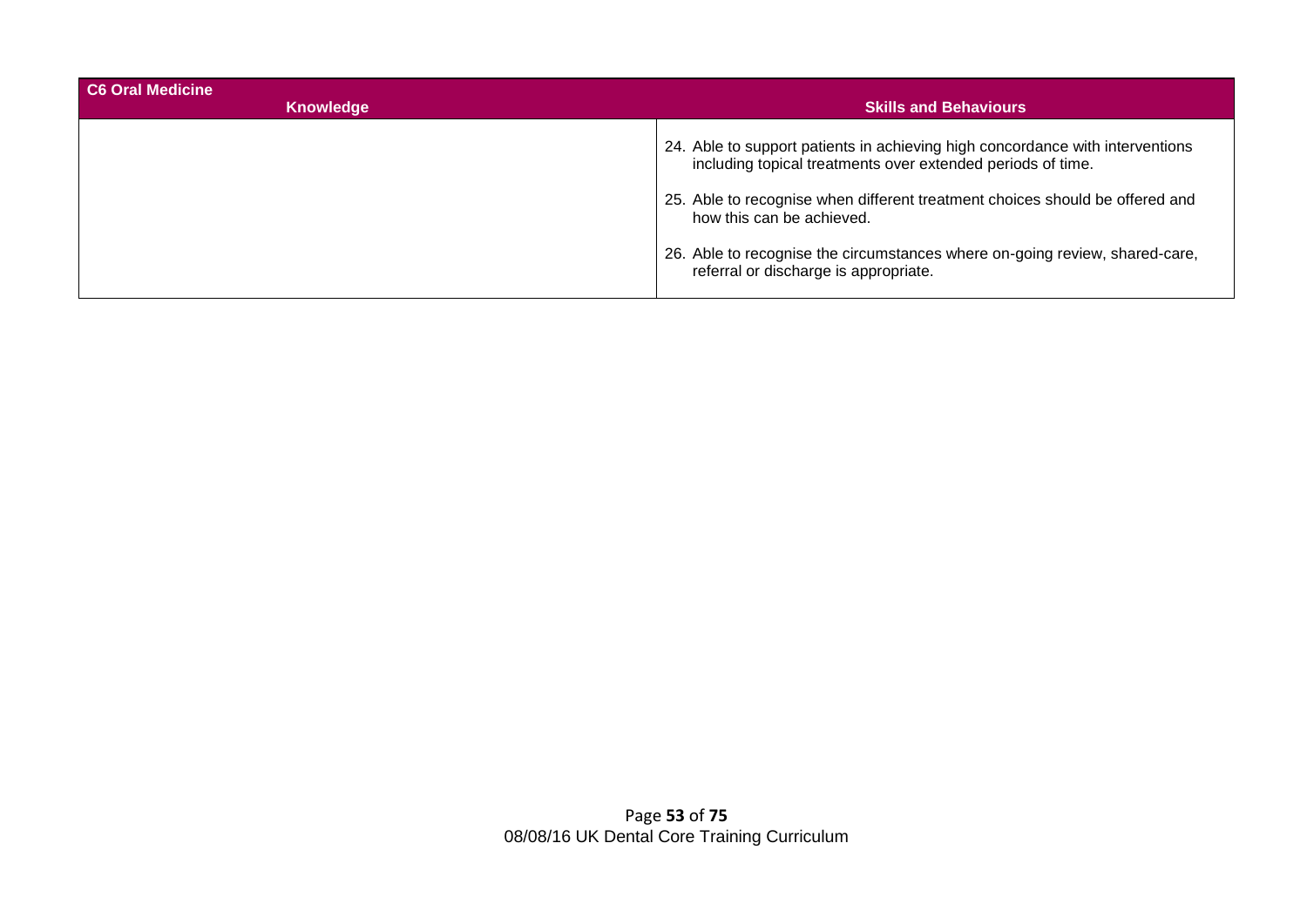| C6 Oral Medicine<br><b>Knowledge</b> | <b>Skills and Behaviours</b>                                                                                                                 |
|--------------------------------------|----------------------------------------------------------------------------------------------------------------------------------------------|
|                                      | 24. Able to support patients in achieving high concordance with interventions<br>including topical treatments over extended periods of time. |
|                                      | 25. Able to recognise when different treatment choices should be offered and<br>how this can be achieved.                                    |
|                                      | 26. Able to recognise the circumstances where on-going review, shared-care,<br>referral or discharge is appropriate.                         |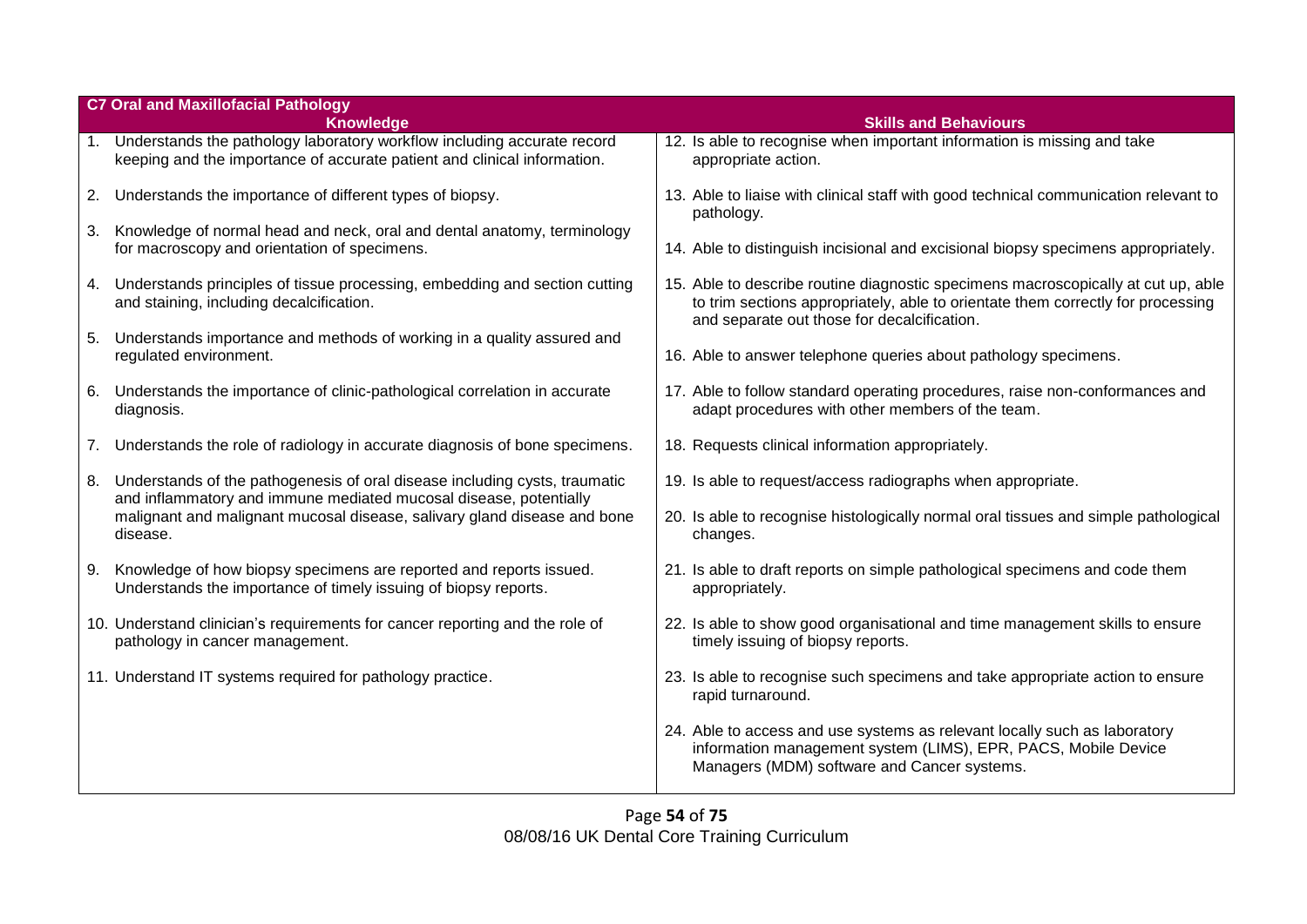|    | <b>C7 Oral and Maxillofacial Pathology</b><br><b>Knowledge</b>                                                                                         | <b>Skills and Behaviours</b>                                                                                                                                                                                        |
|----|--------------------------------------------------------------------------------------------------------------------------------------------------------|---------------------------------------------------------------------------------------------------------------------------------------------------------------------------------------------------------------------|
|    | 1. Understands the pathology laboratory workflow including accurate record<br>keeping and the importance of accurate patient and clinical information. | 12. Is able to recognise when important information is missing and take<br>appropriate action.                                                                                                                      |
|    | 2. Understands the importance of different types of biopsy.                                                                                            | 13. Able to liaise with clinical staff with good technical communication relevant to<br>pathology.                                                                                                                  |
|    | 3. Knowledge of normal head and neck, oral and dental anatomy, terminology<br>for macroscopy and orientation of specimens.                             | 14. Able to distinguish incisional and excisional biopsy specimens appropriately.                                                                                                                                   |
|    | 4. Understands principles of tissue processing, embedding and section cutting<br>and staining, including decalcification.                              | 15. Able to describe routine diagnostic specimens macroscopically at cut up, able<br>to trim sections appropriately, able to orientate them correctly for processing<br>and separate out those for decalcification. |
|    | 5. Understands importance and methods of working in a quality assured and<br>regulated environment.                                                    | 16. Able to answer telephone queries about pathology specimens.                                                                                                                                                     |
|    | 6. Understands the importance of clinic-pathological correlation in accurate<br>diagnosis.                                                             | 17. Able to follow standard operating procedures, raise non-conformances and<br>adapt procedures with other members of the team.                                                                                    |
|    | 7. Understands the role of radiology in accurate diagnosis of bone specimens.                                                                          | 18. Requests clinical information appropriately.                                                                                                                                                                    |
| 8. | Understands of the pathogenesis of oral disease including cysts, traumatic<br>and inflammatory and immune mediated mucosal disease, potentially        | 19. Is able to request/access radiographs when appropriate.                                                                                                                                                         |
|    | malignant and malignant mucosal disease, salivary gland disease and bone<br>disease.                                                                   | 20. Is able to recognise histologically normal oral tissues and simple pathological<br>changes.                                                                                                                     |
|    | 9. Knowledge of how biopsy specimens are reported and reports issued.<br>Understands the importance of timely issuing of biopsy reports.               | 21. Is able to draft reports on simple pathological specimens and code them<br>appropriately.                                                                                                                       |
|    | 10. Understand clinician's requirements for cancer reporting and the role of<br>pathology in cancer management.                                        | 22. Is able to show good organisational and time management skills to ensure<br>timely issuing of biopsy reports.                                                                                                   |
|    | 11. Understand IT systems required for pathology practice.                                                                                             | 23. Is able to recognise such specimens and take appropriate action to ensure<br>rapid turnaround.                                                                                                                  |
|    |                                                                                                                                                        | 24. Able to access and use systems as relevant locally such as laboratory<br>information management system (LIMS), EPR, PACS, Mobile Device<br>Managers (MDM) software and Cancer systems.                          |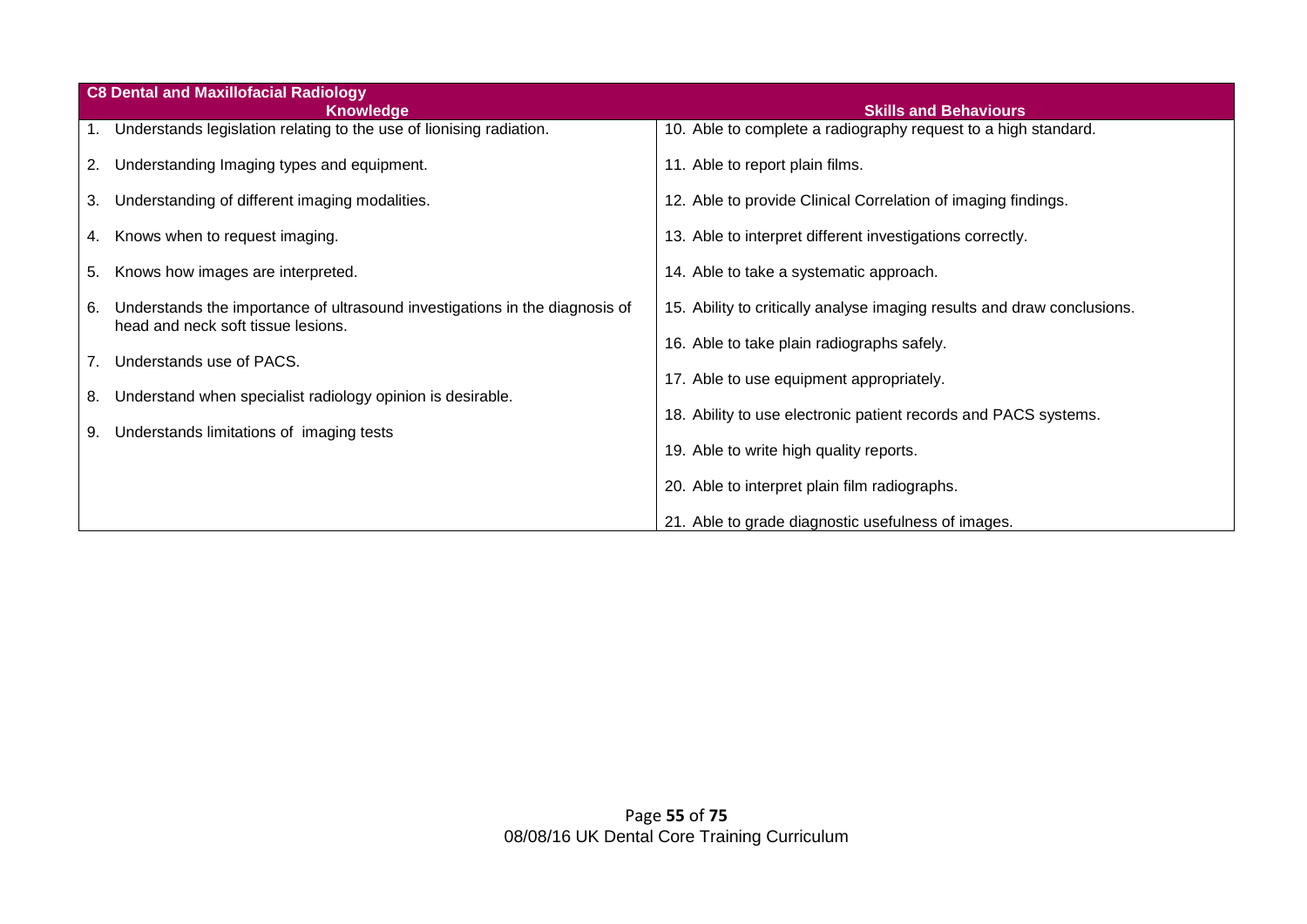|    | <b>C8 Dental and Maxillofacial Radiology</b>                                                                      |                                                                         |
|----|-------------------------------------------------------------------------------------------------------------------|-------------------------------------------------------------------------|
|    | <b>Knowledge</b>                                                                                                  | <b>Skills and Behaviours</b>                                            |
|    | 1. Understands legislation relating to the use of lionising radiation.                                            | 10. Able to complete a radiography request to a high standard.          |
|    | 2. Understanding Imaging types and equipment.                                                                     | 11. Able to report plain films.                                         |
|    | 3. Understanding of different imaging modalities.                                                                 | 12. Able to provide Clinical Correlation of imaging findings.           |
|    | 4. Knows when to request imaging.                                                                                 | 13. Able to interpret different investigations correctly.               |
|    | 5. Knows how images are interpreted.                                                                              | 14. Able to take a systematic approach.                                 |
| 6. | Understands the importance of ultrasound investigations in the diagnosis of<br>head and neck soft tissue lesions. | 15. Ability to critically analyse imaging results and draw conclusions. |
| 7. | Understands use of PACS.                                                                                          | 16. Able to take plain radiographs safely.                              |
|    |                                                                                                                   | 17. Able to use equipment appropriately.                                |
| 8. | Understand when specialist radiology opinion is desirable.                                                        | 18. Ability to use electronic patient records and PACS systems.         |
| 9. | Understands limitations of imaging tests                                                                          |                                                                         |
|    |                                                                                                                   | 19. Able to write high quality reports.                                 |
|    |                                                                                                                   | 20. Able to interpret plain film radiographs.                           |
|    |                                                                                                                   | 21. Able to grade diagnostic usefulness of images.                      |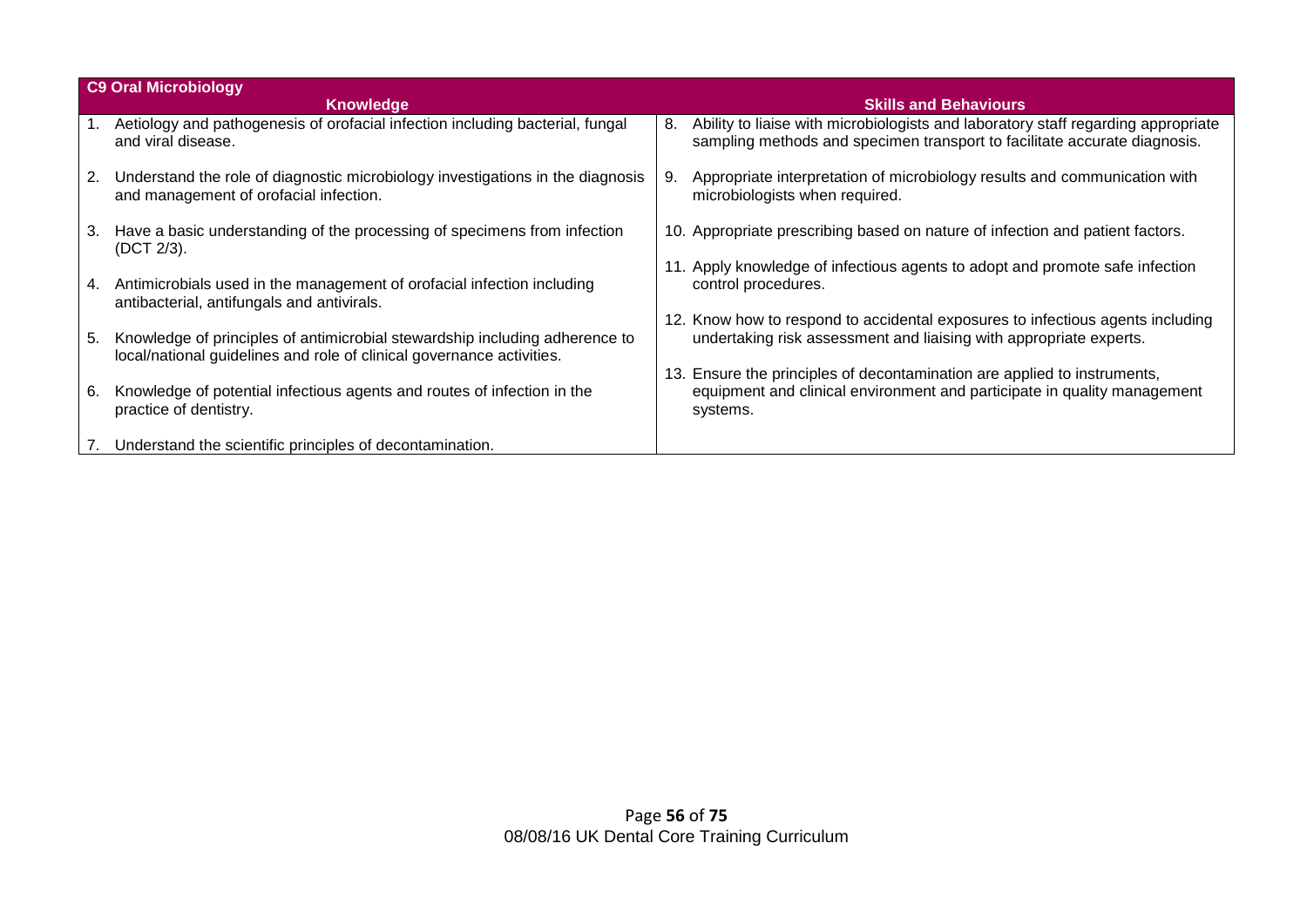|    | <b>C9 Oral Microbiology</b>                                                                                                                          |    |                                                                                                                                                                |
|----|------------------------------------------------------------------------------------------------------------------------------------------------------|----|----------------------------------------------------------------------------------------------------------------------------------------------------------------|
|    | <b>Knowledge</b>                                                                                                                                     |    | <b>Skills and Behaviours</b>                                                                                                                                   |
|    | Aetiology and pathogenesis of orofacial infection including bacterial, fungal<br>and viral disease.                                                  | 8. | Ability to liaise with microbiologists and laboratory staff regarding appropriate<br>sampling methods and specimen transport to facilitate accurate diagnosis. |
| 2. | Understand the role of diagnostic microbiology investigations in the diagnosis<br>and management of orofacial infection.                             | 9. | Appropriate interpretation of microbiology results and communication with<br>microbiologists when required.                                                    |
| 3. | Have a basic understanding of the processing of specimens from infection<br>(DCT 2/3).                                                               |    | 10. Appropriate prescribing based on nature of infection and patient factors.                                                                                  |
| 4. | Antimicrobials used in the management of orofacial infection including<br>antibacterial, antifungals and antivirals.                                 |    | Apply knowledge of infectious agents to adopt and promote safe infection<br>control procedures.                                                                |
|    |                                                                                                                                                      |    | 12. Know how to respond to accidental exposures to infectious agents including                                                                                 |
| 5. | Knowledge of principles of antimicrobial stewardship including adherence to<br>local/national guidelines and role of clinical governance activities. |    | undertaking risk assessment and liaising with appropriate experts.                                                                                             |
|    |                                                                                                                                                      |    | 13. Ensure the principles of decontamination are applied to instruments,                                                                                       |
| 6. | Knowledge of potential infectious agents and routes of infection in the<br>practice of dentistry.                                                    |    | equipment and clinical environment and participate in quality management<br>systems.                                                                           |
|    | Understand the scientific principles of decontamination.                                                                                             |    |                                                                                                                                                                |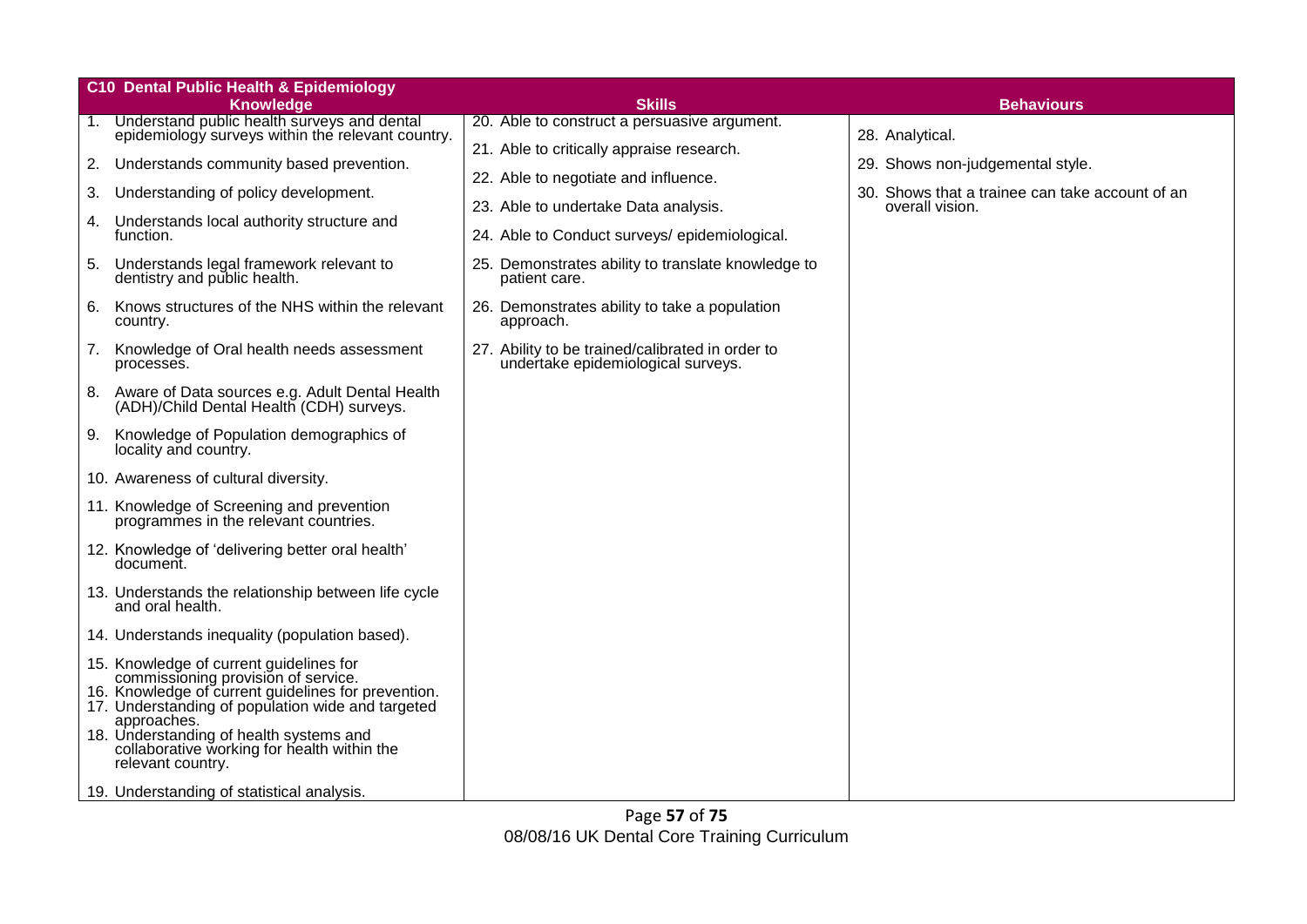|    | <b>C10 Dental Public Health &amp; Epidemiology</b>                                                                                                                                                        |                                                                                           |                                                                    |
|----|-----------------------------------------------------------------------------------------------------------------------------------------------------------------------------------------------------------|-------------------------------------------------------------------------------------------|--------------------------------------------------------------------|
|    | <b>Knowledge</b>                                                                                                                                                                                          | <b>Skills</b>                                                                             | <b>Behaviours</b>                                                  |
|    | 1. Understand public health surveys and dental<br>epidemiology surveys within the relevant country.                                                                                                       | 20. Able to construct a persuasive argument.<br>21. Able to critically appraise research. | 28. Analytical.                                                    |
| 2. | Understands community based prevention.                                                                                                                                                                   | 22. Able to negotiate and influence.                                                      | 29. Shows non-judgemental style.                                   |
| 3. | Understanding of policy development.                                                                                                                                                                      | 23. Able to undertake Data analysis.                                                      | 30. Shows that a trainee can take account of an<br>overall vision. |
| 4. | Understands local authority structure and<br>function.                                                                                                                                                    | 24. Able to Conduct surveys/epidemiological.                                              |                                                                    |
| 5. | Understands legal framework relevant to<br>dentistry and public health.                                                                                                                                   | 25. Demonstrates ability to translate knowledge to<br>patient care.                       |                                                                    |
| 6. | Knows structures of the NHS within the relevant<br>country.                                                                                                                                               | 26. Demonstrates ability to take a population<br>approach.                                |                                                                    |
| 7. | Knowledge of Oral health needs assessment<br>processes.                                                                                                                                                   | 27. Ability to be trained/calibrated in order to<br>undertake epidemiological surveys.    |                                                                    |
| 8. | Aware of Data sources e.g. Adult Dental Health<br>(ADH)/Child Dental Health (CDH) surveys.                                                                                                                |                                                                                           |                                                                    |
|    | 9. Knowledge of Population demographics of<br>locality and country.                                                                                                                                       |                                                                                           |                                                                    |
|    | 10. Awareness of cultural diversity.                                                                                                                                                                      |                                                                                           |                                                                    |
|    | 11. Knowledge of Screening and prevention<br>programmes in the relevant countries.                                                                                                                        |                                                                                           |                                                                    |
|    | 12. Knowledge of 'delivering better oral health'<br>document.                                                                                                                                             |                                                                                           |                                                                    |
|    | 13. Understands the relationship between life cycle<br>and oral health.                                                                                                                                   |                                                                                           |                                                                    |
|    | 14. Understands inequality (population based).                                                                                                                                                            |                                                                                           |                                                                    |
|    | 15. Knowledge of current guidelines for<br>commissioning provision of service.<br>16. Knowledge of current guidelines for prevention.<br>17. Understanding of population wide and targeted<br>approaches. |                                                                                           |                                                                    |
|    | 18. Understanding of health systems and<br>collaborative working for health within the<br>relevant country.                                                                                               |                                                                                           |                                                                    |
|    | 19. Understanding of statistical analysis.                                                                                                                                                                |                                                                                           |                                                                    |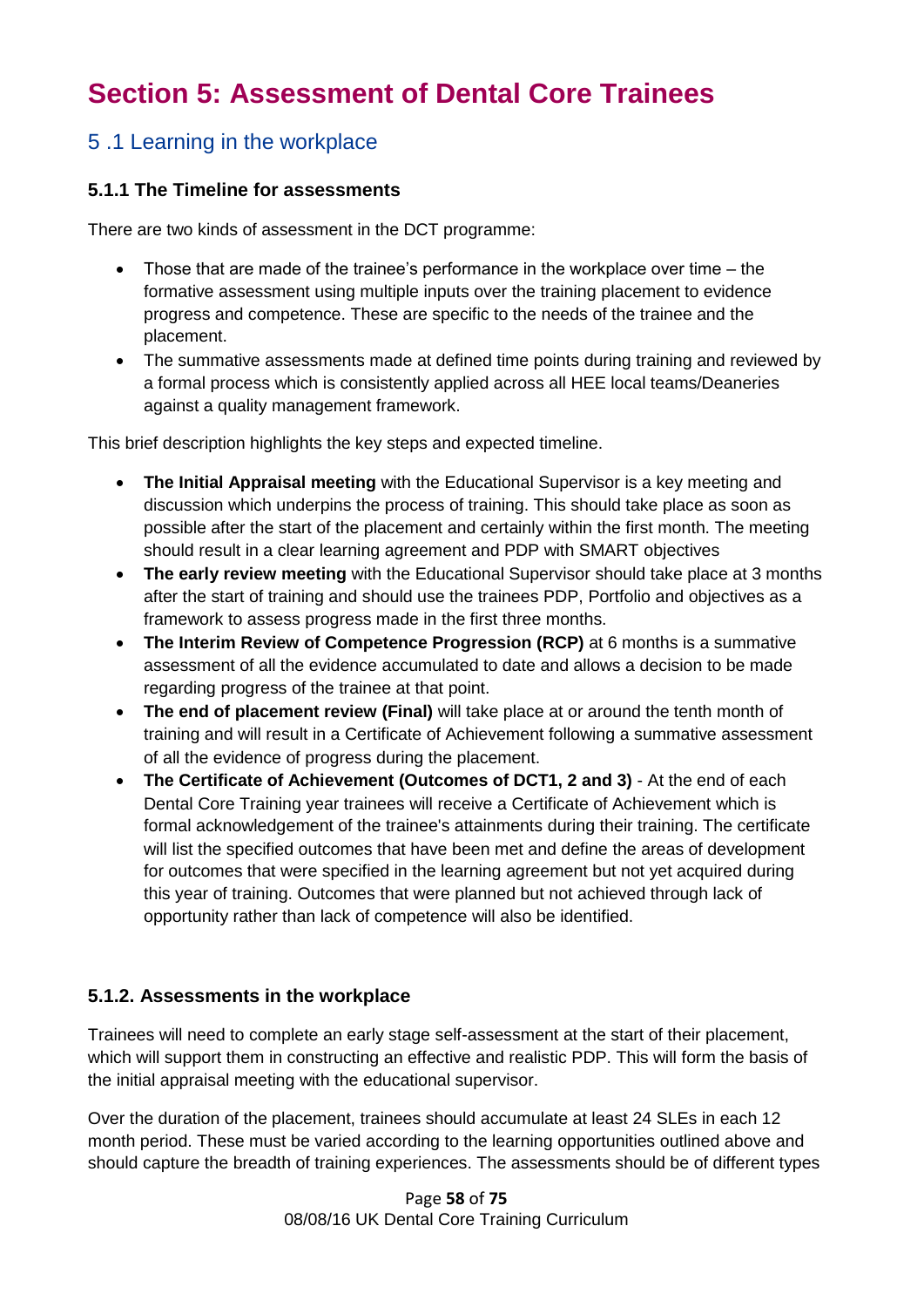## **Section 5: Assessment of Dental Core Trainees**

### 5 .1 Learning in the workplace

#### **5.1.1 The Timeline for assessments**

There are two kinds of assessment in the DCT programme:

- Those that are made of the trainee's performance in the workplace over time the formative assessment using multiple inputs over the training placement to evidence progress and competence. These are specific to the needs of the trainee and the placement.
- The summative assessments made at defined time points during training and reviewed by a formal process which is consistently applied across all HEE local teams/Deaneries against a quality management framework.

This brief description highlights the key steps and expected timeline.

- **The Initial Appraisal meeting** with the Educational Supervisor is a key meeting and discussion which underpins the process of training. This should take place as soon as possible after the start of the placement and certainly within the first month. The meeting should result in a clear learning agreement and PDP with SMART objectives
- **The early review meeting** with the Educational Supervisor should take place at 3 months after the start of training and should use the trainees PDP, Portfolio and objectives as a framework to assess progress made in the first three months.
- **The Interim Review of Competence Progression (RCP)** at 6 months is a summative assessment of all the evidence accumulated to date and allows a decision to be made regarding progress of the trainee at that point.
- **The end of placement review (Final)** will take place at or around the tenth month of training and will result in a Certificate of Achievement following a summative assessment of all the evidence of progress during the placement.
- **The Certificate of Achievement (Outcomes of DCT1, 2 and 3)** At the end of each Dental Core Training year trainees will receive a Certificate of Achievement which is formal acknowledgement of the trainee's attainments during their training. The certificate will list the specified outcomes that have been met and define the areas of development for outcomes that were specified in the learning agreement but not yet acquired during this year of training. Outcomes that were planned but not achieved through lack of opportunity rather than lack of competence will also be identified.

#### **5.1.2. Assessments in the workplace**

Trainees will need to complete an early stage self-assessment at the start of their placement, which will support them in constructing an effective and realistic PDP. This will form the basis of the initial appraisal meeting with the educational supervisor.

Over the duration of the placement, trainees should accumulate at least 24 SLEs in each 12 month period. These must be varied according to the learning opportunities outlined above and should capture the breadth of training experiences. The assessments should be of different types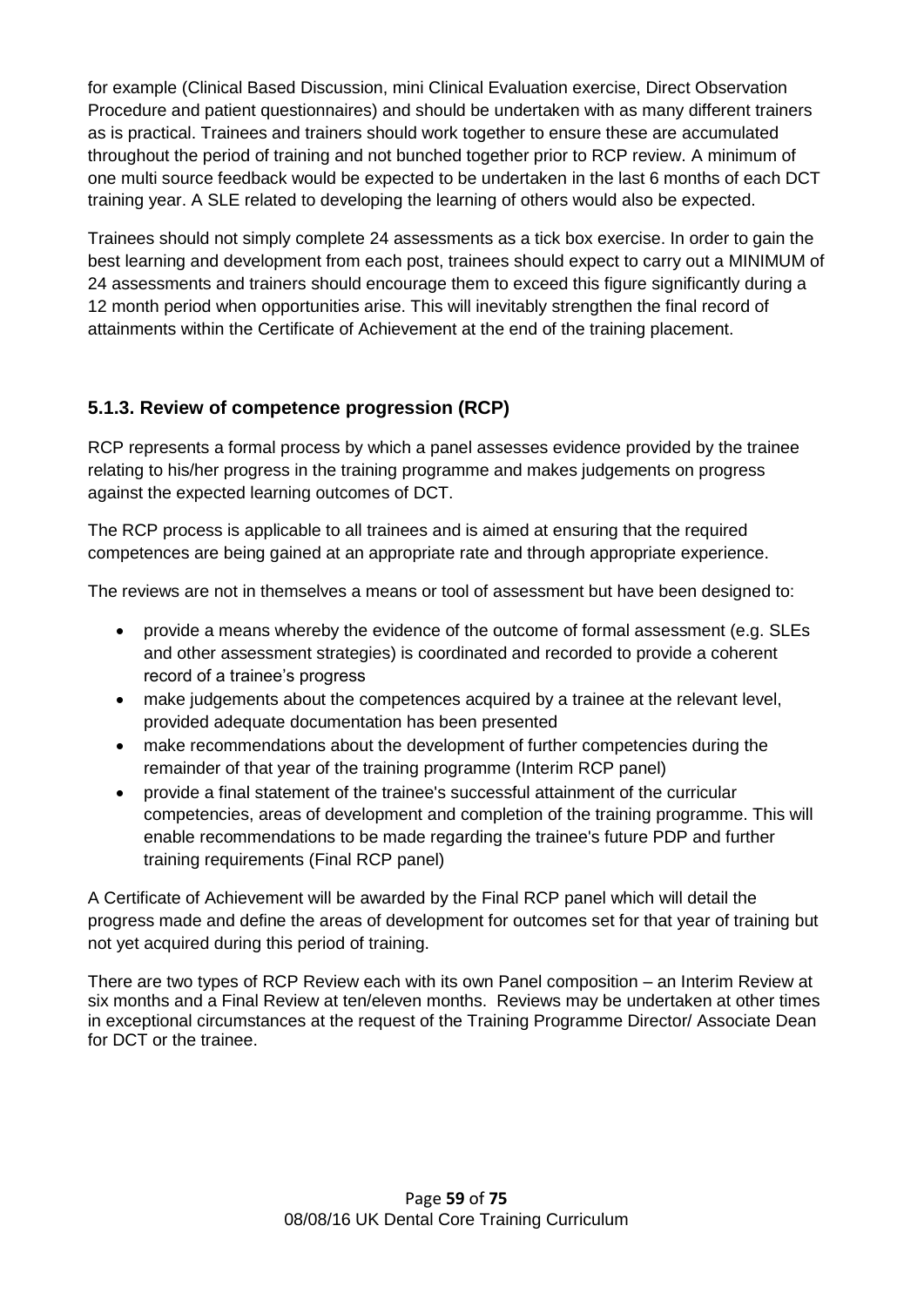for example (Clinical Based Discussion, mini Clinical Evaluation exercise, Direct Observation Procedure and patient questionnaires) and should be undertaken with as many different trainers as is practical. Trainees and trainers should work together to ensure these are accumulated throughout the period of training and not bunched together prior to RCP review. A minimum of one multi source feedback would be expected to be undertaken in the last 6 months of each DCT training year. A SLE related to developing the learning of others would also be expected.

Trainees should not simply complete 24 assessments as a tick box exercise. In order to gain the best learning and development from each post, trainees should expect to carry out a MINIMUM of 24 assessments and trainers should encourage them to exceed this figure significantly during a 12 month period when opportunities arise. This will inevitably strengthen the final record of attainments within the Certificate of Achievement at the end of the training placement.

#### **5.1.3. Review of competence progression (RCP)**

RCP represents a formal process by which a panel assesses evidence provided by the trainee relating to his/her progress in the training programme and makes judgements on progress against the expected learning outcomes of DCT.

The RCP process is applicable to all trainees and is aimed at ensuring that the required competences are being gained at an appropriate rate and through appropriate experience.

The reviews are not in themselves a means or tool of assessment but have been designed to:

- provide a means whereby the evidence of the outcome of formal assessment (e.g. SLEs and other assessment strategies) is coordinated and recorded to provide a coherent record of a trainee's progress
- make judgements about the competences acquired by a trainee at the relevant level, provided adequate documentation has been presented
- make recommendations about the development of further competencies during the remainder of that year of the training programme (Interim RCP panel)
- provide a final statement of the trainee's successful attainment of the curricular competencies, areas of development and completion of the training programme. This will enable recommendations to be made regarding the trainee's future PDP and further training requirements (Final RCP panel)

A Certificate of Achievement will be awarded by the Final RCP panel which will detail the progress made and define the areas of development for outcomes set for that year of training but not yet acquired during this period of training.

There are two types of RCP Review each with its own Panel composition – an Interim Review at six months and a Final Review at ten/eleven months. Reviews may be undertaken at other times in exceptional circumstances at the request of the Training Programme Director/ Associate Dean for DCT or the trainee.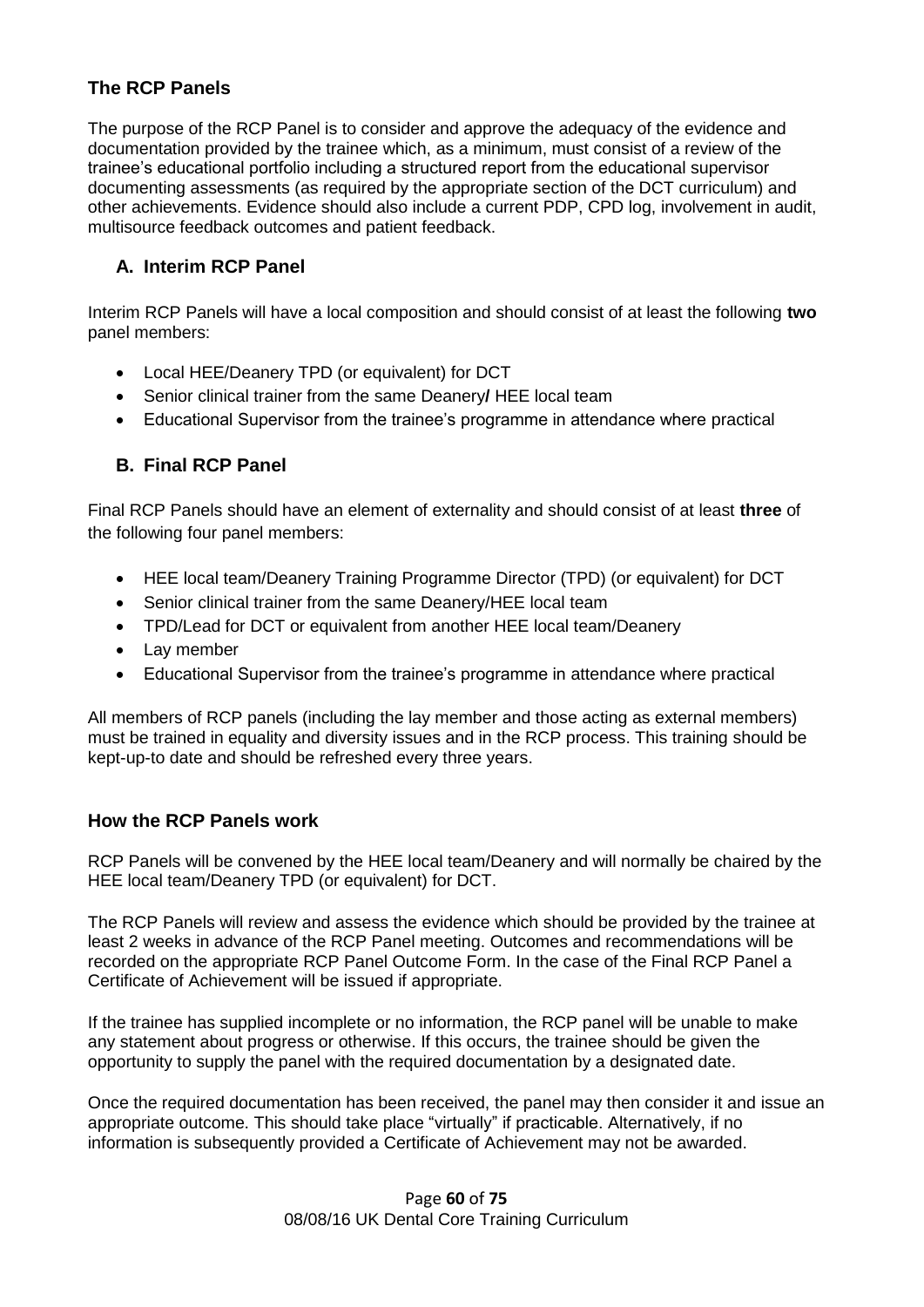#### **The RCP Panels**

The purpose of the RCP Panel is to consider and approve the adequacy of the evidence and documentation provided by the trainee which, as a minimum, must consist of a review of the trainee's educational portfolio including a structured report from the educational supervisor documenting assessments (as required by the appropriate section of the DCT curriculum) and other achievements. Evidence should also include a current PDP, CPD log, involvement in audit, multisource feedback outcomes and patient feedback.

#### **A. Interim RCP Panel**

Interim RCP Panels will have a local composition and should consist of at least the following **two** panel members:

- Local HEE/Deanery TPD (or equivalent) for DCT
- Senior clinical trainer from the same Deanery**/** HEE local team
- Educational Supervisor from the trainee's programme in attendance where practical

#### **B. Final RCP Panel**

Final RCP Panels should have an element of externality and should consist of at least **three** of the following four panel members:

- HEE local team/Deanery Training Programme Director (TPD) (or equivalent) for DCT
- Senior clinical trainer from the same Deanery/HEE local team
- TPD/Lead for DCT or equivalent from another HEE local team/Deanery
- Lay member
- Educational Supervisor from the trainee's programme in attendance where practical

All members of RCP panels (including the lay member and those acting as external members) must be trained in equality and diversity issues and in the RCP process. This training should be kept-up-to date and should be refreshed every three years.

#### **How the RCP Panels work**

RCP Panels will be convened by the HEE local team/Deanery and will normally be chaired by the HEE local team/Deanery TPD (or equivalent) for DCT.

The RCP Panels will review and assess the evidence which should be provided by the trainee at least 2 weeks in advance of the RCP Panel meeting. Outcomes and recommendations will be recorded on the appropriate RCP Panel Outcome Form. In the case of the Final RCP Panel a Certificate of Achievement will be issued if appropriate.

If the trainee has supplied incomplete or no information, the RCP panel will be unable to make any statement about progress or otherwise. If this occurs, the trainee should be given the opportunity to supply the panel with the required documentation by a designated date.

Once the required documentation has been received, the panel may then consider it and issue an appropriate outcome. This should take place "virtually" if practicable. Alternatively, if no information is subsequently provided a Certificate of Achievement may not be awarded.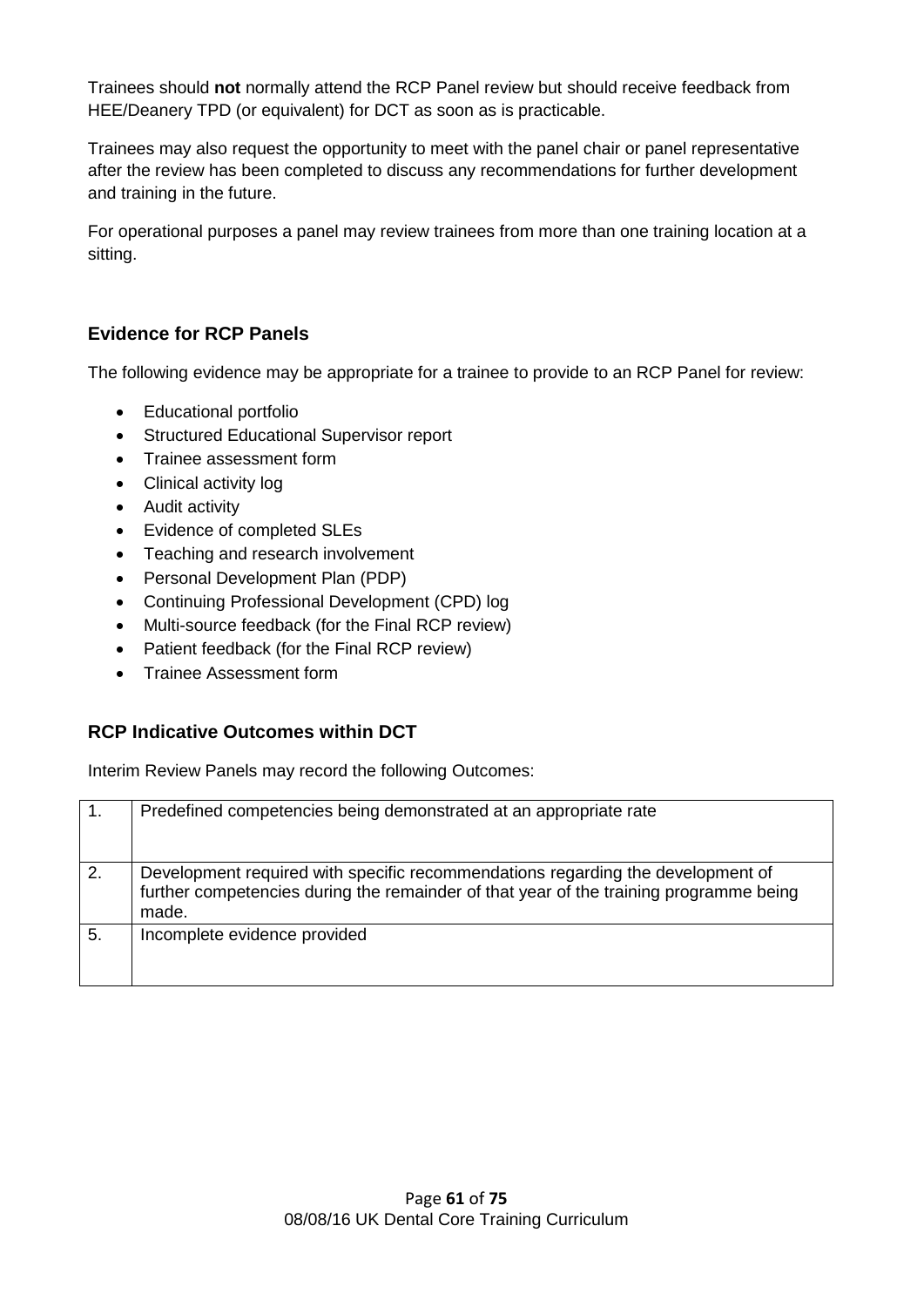Trainees should **not** normally attend the RCP Panel review but should receive feedback from HEE/Deanery TPD (or equivalent) for DCT as soon as is practicable.

Trainees may also request the opportunity to meet with the panel chair or panel representative after the review has been completed to discuss any recommendations for further development and training in the future.

For operational purposes a panel may review trainees from more than one training location at a sitting.

#### **Evidence for RCP Panels**

The following evidence may be appropriate for a trainee to provide to an RCP Panel for review:

- Educational portfolio
- Structured Educational Supervisor report
- Trainee assessment form
- Clinical activity log
- Audit activity
- Evidence of completed SLEs
- Teaching and research involvement
- Personal Development Plan (PDP)
- Continuing Professional Development (CPD) log
- Multi-source feedback (for the Final RCP review)
- Patient feedback (for the Final RCP review)
- Trainee Assessment form

#### **RCP Indicative Outcomes within DCT**

Interim Review Panels may record the following Outcomes:

| 1. | Predefined competencies being demonstrated at an appropriate rate                                                                                                                  |
|----|------------------------------------------------------------------------------------------------------------------------------------------------------------------------------------|
| 2. | Development required with specific recommendations regarding the development of<br>further competencies during the remainder of that year of the training programme being<br>made. |
| 5. | Incomplete evidence provided                                                                                                                                                       |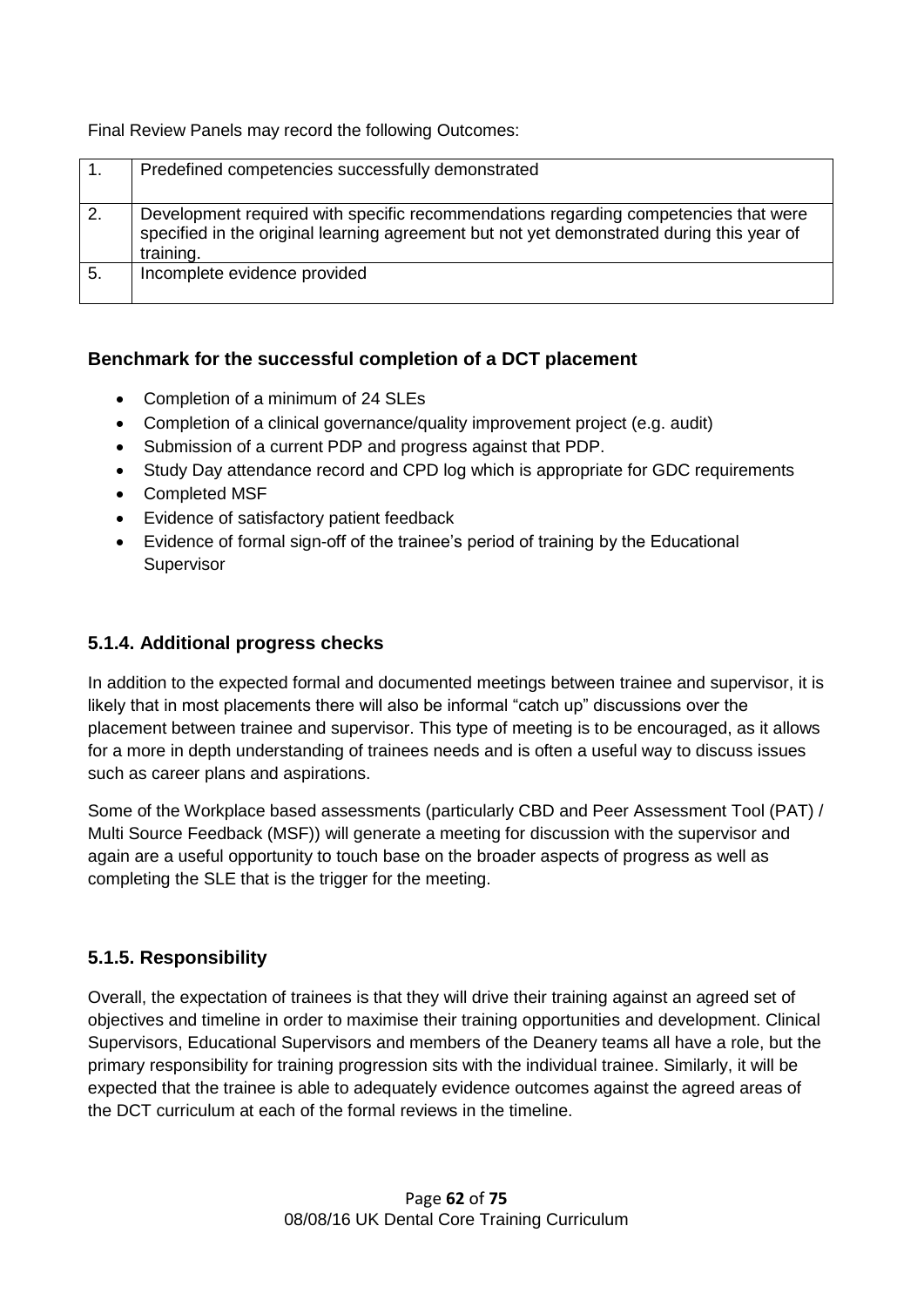Final Review Panels may record the following Outcomes:

|    | Predefined competencies successfully demonstrated                                         |
|----|-------------------------------------------------------------------------------------------|
|    |                                                                                           |
|    |                                                                                           |
| 2. | Development required with specific recommendations regarding competencies that were       |
|    |                                                                                           |
|    | specified in the original learning agreement but not yet demonstrated during this year of |
|    |                                                                                           |
|    | training.                                                                                 |
| 5. | Incomplete evidence provided                                                              |
|    |                                                                                           |
|    |                                                                                           |

#### **Benchmark for the successful completion of a DCT placement**

- Completion of a minimum of 24 SLEs
- Completion of a clinical governance/quality improvement project (e.g. audit)
- Submission of a current PDP and progress against that PDP.
- Study Day attendance record and CPD log which is appropriate for GDC requirements
- Completed MSF
- Evidence of satisfactory patient feedback
- Evidence of formal sign-off of the trainee's period of training by the Educational **Supervisor**

#### **5.1.4. Additional progress checks**

In addition to the expected formal and documented meetings between trainee and supervisor, it is likely that in most placements there will also be informal "catch up" discussions over the placement between trainee and supervisor. This type of meeting is to be encouraged, as it allows for a more in depth understanding of trainees needs and is often a useful way to discuss issues such as career plans and aspirations.

Some of the Workplace based assessments (particularly CBD and Peer Assessment Tool (PAT) / Multi Source Feedback (MSF)) will generate a meeting for discussion with the supervisor and again are a useful opportunity to touch base on the broader aspects of progress as well as completing the SLE that is the trigger for the meeting.

#### **5.1.5. Responsibility**

Overall, the expectation of trainees is that they will drive their training against an agreed set of objectives and timeline in order to maximise their training opportunities and development. Clinical Supervisors, Educational Supervisors and members of the Deanery teams all have a role, but the primary responsibility for training progression sits with the individual trainee. Similarly, it will be expected that the trainee is able to adequately evidence outcomes against the agreed areas of the DCT curriculum at each of the formal reviews in the timeline.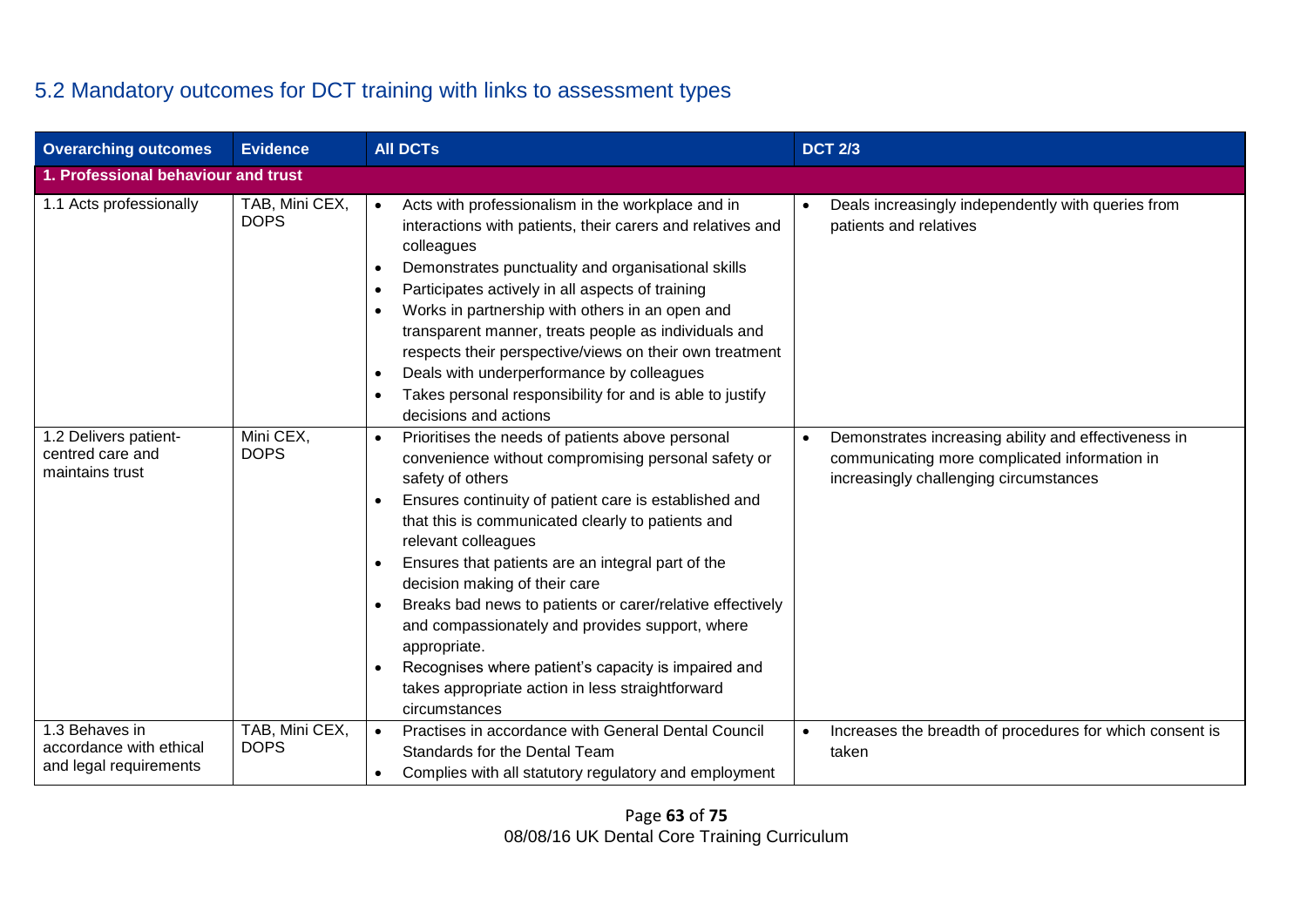## 5.2 Mandatory outcomes for DCT training with links to assessment types

| <b>Overarching outcomes</b>                                  | <b>Evidence</b>                     | <b>AII DCTs</b>                                                                                                                                                                                                                                                                                                                                                                                                                                                                                                                                                                                                                                   | <b>DCT 2/3</b>                                                                                                                                  |  |  |  |
|--------------------------------------------------------------|-------------------------------------|---------------------------------------------------------------------------------------------------------------------------------------------------------------------------------------------------------------------------------------------------------------------------------------------------------------------------------------------------------------------------------------------------------------------------------------------------------------------------------------------------------------------------------------------------------------------------------------------------------------------------------------------------|-------------------------------------------------------------------------------------------------------------------------------------------------|--|--|--|
|                                                              | 1. Professional behaviour and trust |                                                                                                                                                                                                                                                                                                                                                                                                                                                                                                                                                                                                                                                   |                                                                                                                                                 |  |  |  |
| 1.1 Acts professionally                                      | TAB, Mini CEX,<br><b>DOPS</b>       | Acts with professionalism in the workplace and in<br>$\bullet$<br>interactions with patients, their carers and relatives and<br>colleagues<br>Demonstrates punctuality and organisational skills<br>Participates actively in all aspects of training<br>$\bullet$<br>Works in partnership with others in an open and<br>$\bullet$<br>transparent manner, treats people as individuals and<br>respects their perspective/views on their own treatment<br>Deals with underperformance by colleagues<br>Takes personal responsibility for and is able to justify<br>٠<br>decisions and actions                                                       | Deals increasingly independently with queries from<br>patients and relatives                                                                    |  |  |  |
| 1.2 Delivers patient-<br>centred care and<br>maintains trust | Mini CEX,<br><b>DOPS</b>            | Prioritises the needs of patients above personal<br>$\bullet$<br>convenience without compromising personal safety or<br>safety of others<br>Ensures continuity of patient care is established and<br>that this is communicated clearly to patients and<br>relevant colleagues<br>Ensures that patients are an integral part of the<br>decision making of their care<br>Breaks bad news to patients or carer/relative effectively<br>٠<br>and compassionately and provides support, where<br>appropriate.<br>Recognises where patient's capacity is impaired and<br>$\bullet$<br>takes appropriate action in less straightforward<br>circumstances | Demonstrates increasing ability and effectiveness in<br>communicating more complicated information in<br>increasingly challenging circumstances |  |  |  |
| 1.3 Behaves in<br>accordance with ethical                    | TAB, Mini CEX,<br><b>DOPS</b>       | Practises in accordance with General Dental Council                                                                                                                                                                                                                                                                                                                                                                                                                                                                                                                                                                                               | Increases the breadth of procedures for which consent is                                                                                        |  |  |  |
| and legal requirements                                       |                                     | Standards for the Dental Team<br>Complies with all statutory regulatory and employment<br>$\bullet$                                                                                                                                                                                                                                                                                                                                                                                                                                                                                                                                               | taken                                                                                                                                           |  |  |  |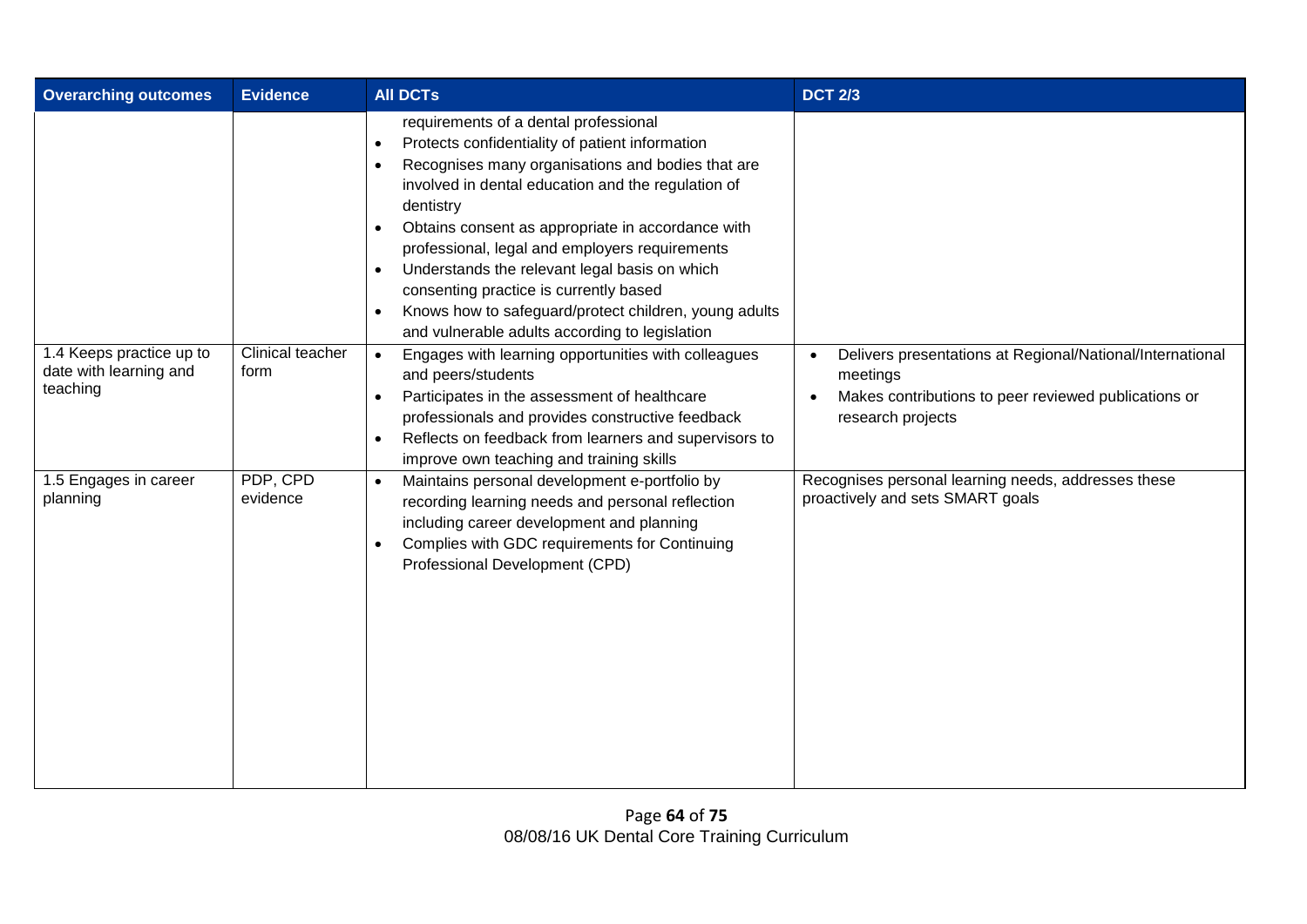| <b>Overarching outcomes</b>                        | <b>Evidence</b>          | <b>AII DCTs</b>                                                                                                                                                                                                                                                                                                                                                                                                                                                                                                                                                                                                                                                | <b>DCT 2/3</b>                                                                          |
|----------------------------------------------------|--------------------------|----------------------------------------------------------------------------------------------------------------------------------------------------------------------------------------------------------------------------------------------------------------------------------------------------------------------------------------------------------------------------------------------------------------------------------------------------------------------------------------------------------------------------------------------------------------------------------------------------------------------------------------------------------------|-----------------------------------------------------------------------------------------|
| 1.4 Keeps practice up to<br>date with learning and | Clinical teacher<br>form | requirements of a dental professional<br>Protects confidentiality of patient information<br>$\bullet$<br>Recognises many organisations and bodies that are<br>involved in dental education and the regulation of<br>dentistry<br>Obtains consent as appropriate in accordance with<br>professional, legal and employers requirements<br>Understands the relevant legal basis on which<br>$\bullet$<br>consenting practice is currently based<br>Knows how to safeguard/protect children, young adults<br>$\bullet$<br>and vulnerable adults according to legislation<br>Engages with learning opportunities with colleagues<br>$\bullet$<br>and peers/students | Delivers presentations at Regional/National/International<br>$\bullet$<br>meetings      |
| teaching                                           |                          | Participates in the assessment of healthcare<br>$\bullet$<br>professionals and provides constructive feedback<br>Reflects on feedback from learners and supervisors to<br>improve own teaching and training skills                                                                                                                                                                                                                                                                                                                                                                                                                                             | Makes contributions to peer reviewed publications or<br>$\bullet$<br>research projects  |
| 1.5 Engages in career<br>planning                  | PDP, CPD<br>evidence     | Maintains personal development e-portfolio by<br>$\bullet$<br>recording learning needs and personal reflection<br>including career development and planning<br>Complies with GDC requirements for Continuing<br>Professional Development (CPD)                                                                                                                                                                                                                                                                                                                                                                                                                 | Recognises personal learning needs, addresses these<br>proactively and sets SMART goals |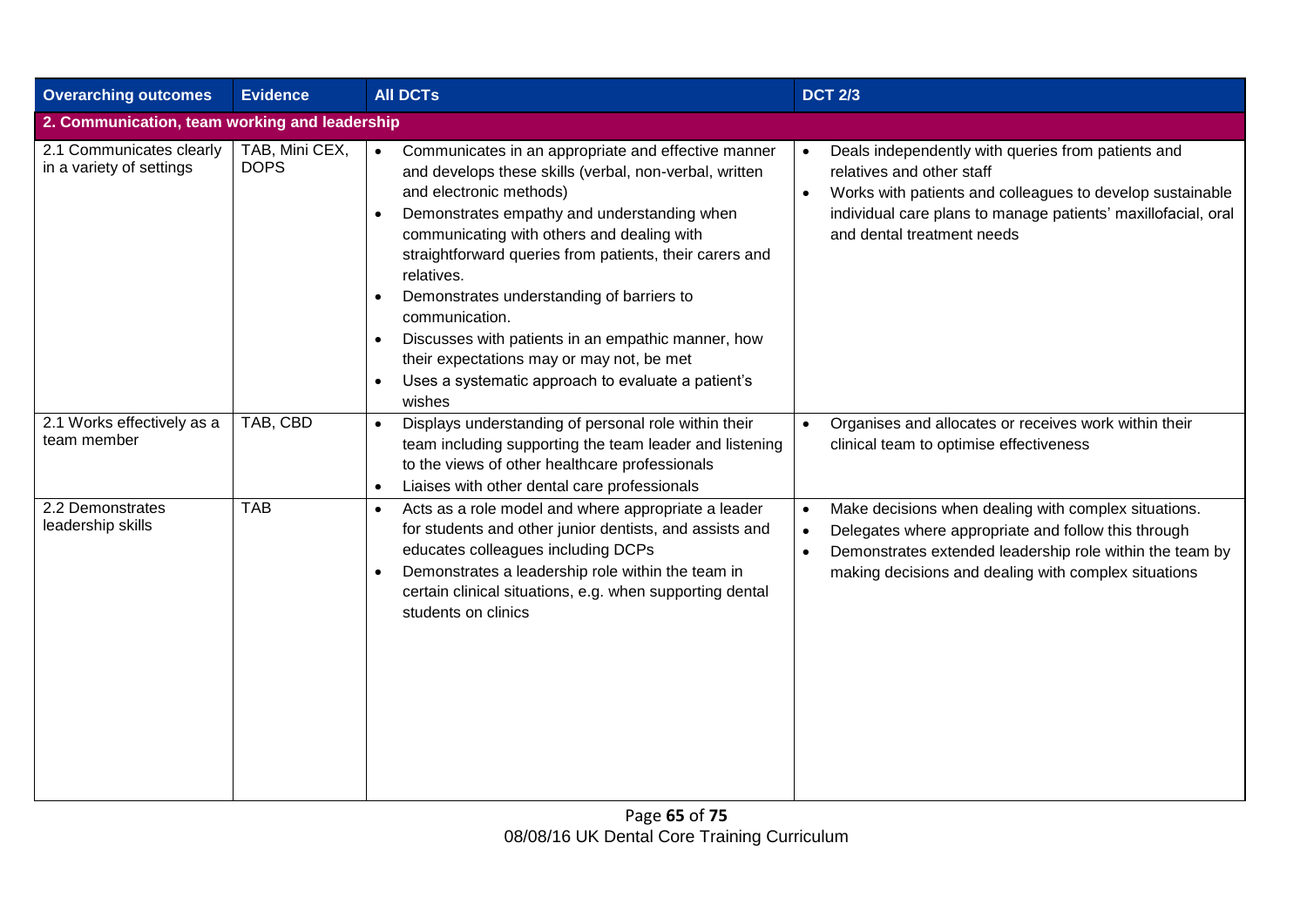| <b>Overarching outcomes</b>                          | <b>Evidence</b>                               | <b>AII DCTs</b>                                                                                                                                                                                                                                                                                                                                                                                                                                                                                                                                                            | <b>DCT 2/3</b>                                                                                                                                                                                                                                                         |  |  |  |  |
|------------------------------------------------------|-----------------------------------------------|----------------------------------------------------------------------------------------------------------------------------------------------------------------------------------------------------------------------------------------------------------------------------------------------------------------------------------------------------------------------------------------------------------------------------------------------------------------------------------------------------------------------------------------------------------------------------|------------------------------------------------------------------------------------------------------------------------------------------------------------------------------------------------------------------------------------------------------------------------|--|--|--|--|
|                                                      | 2. Communication, team working and leadership |                                                                                                                                                                                                                                                                                                                                                                                                                                                                                                                                                                            |                                                                                                                                                                                                                                                                        |  |  |  |  |
| 2.1 Communicates clearly<br>in a variety of settings | TAB, Mini CEX,<br><b>DOPS</b>                 | Communicates in an appropriate and effective manner<br>$\bullet$<br>and develops these skills (verbal, non-verbal, written<br>and electronic methods)<br>Demonstrates empathy and understanding when<br>communicating with others and dealing with<br>straightforward queries from patients, their carers and<br>relatives.<br>Demonstrates understanding of barriers to<br>communication.<br>Discusses with patients in an empathic manner, how<br>their expectations may or may not, be met<br>Uses a systematic approach to evaluate a patient's<br>$\bullet$<br>wishes | Deals independently with queries from patients and<br>relatives and other staff<br>Works with patients and colleagues to develop sustainable<br>individual care plans to manage patients' maxillofacial, oral<br>and dental treatment needs                            |  |  |  |  |
| 2.1 Works effectively as a<br>team member            | TAB, CBD                                      | Displays understanding of personal role within their<br>$\bullet$<br>team including supporting the team leader and listening<br>to the views of other healthcare professionals<br>Liaises with other dental care professionals<br>$\bullet$                                                                                                                                                                                                                                                                                                                                | Organises and allocates or receives work within their<br>$\bullet$<br>clinical team to optimise effectiveness                                                                                                                                                          |  |  |  |  |
| 2.2 Demonstrates<br>leadership skills                | <b>TAB</b>                                    | Acts as a role model and where appropriate a leader<br>$\bullet$<br>for students and other junior dentists, and assists and<br>educates colleagues including DCPs<br>Demonstrates a leadership role within the team in<br>$\bullet$<br>certain clinical situations, e.g. when supporting dental<br>students on clinics                                                                                                                                                                                                                                                     | Make decisions when dealing with complex situations.<br>$\bullet$<br>Delegates where appropriate and follow this through<br>$\bullet$<br>Demonstrates extended leadership role within the team by<br>$\bullet$<br>making decisions and dealing with complex situations |  |  |  |  |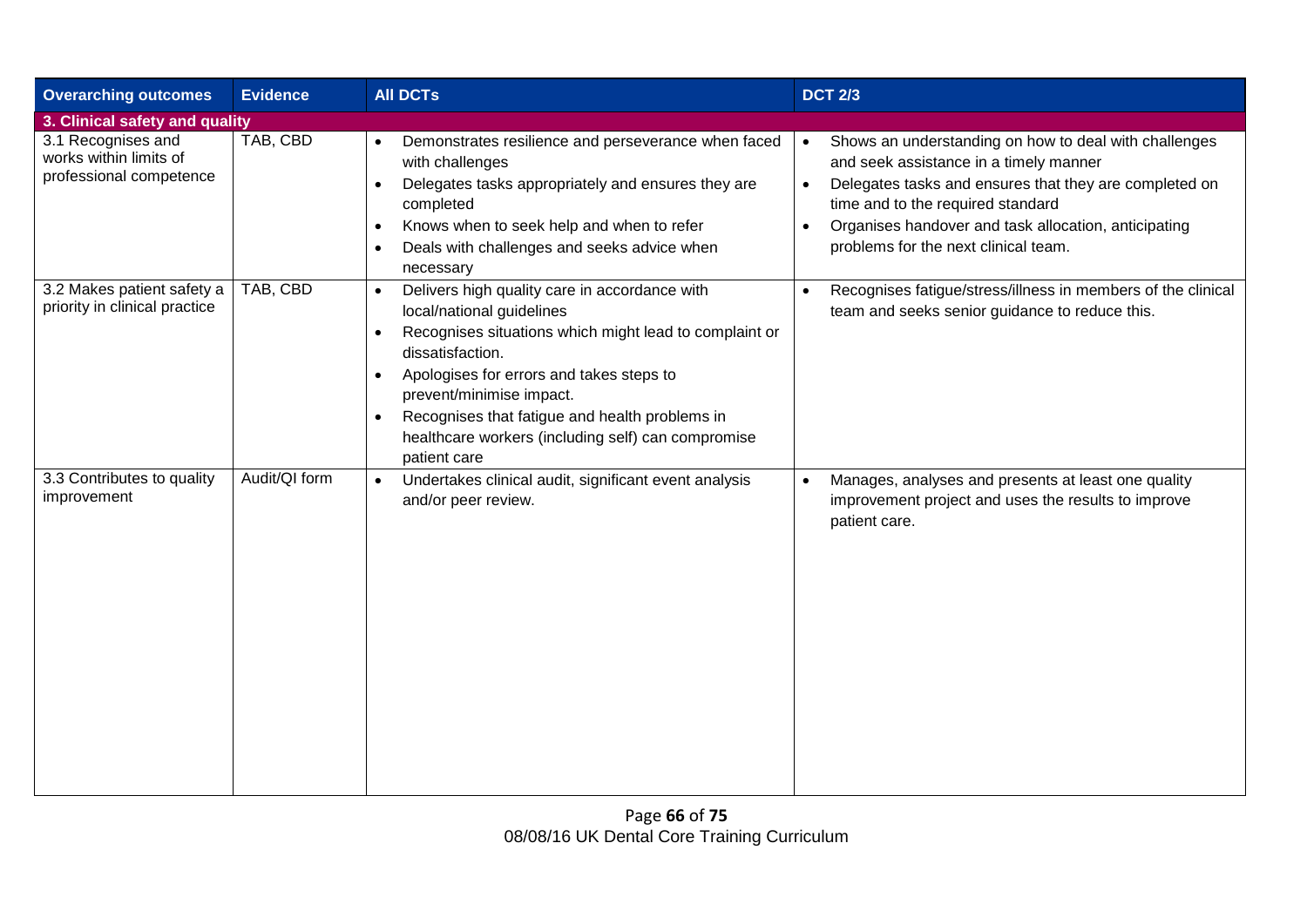| <b>Overarching outcomes</b>                                             | <b>Evidence</b>                | <b>AII DCTs</b>                                                                                                                                                                                                                                                                                                                                                       | <b>DCT 2/3</b>                                                                                                                                                                                                                                                                                                                        |  |  |  |  |
|-------------------------------------------------------------------------|--------------------------------|-----------------------------------------------------------------------------------------------------------------------------------------------------------------------------------------------------------------------------------------------------------------------------------------------------------------------------------------------------------------------|---------------------------------------------------------------------------------------------------------------------------------------------------------------------------------------------------------------------------------------------------------------------------------------------------------------------------------------|--|--|--|--|
|                                                                         | 3. Clinical safety and quality |                                                                                                                                                                                                                                                                                                                                                                       |                                                                                                                                                                                                                                                                                                                                       |  |  |  |  |
| 3.1 Recognises and<br>works within limits of<br>professional competence | TAB, CBD                       | Demonstrates resilience and perseverance when faced<br>with challenges<br>Delegates tasks appropriately and ensures they are<br>completed<br>Knows when to seek help and when to refer<br>$\bullet$<br>Deals with challenges and seeks advice when<br>necessary                                                                                                       | Shows an understanding on how to deal with challenges<br>$\bullet$<br>and seek assistance in a timely manner<br>Delegates tasks and ensures that they are completed on<br>$\bullet$<br>time and to the required standard<br>Organises handover and task allocation, anticipating<br>$\bullet$<br>problems for the next clinical team. |  |  |  |  |
| 3.2 Makes patient safety a<br>priority in clinical practice             | TAB, CBD                       | Delivers high quality care in accordance with<br>local/national guidelines<br>Recognises situations which might lead to complaint or<br>dissatisfaction.<br>Apologises for errors and takes steps to<br>prevent/minimise impact.<br>Recognises that fatigue and health problems in<br>$\bullet$<br>healthcare workers (including self) can compromise<br>patient care | Recognises fatigue/stress/illness in members of the clinical<br>team and seeks senior guidance to reduce this.                                                                                                                                                                                                                        |  |  |  |  |
| 3.3 Contributes to quality<br>improvement                               | Audit/QI form                  | Undertakes clinical audit, significant event analysis<br>$\bullet$<br>and/or peer review.                                                                                                                                                                                                                                                                             | Manages, analyses and presents at least one quality<br>improvement project and uses the results to improve<br>patient care.                                                                                                                                                                                                           |  |  |  |  |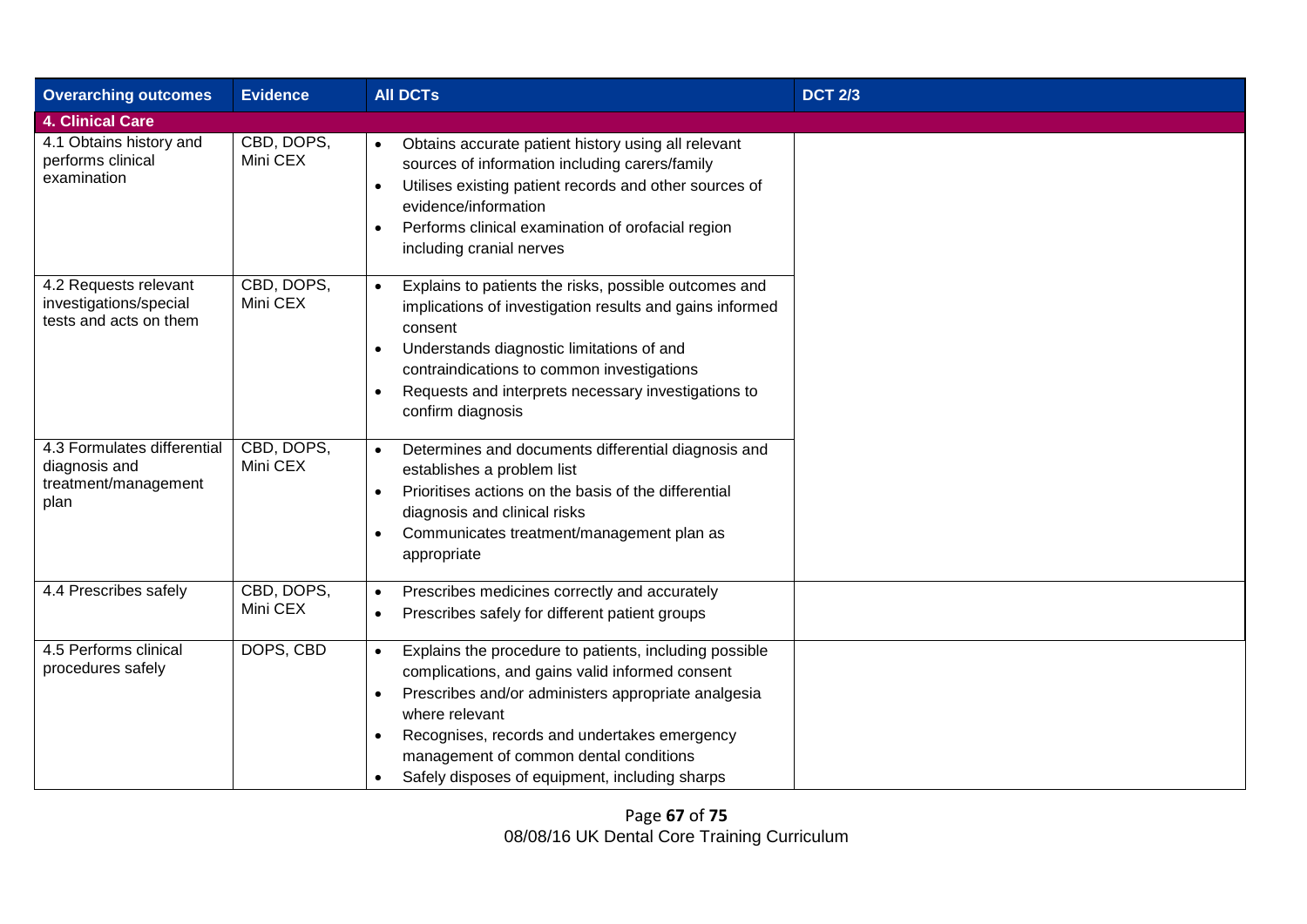| <b>Overarching outcomes</b>                                                  | <b>Evidence</b>        | <b>AII DCTs</b>                                                                                                                                                                                                                                                                                                                             | <b>DCT 2/3</b> |
|------------------------------------------------------------------------------|------------------------|---------------------------------------------------------------------------------------------------------------------------------------------------------------------------------------------------------------------------------------------------------------------------------------------------------------------------------------------|----------------|
| <b>4. Clinical Care</b>                                                      |                        |                                                                                                                                                                                                                                                                                                                                             |                |
| 4.1 Obtains history and<br>performs clinical<br>examination                  | CBD, DOPS,<br>Mini CEX | Obtains accurate patient history using all relevant<br>$\bullet$<br>sources of information including carers/family<br>Utilises existing patient records and other sources of<br>$\bullet$<br>evidence/information<br>Performs clinical examination of orofacial region<br>including cranial nerves                                          |                |
| 4.2 Requests relevant<br>investigations/special<br>tests and acts on them    | CBD, DOPS,<br>Mini CEX | Explains to patients the risks, possible outcomes and<br>$\bullet$<br>implications of investigation results and gains informed<br>consent<br>Understands diagnostic limitations of and<br>contraindications to common investigations<br>Requests and interprets necessary investigations to<br>confirm diagnosis                            |                |
| 4.3 Formulates differential<br>diagnosis and<br>treatment/management<br>plan | CBD, DOPS,<br>Mini CEX | Determines and documents differential diagnosis and<br>$\bullet$<br>establishes a problem list<br>Prioritises actions on the basis of the differential<br>$\bullet$<br>diagnosis and clinical risks<br>Communicates treatment/management plan as<br>appropriate                                                                             |                |
| 4.4 Prescribes safely                                                        | CBD, DOPS,<br>Mini CEX | Prescribes medicines correctly and accurately<br>$\bullet$<br>Prescribes safely for different patient groups<br>$\bullet$                                                                                                                                                                                                                   |                |
| 4.5 Performs clinical<br>procedures safely                                   | DOPS, CBD              | Explains the procedure to patients, including possible<br>$\bullet$<br>complications, and gains valid informed consent<br>Prescribes and/or administers appropriate analgesia<br>where relevant<br>Recognises, records and undertakes emergency<br>management of common dental conditions<br>Safely disposes of equipment, including sharps |                |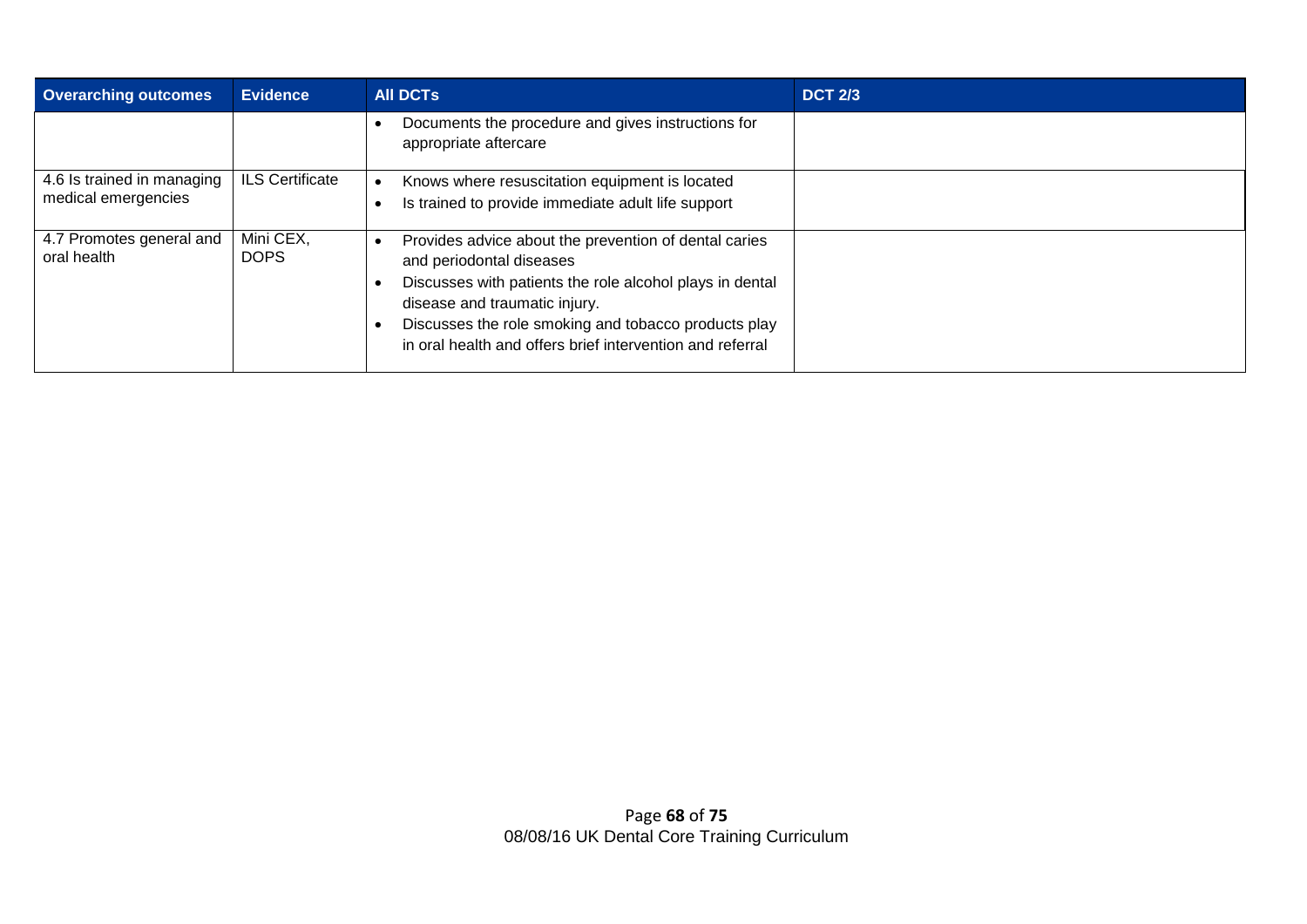| <b>Overarching outcomes</b>                       | <b>Evidence</b>          | <b>AII DCTS</b>                                                                                                                                                                                                                                                                                     | <b>DCT 2/3</b> |
|---------------------------------------------------|--------------------------|-----------------------------------------------------------------------------------------------------------------------------------------------------------------------------------------------------------------------------------------------------------------------------------------------------|----------------|
|                                                   |                          | Documents the procedure and gives instructions for<br>appropriate aftercare                                                                                                                                                                                                                         |                |
| 4.6 Is trained in managing<br>medical emergencies | <b>ILS Certificate</b>   | Knows where resuscitation equipment is located<br>Is trained to provide immediate adult life support                                                                                                                                                                                                |                |
| 4.7 Promotes general and<br>oral health           | Mini CEX,<br><b>DOPS</b> | Provides advice about the prevention of dental caries<br>and periodontal diseases<br>Discusses with patients the role alcohol plays in dental<br>disease and traumatic injury.<br>Discusses the role smoking and tobacco products play<br>in oral health and offers brief intervention and referral |                |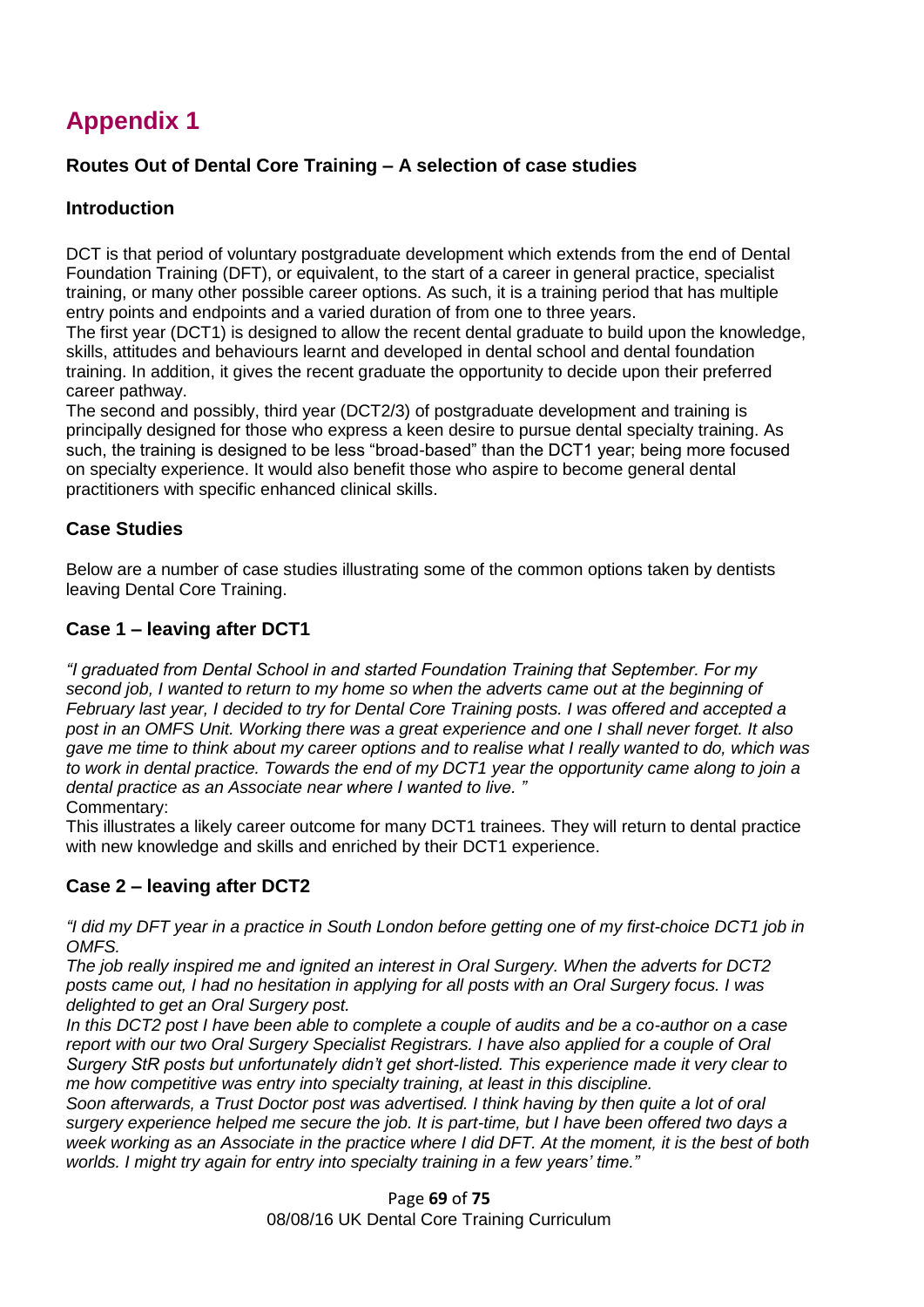## **Appendix 1**

#### **Routes Out of Dental Core Training – A selection of case studies**

#### **Introduction**

DCT is that period of voluntary postgraduate development which extends from the end of Dental Foundation Training (DFT), or equivalent, to the start of a career in general practice, specialist training, or many other possible career options. As such, it is a training period that has multiple entry points and endpoints and a varied duration of from one to three years.

The first year (DCT1) is designed to allow the recent dental graduate to build upon the knowledge, skills, attitudes and behaviours learnt and developed in dental school and dental foundation training. In addition, it gives the recent graduate the opportunity to decide upon their preferred career pathway.

The second and possibly, third year (DCT2/3) of postgraduate development and training is principally designed for those who express a keen desire to pursue dental specialty training. As such, the training is designed to be less "broad-based" than the DCT1 year; being more focused on specialty experience. It would also benefit those who aspire to become general dental practitioners with specific enhanced clinical skills.

#### **Case Studies**

Below are a number of case studies illustrating some of the common options taken by dentists leaving Dental Core Training.

#### **Case 1 – leaving after DCT1**

*"I graduated from Dental School in and started Foundation Training that September. For my second job, I wanted to return to my home so when the adverts came out at the beginning of February last year, I decided to try for Dental Core Training posts. I was offered and accepted a post in an OMFS Unit. Working there was a great experience and one I shall never forget. It also gave me time to think about my career options and to realise what I really wanted to do, which was to work in dental practice. Towards the end of my DCT1 year the opportunity came along to join a dental practice as an Associate near where I wanted to live. "* Commentary:

This illustrates a likely career outcome for many DCT1 trainees. They will return to dental practice with new knowledge and skills and enriched by their DCT1 experience.

#### **Case 2 – leaving after DCT2**

*"I did my DFT year in a practice in South London before getting one of my first-choice DCT1 job in OMFS.*

*The job really inspired me and ignited an interest in Oral Surgery. When the adverts for DCT2 posts came out, I had no hesitation in applying for all posts with an Oral Surgery focus. I was delighted to get an Oral Surgery post.*

*In this DCT2 post I have been able to complete a couple of audits and be a co-author on a case report with our two Oral Surgery Specialist Registrars. I have also applied for a couple of Oral Surgery StR posts but unfortunately didn't get short-listed. This experience made it very clear to me how competitive was entry into specialty training, at least in this discipline.* 

*Soon afterwards, a Trust Doctor post was advertised. I think having by then quite a lot of oral surgery experience helped me secure the job. It is part-time, but I have been offered two days a week working as an Associate in the practice where I did DFT. At the moment, it is the best of both worlds. I might try again for entry into specialty training in a few years' time."*

> Page **69** of **75** 08/08/16 UK Dental Core Training Curriculum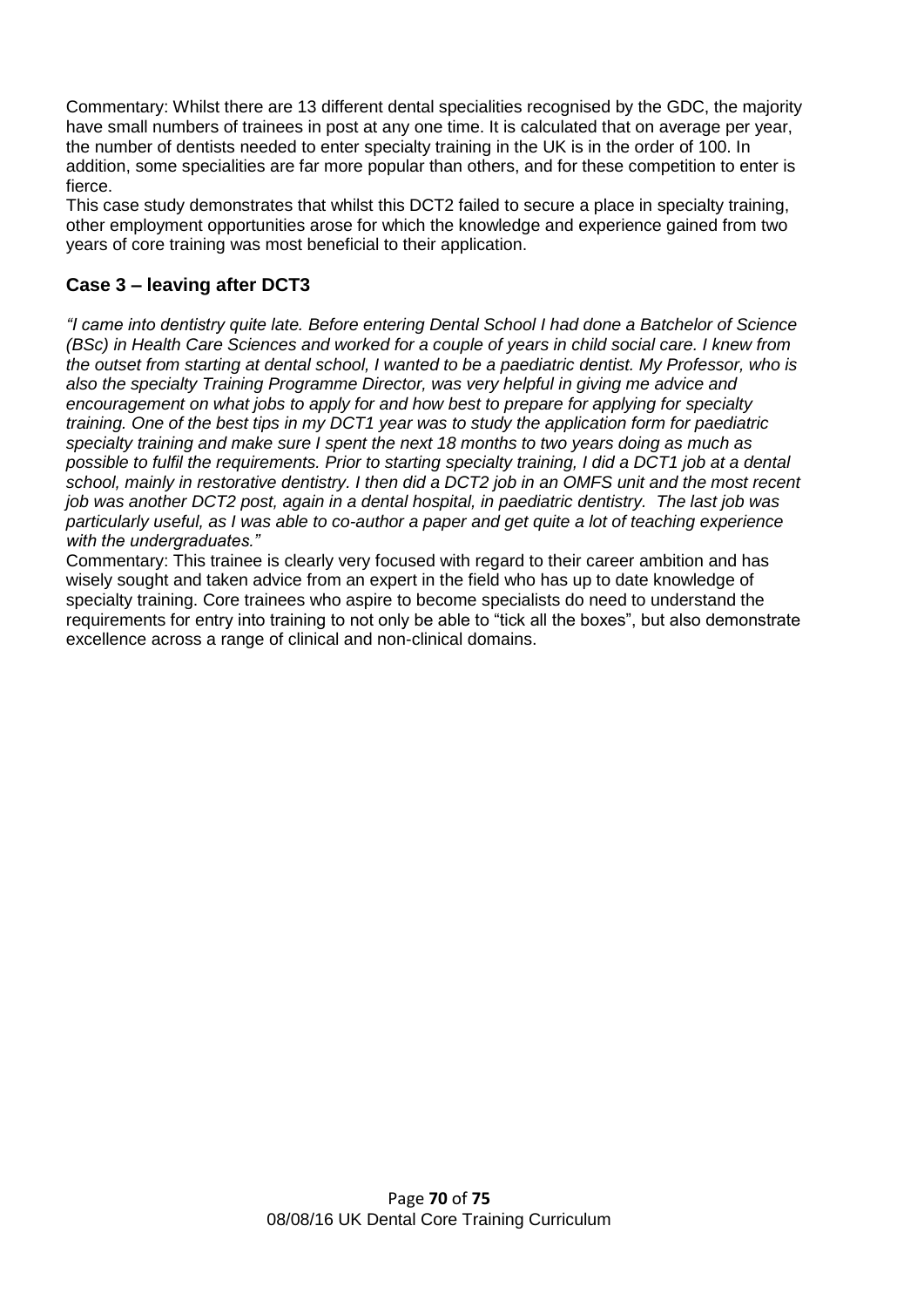Commentary: Whilst there are 13 different dental specialities recognised by the GDC, the majority have small numbers of trainees in post at any one time. It is calculated that on average per year, the number of dentists needed to enter specialty training in the UK is in the order of 100. In addition, some specialities are far more popular than others, and for these competition to enter is fierce.

This case study demonstrates that whilst this DCT2 failed to secure a place in specialty training, other employment opportunities arose for which the knowledge and experience gained from two years of core training was most beneficial to their application.

#### **Case 3 – leaving after DCT3**

*"I came into dentistry quite late. Before entering Dental School I had done a Batchelor of Science (BSc) in Health Care Sciences and worked for a couple of years in child social care. I knew from the outset from starting at dental school, I wanted to be a paediatric dentist. My Professor, who is also the specialty Training Programme Director, was very helpful in giving me advice and encouragement on what jobs to apply for and how best to prepare for applying for specialty training. One of the best tips in my DCT1 year was to study the application form for paediatric specialty training and make sure I spent the next 18 months to two years doing as much as possible to fulfil the requirements. Prior to starting specialty training, I did a DCT1 job at a dental school, mainly in restorative dentistry. I then did a DCT2 job in an OMFS unit and the most recent job was another DCT2 post, again in a dental hospital, in paediatric dentistry. The last job was particularly useful, as I was able to co-author a paper and get quite a lot of teaching experience with the undergraduates."*

Commentary: This trainee is clearly very focused with regard to their career ambition and has wisely sought and taken advice from an expert in the field who has up to date knowledge of specialty training. Core trainees who aspire to become specialists do need to understand the requirements for entry into training to not only be able to "tick all the boxes", but also demonstrate excellence across a range of clinical and non-clinical domains.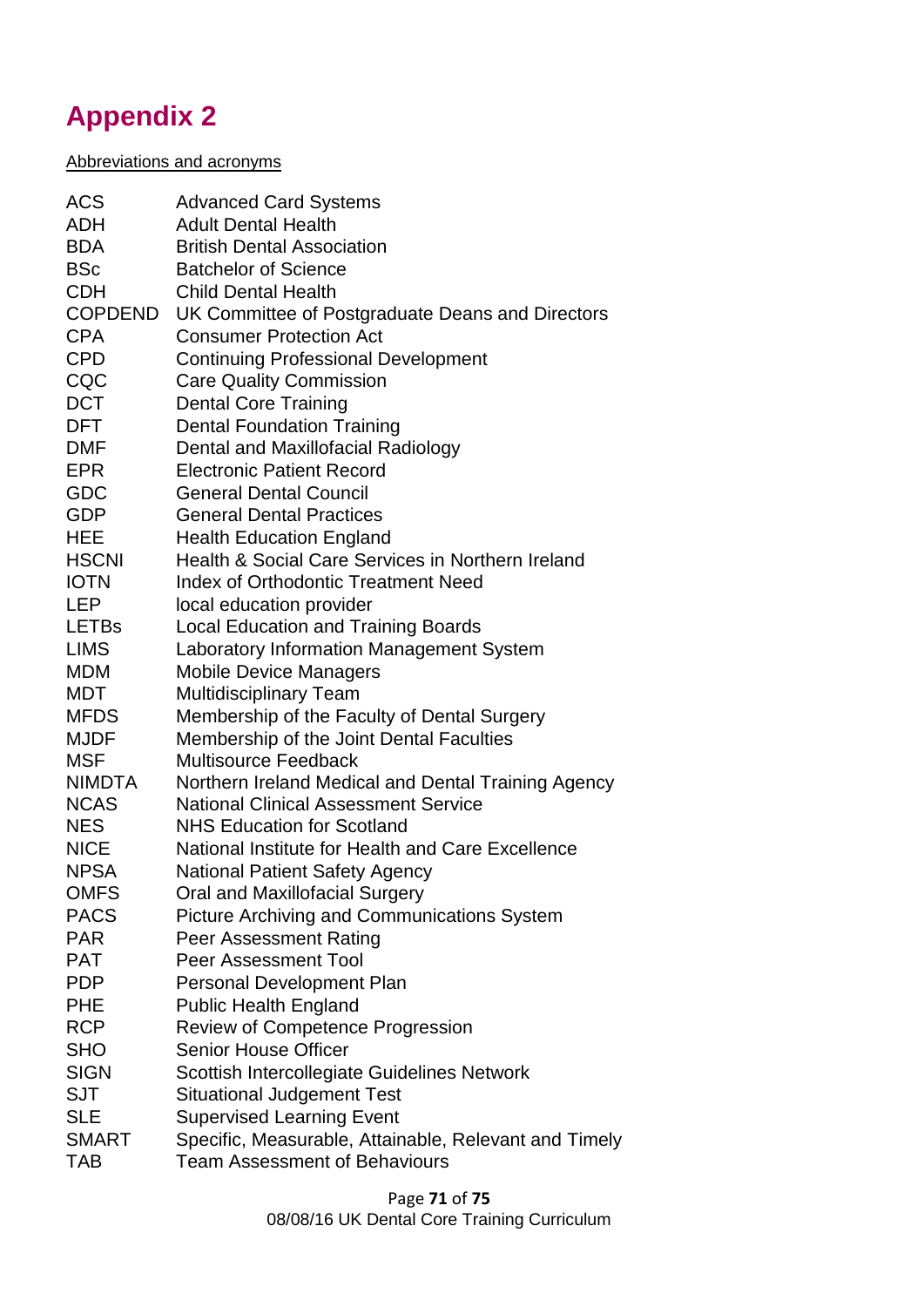# **Appendix 2**

#### Abbreviations and acronyms

| <b>ACS</b>     | <b>Advanced Card Systems</b>                          |
|----------------|-------------------------------------------------------|
| ADH            | <b>Adult Dental Health</b>                            |
| <b>BDA</b>     | <b>British Dental Association</b>                     |
| <b>BSc</b>     | <b>Batchelor of Science</b>                           |
| <b>CDH</b>     | <b>Child Dental Health</b>                            |
| <b>COPDEND</b> | UK Committee of Postgraduate Deans and Directors      |
| <b>CPA</b>     | <b>Consumer Protection Act</b>                        |
| <b>CPD</b>     | <b>Continuing Professional Development</b>            |
| CQC            | <b>Care Quality Commission</b>                        |
| <b>DCT</b>     | <b>Dental Core Training</b>                           |
| DFT            | <b>Dental Foundation Training</b>                     |
| <b>DMF</b>     | Dental and Maxillofacial Radiology                    |
| <b>EPR</b>     | <b>Electronic Patient Record</b>                      |
| GDC            | <b>General Dental Council</b>                         |
| <b>GDP</b>     | <b>General Dental Practices</b>                       |
| HEE            | <b>Health Education England</b>                       |
| <b>HSCNI</b>   | Health & Social Care Services in Northern Ireland     |
| <b>IOTN</b>    | <b>Index of Orthodontic Treatment Need</b>            |
| <b>LEP</b>     | local education provider                              |
| <b>LETBs</b>   | <b>Local Education and Training Boards</b>            |
| <b>LIMS</b>    | Laboratory Information Management System              |
| <b>MDM</b>     | <b>Mobile Device Managers</b>                         |
| MDT            | <b>Multidisciplinary Team</b>                         |
| <b>MFDS</b>    | Membership of the Faculty of Dental Surgery           |
| <b>MJDF</b>    | Membership of the Joint Dental Faculties              |
| <b>MSF</b>     | <b>Multisource Feedback</b>                           |
| NIMDTA         | Northern Ireland Medical and Dental Training Agency   |
| <b>NCAS</b>    | <b>National Clinical Assessment Service</b>           |
| NES.           | <b>NHS Education for Scotland</b>                     |
| <b>NICE</b>    | National Institute for Health and Care Excellence     |
| <b>NPSA</b>    | <b>National Patient Safety Agency</b>                 |
| <b>OMFS</b>    | Oral and Maxillofacial Surgery                        |
| <b>PACS</b>    | Picture Archiving and Communications System           |
| <b>PAR</b>     | <b>Peer Assessment Rating</b>                         |
| <b>PAT</b>     | <b>Peer Assessment Tool</b>                           |
| <b>PDP</b>     | <b>Personal Development Plan</b>                      |
| <b>PHE</b>     | <b>Public Health England</b>                          |
| <b>RCP</b>     | Review of Competence Progression                      |
| <b>SHO</b>     | <b>Senior House Officer</b>                           |
| <b>SIGN</b>    | Scottish Intercollegiate Guidelines Network           |
| <b>SJT</b>     | <b>Situational Judgement Test</b>                     |
| <b>SLE</b>     | <b>Supervised Learning Event</b>                      |
| <b>SMART</b>   | Specific, Measurable, Attainable, Relevant and Timely |
| <b>TAB</b>     | <b>Team Assessment of Behaviours</b>                  |
|                |                                                       |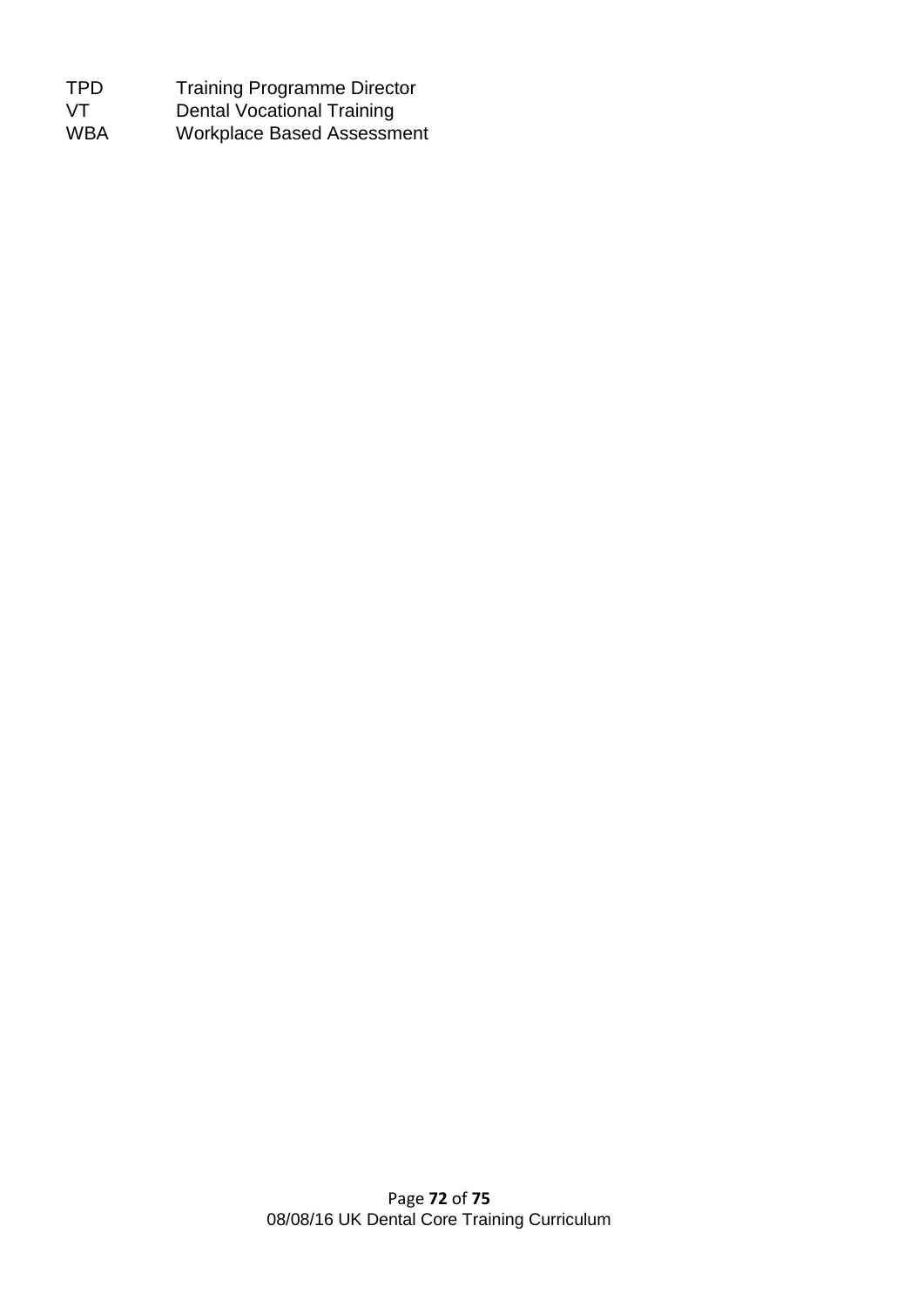| TPD.       | <b>Training Programme Director</b> |
|------------|------------------------------------|
| VT.        | <b>Dental Vocational Training</b>  |
| <b>WBA</b> | <b>Workplace Based Assessment</b>  |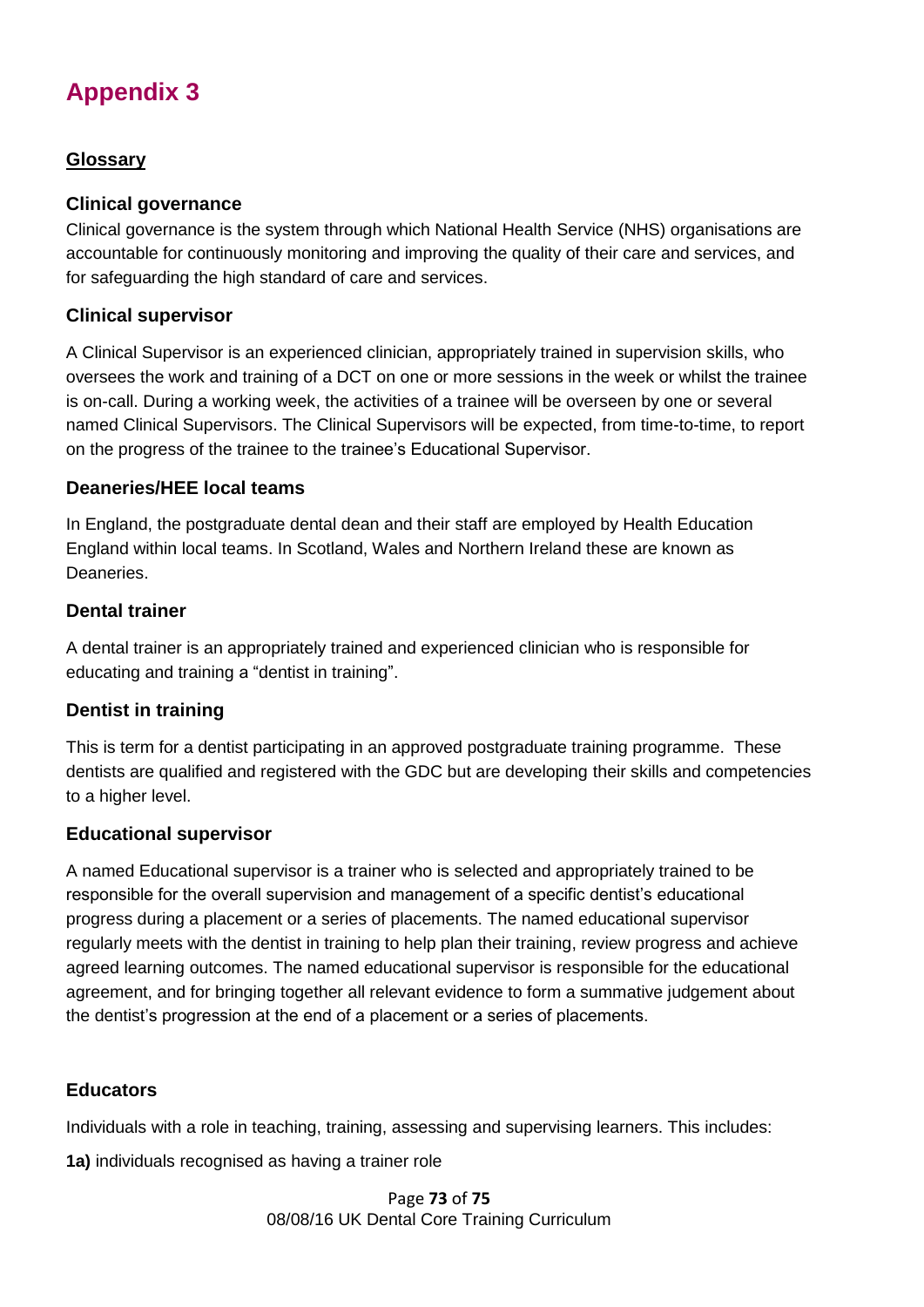# **Appendix 3**

# **Glossary**

## **Clinical governance**

Clinical governance is the system through which National Health Service (NHS) organisations are accountable for continuously monitoring and improving the quality of their care and services, and for safeguarding the high standard of care and services.

## **Clinical supervisor**

A Clinical Supervisor is an experienced clinician, appropriately trained in supervision skills, who oversees the work and training of a DCT on one or more sessions in the week or whilst the trainee is on-call. During a working week, the activities of a trainee will be overseen by one or several named Clinical Supervisors. The Clinical Supervisors will be expected, from time-to-time, to report on the progress of the trainee to the trainee's Educational Supervisor.

## **Deaneries/HEE local teams**

In England, the postgraduate dental dean and their staff are employed by Health Education England within local teams. In Scotland, Wales and Northern Ireland these are known as Deaneries.

#### **Dental trainer**

A dental trainer is an appropriately trained and experienced clinician who is responsible for educating and training a "dentist in training".

# **Dentist in training**

This is term for a dentist participating in an approved postgraduate training programme. These dentists are qualified and registered with the GDC but are developing their skills and competencies to a higher level.

# **Educational supervisor**

A named Educational supervisor is a trainer who is selected and appropriately trained to be responsible for the overall supervision and management of a specific dentist's educational progress during a placement or a series of placements. The named educational supervisor regularly meets with the dentist in training to help plan their training, review progress and achieve agreed learning outcomes. The named educational supervisor is responsible for the educational agreement, and for bringing together all relevant evidence to form a summative judgement about the dentist's progression at the end of a placement or a series of placements.

#### **Educators**

Individuals with a role in teaching, training, assessing and supervising learners. This includes:

**1a)** individuals recognised as having a trainer role

Page **73** of **75** 08/08/16 UK Dental Core Training Curriculum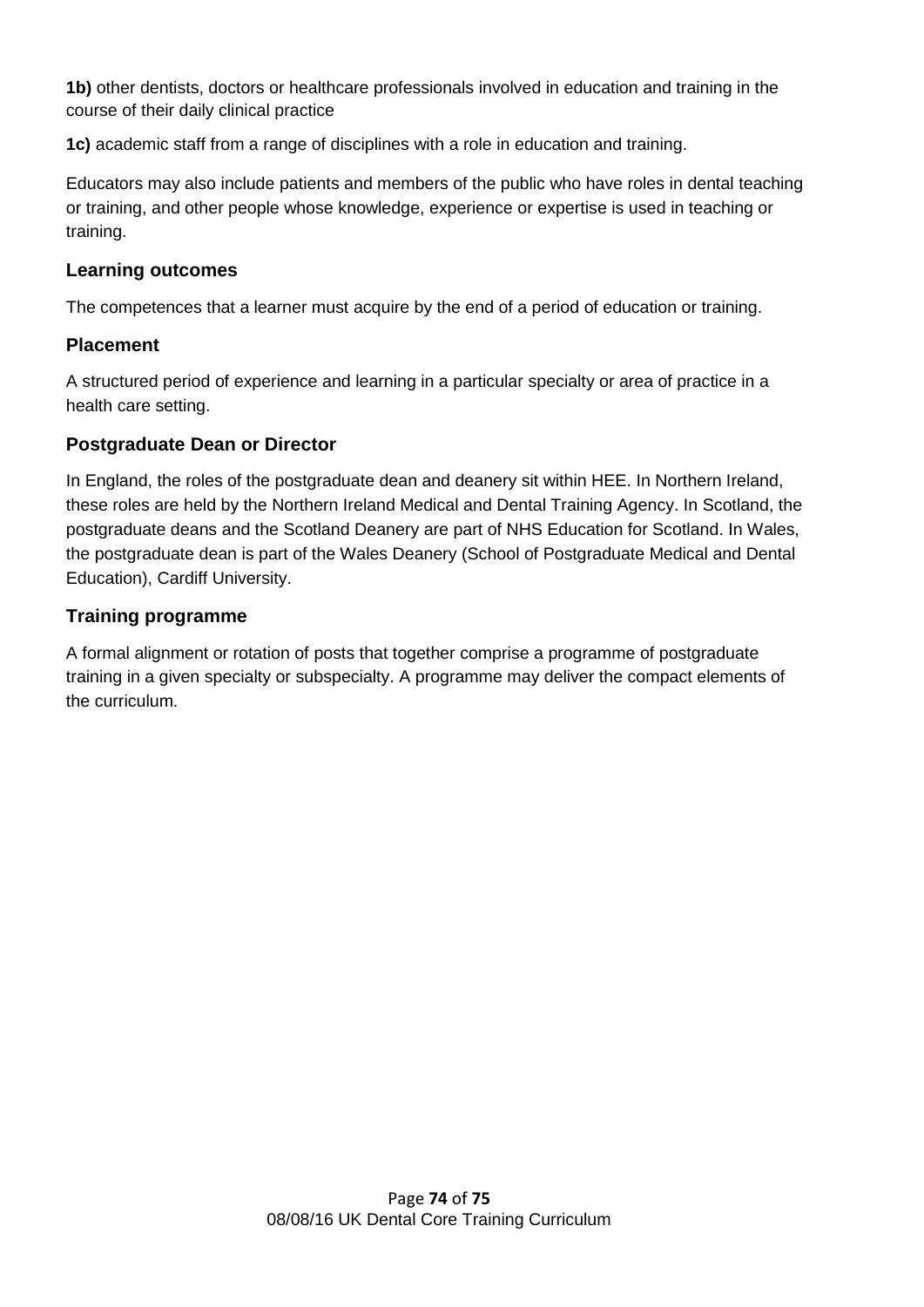**1b)** other dentists, doctors or healthcare professionals involved in education and training in the course of their daily clinical practice

**1c)** academic staff from a range of disciplines with a role in education and training.

Educators may also include patients and members of the public who have roles in dental teaching or training, and other people whose knowledge, experience or expertise is used in teaching or training.

#### **Learning outcomes**

The competences that a learner must acquire by the end of a period of education or training.

## **Placement**

A structured period of experience and learning in a particular specialty or area of practice in a health care setting.

## **Postgraduate Dean or Director**

In England, the roles of the postgraduate dean and deanery sit within HEE. In Northern Ireland, these roles are held by the Northern Ireland Medical and Dental Training Agency. In Scotland, the postgraduate deans and the Scotland Deanery are part of NHS Education for Scotland. In Wales, the postgraduate dean is part of the Wales Deanery (School of Postgraduate Medical and Dental Education), Cardiff University.

## **Training programme**

A formal alignment or rotation of posts that together comprise a programme of postgraduate training in a given specialty or subspecialty. A programme may deliver the compact elements of the curriculum.